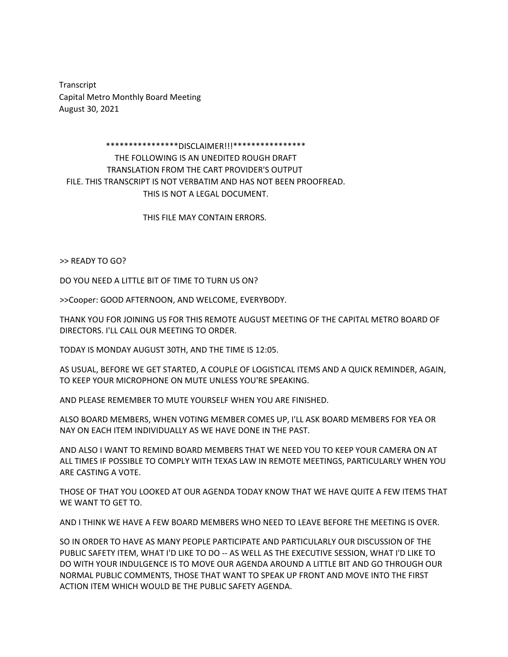Transcript Capital Metro Monthly Board Meeting August 30, 2021

## \*\*\*\*\*\*\*\*\*\*\*\*\*\*\*\*DISCLAIMER!!!\*\*\*\*\*\*\*\*\*\*\*\*\*\*\*\*

THE FOLLOWING IS AN UNEDITED ROUGH DRAFT TRANSLATION FROM THE CART PROVIDER'S OUTPUT FILE. THIS TRANSCRIPT IS NOT VERBATIM AND HAS NOT BEEN PROOFREAD. THIS IS NOT A LEGAL DOCUMENT.

THIS FILE MAY CONTAIN ERRORS.

>> READY TO GO?

DO YOU NEED A LITTLE BIT OF TIME TO TURN US ON?

>>Cooper: GOOD AFTERNOON, AND WELCOME, EVERYBODY.

THANK YOU FOR JOINING US FOR THIS REMOTE AUGUST MEETING OF THE CAPITAL METRO BOARD OF DIRECTORS. I'LL CALL OUR MEETING TO ORDER.

TODAY IS MONDAY AUGUST 30TH, AND THE TIME IS 12:05.

AS USUAL, BEFORE WE GET STARTED, A COUPLE OF LOGISTICAL ITEMS AND A QUICK REMINDER, AGAIN, TO KEEP YOUR MICROPHONE ON MUTE UNLESS YOU'RE SPEAKING.

AND PLEASE REMEMBER TO MUTE YOURSELF WHEN YOU ARE FINISHED.

ALSO BOARD MEMBERS, WHEN VOTING MEMBER COMES UP, I'LL ASK BOARD MEMBERS FOR YEA OR NAY ON EACH ITEM INDIVIDUALLY AS WE HAVE DONE IN THE PAST.

AND ALSO I WANT TO REMIND BOARD MEMBERS THAT WE NEED YOU TO KEEP YOUR CAMERA ON AT ALL TIMES IF POSSIBLE TO COMPLY WITH TEXAS LAW IN REMOTE MEETINGS, PARTICULARLY WHEN YOU ARE CASTING A VOTE.

THOSE OF THAT YOU LOOKED AT OUR AGENDA TODAY KNOW THAT WE HAVE QUITE A FEW ITEMS THAT WE WANT TO GET TO.

AND I THINK WE HAVE A FEW BOARD MEMBERS WHO NEED TO LEAVE BEFORE THE MEETING IS OVER.

SO IN ORDER TO HAVE AS MANY PEOPLE PARTICIPATE AND PARTICULARLY OUR DISCUSSION OF THE PUBLIC SAFETY ITEM, WHAT I'D LIKE TO DO -- AS WELL AS THE EXECUTIVE SESSION, WHAT I'D LIKE TO DO WITH YOUR INDULGENCE IS TO MOVE OUR AGENDA AROUND A LITTLE BIT AND GO THROUGH OUR NORMAL PUBLIC COMMENTS, THOSE THAT WANT TO SPEAK UP FRONT AND MOVE INTO THE FIRST ACTION ITEM WHICH WOULD BE THE PUBLIC SAFETY AGENDA.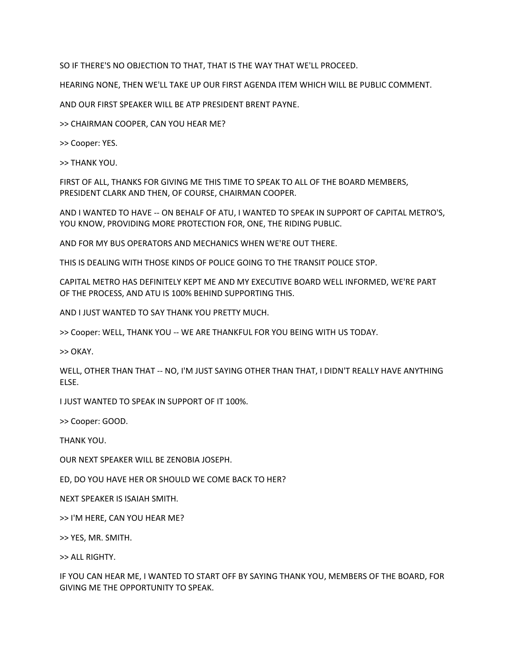SO IF THERE'S NO OBJECTION TO THAT, THAT IS THE WAY THAT WE'LL PROCEED.

HEARING NONE, THEN WE'LL TAKE UP OUR FIRST AGENDA ITEM WHICH WILL BE PUBLIC COMMENT.

AND OUR FIRST SPEAKER WILL BE ATP PRESIDENT BRENT PAYNE.

>> CHAIRMAN COOPER, CAN YOU HEAR ME?

>> Cooper: YES.

>> THANK YOU.

FIRST OF ALL, THANKS FOR GIVING ME THIS TIME TO SPEAK TO ALL OF THE BOARD MEMBERS, PRESIDENT CLARK AND THEN, OF COURSE, CHAIRMAN COOPER.

AND I WANTED TO HAVE -- ON BEHALF OF ATU, I WANTED TO SPEAK IN SUPPORT OF CAPITAL METRO'S, YOU KNOW, PROVIDING MORE PROTECTION FOR, ONE, THE RIDING PUBLIC.

AND FOR MY BUS OPERATORS AND MECHANICS WHEN WE'RE OUT THERE.

THIS IS DEALING WITH THOSE KINDS OF POLICE GOING TO THE TRANSIT POLICE STOP.

CAPITAL METRO HAS DEFINITELY KEPT ME AND MY EXECUTIVE BOARD WELL INFORMED, WE'RE PART OF THE PROCESS, AND ATU IS 100% BEHIND SUPPORTING THIS.

AND I JUST WANTED TO SAY THANK YOU PRETTY MUCH.

>> Cooper: WELL, THANK YOU -- WE ARE THANKFUL FOR YOU BEING WITH US TODAY.

>> OKAY.

WELL, OTHER THAN THAT -- NO, I'M JUST SAYING OTHER THAN THAT, I DIDN'T REALLY HAVE ANYTHING ELSE.

I JUST WANTED TO SPEAK IN SUPPORT OF IT 100%.

>> Cooper: GOOD.

THANK YOU.

OUR NEXT SPEAKER WILL BE ZENOBIA JOSEPH.

ED, DO YOU HAVE HER OR SHOULD WE COME BACK TO HER?

NEXT SPEAKER IS ISAIAH SMITH.

>> I'M HERE, CAN YOU HEAR ME?

>> YES, MR. SMITH.

>> ALL RIGHTY.

IF YOU CAN HEAR ME, I WANTED TO START OFF BY SAYING THANK YOU, MEMBERS OF THE BOARD, FOR GIVING ME THE OPPORTUNITY TO SPEAK.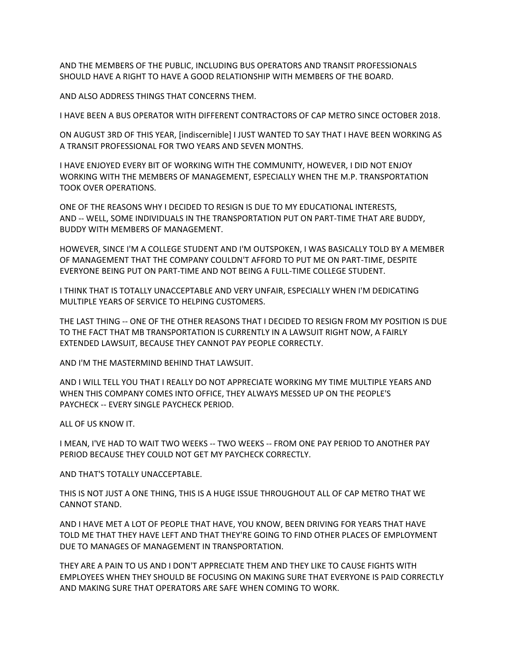AND THE MEMBERS OF THE PUBLIC, INCLUDING BUS OPERATORS AND TRANSIT PROFESSIONALS SHOULD HAVE A RIGHT TO HAVE A GOOD RELATIONSHIP WITH MEMBERS OF THE BOARD.

AND ALSO ADDRESS THINGS THAT CONCERNS THEM.

I HAVE BEEN A BUS OPERATOR WITH DIFFERENT CONTRACTORS OF CAP METRO SINCE OCTOBER 2018.

ON AUGUST 3RD OF THIS YEAR, [indiscernible] I JUST WANTED TO SAY THAT I HAVE BEEN WORKING AS A TRANSIT PROFESSIONAL FOR TWO YEARS AND SEVEN MONTHS.

I HAVE ENJOYED EVERY BIT OF WORKING WITH THE COMMUNITY, HOWEVER, I DID NOT ENJOY WORKING WITH THE MEMBERS OF MANAGEMENT, ESPECIALLY WHEN THE M.P. TRANSPORTATION TOOK OVER OPERATIONS.

ONE OF THE REASONS WHY I DECIDED TO RESIGN IS DUE TO MY EDUCATIONAL INTERESTS, AND -- WELL, SOME INDIVIDUALS IN THE TRANSPORTATION PUT ON PART-TIME THAT ARE BUDDY, BUDDY WITH MEMBERS OF MANAGEMENT.

HOWEVER, SINCE I'M A COLLEGE STUDENT AND I'M OUTSPOKEN, I WAS BASICALLY TOLD BY A MEMBER OF MANAGEMENT THAT THE COMPANY COULDN'T AFFORD TO PUT ME ON PART-TIME, DESPITE EVERYONE BEING PUT ON PART-TIME AND NOT BEING A FULL-TIME COLLEGE STUDENT.

I THINK THAT IS TOTALLY UNACCEPTABLE AND VERY UNFAIR, ESPECIALLY WHEN I'M DEDICATING MULTIPLE YEARS OF SERVICE TO HELPING CUSTOMERS.

THE LAST THING -- ONE OF THE OTHER REASONS THAT I DECIDED TO RESIGN FROM MY POSITION IS DUE TO THE FACT THAT MB TRANSPORTATION IS CURRENTLY IN A LAWSUIT RIGHT NOW, A FAIRLY EXTENDED LAWSUIT, BECAUSE THEY CANNOT PAY PEOPLE CORRECTLY.

AND I'M THE MASTERMIND BEHIND THAT LAWSUIT.

AND I WILL TELL YOU THAT I REALLY DO NOT APPRECIATE WORKING MY TIME MULTIPLE YEARS AND WHEN THIS COMPANY COMES INTO OFFICE, THEY ALWAYS MESSED UP ON THE PEOPLE'S PAYCHECK -- EVERY SINGLE PAYCHECK PERIOD.

ALL OF US KNOW IT.

I MEAN, I'VE HAD TO WAIT TWO WEEKS -- TWO WEEKS -- FROM ONE PAY PERIOD TO ANOTHER PAY PERIOD BECAUSE THEY COULD NOT GET MY PAYCHECK CORRECTLY.

AND THAT'S TOTALLY UNACCEPTABLE.

THIS IS NOT JUST A ONE THING, THIS IS A HUGE ISSUE THROUGHOUT ALL OF CAP METRO THAT WE CANNOT STAND.

AND I HAVE MET A LOT OF PEOPLE THAT HAVE, YOU KNOW, BEEN DRIVING FOR YEARS THAT HAVE TOLD ME THAT THEY HAVE LEFT AND THAT THEY'RE GOING TO FIND OTHER PLACES OF EMPLOYMENT DUE TO MANAGES OF MANAGEMENT IN TRANSPORTATION.

THEY ARE A PAIN TO US AND I DON'T APPRECIATE THEM AND THEY LIKE TO CAUSE FIGHTS WITH EMPLOYEES WHEN THEY SHOULD BE FOCUSING ON MAKING SURE THAT EVERYONE IS PAID CORRECTLY AND MAKING SURE THAT OPERATORS ARE SAFE WHEN COMING TO WORK.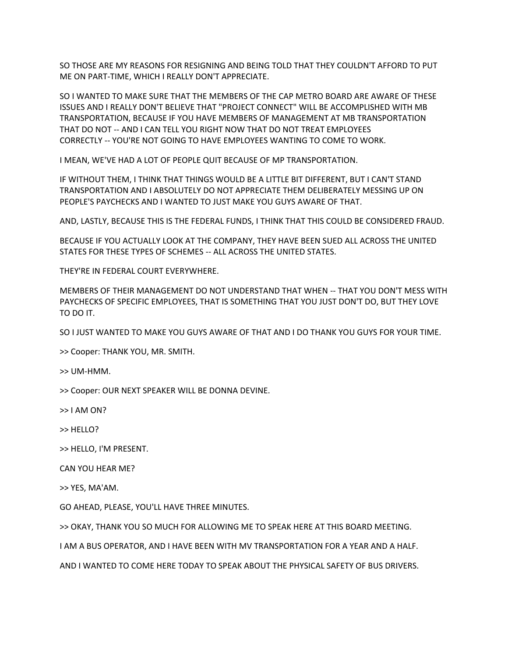SO THOSE ARE MY REASONS FOR RESIGNING AND BEING TOLD THAT THEY COULDN'T AFFORD TO PUT ME ON PART-TIME, WHICH I REALLY DON'T APPRECIATE.

SO I WANTED TO MAKE SURE THAT THE MEMBERS OF THE CAP METRO BOARD ARE AWARE OF THESE ISSUES AND I REALLY DON'T BELIEVE THAT "PROJECT CONNECT" WILL BE ACCOMPLISHED WITH MB TRANSPORTATION, BECAUSE IF YOU HAVE MEMBERS OF MANAGEMENT AT MB TRANSPORTATION THAT DO NOT -- AND I CAN TELL YOU RIGHT NOW THAT DO NOT TREAT EMPLOYEES CORRECTLY -- YOU'RE NOT GOING TO HAVE EMPLOYEES WANTING TO COME TO WORK.

I MEAN, WE'VE HAD A LOT OF PEOPLE QUIT BECAUSE OF MP TRANSPORTATION.

IF WITHOUT THEM, I THINK THAT THINGS WOULD BE A LITTLE BIT DIFFERENT, BUT I CAN'T STAND TRANSPORTATION AND I ABSOLUTELY DO NOT APPRECIATE THEM DELIBERATELY MESSING UP ON PEOPLE'S PAYCHECKS AND I WANTED TO JUST MAKE YOU GUYS AWARE OF THAT.

AND, LASTLY, BECAUSE THIS IS THE FEDERAL FUNDS, I THINK THAT THIS COULD BE CONSIDERED FRAUD.

BECAUSE IF YOU ACTUALLY LOOK AT THE COMPANY, THEY HAVE BEEN SUED ALL ACROSS THE UNITED STATES FOR THESE TYPES OF SCHEMES -- ALL ACROSS THE UNITED STATES.

THEY'RE IN FEDERAL COURT EVERYWHERE.

MEMBERS OF THEIR MANAGEMENT DO NOT UNDERSTAND THAT WHEN -- THAT YOU DON'T MESS WITH PAYCHECKS OF SPECIFIC EMPLOYEES, THAT IS SOMETHING THAT YOU JUST DON'T DO, BUT THEY LOVE TO DO IT.

SO I JUST WANTED TO MAKE YOU GUYS AWARE OF THAT AND I DO THANK YOU GUYS FOR YOUR TIME.

>> Cooper: THANK YOU, MR. SMITH.

>> UM-HMM.

>> Cooper: OUR NEXT SPEAKER WILL BE DONNA DEVINE.

>> I AM ON?

>> HELLO?

>> HELLO, I'M PRESENT.

CAN YOU HEAR ME?

>> YES, MA'AM.

GO AHEAD, PLEASE, YOU'LL HAVE THREE MINUTES.

>> OKAY, THANK YOU SO MUCH FOR ALLOWING ME TO SPEAK HERE AT THIS BOARD MEETING.

I AM A BUS OPERATOR, AND I HAVE BEEN WITH MV TRANSPORTATION FOR A YEAR AND A HALF.

AND I WANTED TO COME HERE TODAY TO SPEAK ABOUT THE PHYSICAL SAFETY OF BUS DRIVERS.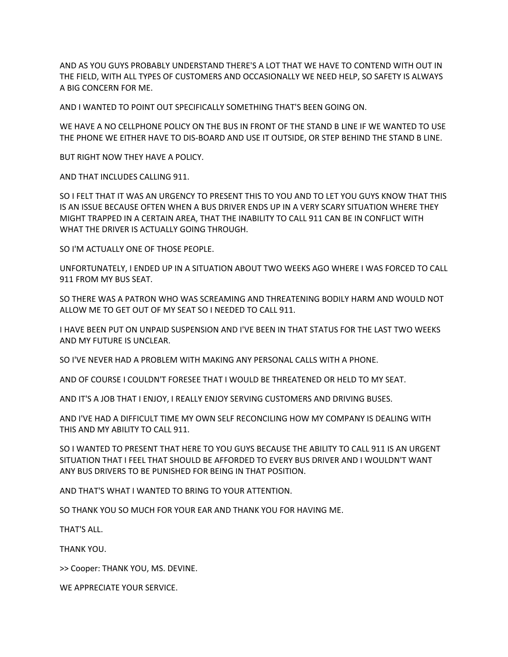AND AS YOU GUYS PROBABLY UNDERSTAND THERE'S A LOT THAT WE HAVE TO CONTEND WITH OUT IN THE FIELD, WITH ALL TYPES OF CUSTOMERS AND OCCASIONALLY WE NEED HELP, SO SAFETY IS ALWAYS A BIG CONCERN FOR ME.

AND I WANTED TO POINT OUT SPECIFICALLY SOMETHING THAT'S BEEN GOING ON.

WE HAVE A NO CELLPHONE POLICY ON THE BUS IN FRONT OF THE STAND B LINE IF WE WANTED TO USE THE PHONE WE EITHER HAVE TO DIS-BOARD AND USE IT OUTSIDE, OR STEP BEHIND THE STAND B LINE.

BUT RIGHT NOW THEY HAVE A POLICY.

AND THAT INCLUDES CALLING 911.

SO I FELT THAT IT WAS AN URGENCY TO PRESENT THIS TO YOU AND TO LET YOU GUYS KNOW THAT THIS IS AN ISSUE BECAUSE OFTEN WHEN A BUS DRIVER ENDS UP IN A VERY SCARY SITUATION WHERE THEY MIGHT TRAPPED IN A CERTAIN AREA, THAT THE INABILITY TO CALL 911 CAN BE IN CONFLICT WITH WHAT THE DRIVER IS ACTUALLY GOING THROUGH.

SO I'M ACTUALLY ONE OF THOSE PEOPLE.

UNFORTUNATELY, I ENDED UP IN A SITUATION ABOUT TWO WEEKS AGO WHERE I WAS FORCED TO CALL 911 FROM MY BUS SEAT.

SO THERE WAS A PATRON WHO WAS SCREAMING AND THREATENING BODILY HARM AND WOULD NOT ALLOW ME TO GET OUT OF MY SEAT SO I NEEDED TO CALL 911.

I HAVE BEEN PUT ON UNPAID SUSPENSION AND I'VE BEEN IN THAT STATUS FOR THE LAST TWO WEEKS AND MY FUTURE IS UNCLEAR.

SO I'VE NEVER HAD A PROBLEM WITH MAKING ANY PERSONAL CALLS WITH A PHONE.

AND OF COURSE I COULDN'T FORESEE THAT I WOULD BE THREATENED OR HELD TO MY SEAT.

AND IT'S A JOB THAT I ENJOY, I REALLY ENJOY SERVING CUSTOMERS AND DRIVING BUSES.

AND I'VE HAD A DIFFICULT TIME MY OWN SELF RECONCILING HOW MY COMPANY IS DEALING WITH THIS AND MY ABILITY TO CALL 911.

SO I WANTED TO PRESENT THAT HERE TO YOU GUYS BECAUSE THE ABILITY TO CALL 911 IS AN URGENT SITUATION THAT I FEEL THAT SHOULD BE AFFORDED TO EVERY BUS DRIVER AND I WOULDN'T WANT ANY BUS DRIVERS TO BE PUNISHED FOR BEING IN THAT POSITION.

AND THAT'S WHAT I WANTED TO BRING TO YOUR ATTENTION.

SO THANK YOU SO MUCH FOR YOUR EAR AND THANK YOU FOR HAVING ME.

THAT'S ALL.

THANK YOU.

>> Cooper: THANK YOU, MS. DEVINE.

WE APPRECIATE YOUR SERVICE.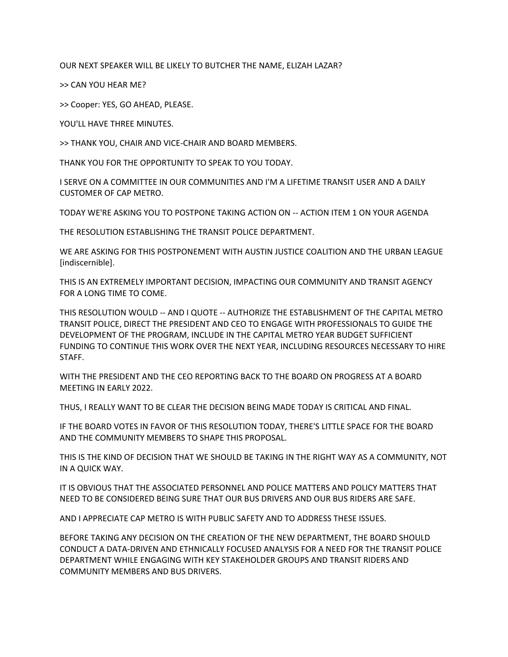OUR NEXT SPEAKER WILL BE LIKELY TO BUTCHER THE NAME, ELIZAH LAZAR?

>> CAN YOU HEAR ME?

>> Cooper: YES, GO AHEAD, PLEASE.

YOU'LL HAVE THREE MINUTES.

>> THANK YOU, CHAIR AND VICE-CHAIR AND BOARD MEMBERS.

THANK YOU FOR THE OPPORTUNITY TO SPEAK TO YOU TODAY.

I SERVE ON A COMMITTEE IN OUR COMMUNITIES AND I'M A LIFETIME TRANSIT USER AND A DAILY CUSTOMER OF CAP METRO.

TODAY WE'RE ASKING YOU TO POSTPONE TAKING ACTION ON -- ACTION ITEM 1 ON YOUR AGENDA

THE RESOLUTION ESTABLISHING THE TRANSIT POLICE DEPARTMENT.

WE ARE ASKING FOR THIS POSTPONEMENT WITH AUSTIN JUSTICE COALITION AND THE URBAN LEAGUE [indiscernible].

THIS IS AN EXTREMELY IMPORTANT DECISION, IMPACTING OUR COMMUNITY AND TRANSIT AGENCY FOR A LONG TIME TO COME.

THIS RESOLUTION WOULD -- AND I QUOTE -- AUTHORIZE THE ESTABLISHMENT OF THE CAPITAL METRO TRANSIT POLICE, DIRECT THE PRESIDENT AND CEO TO ENGAGE WITH PROFESSIONALS TO GUIDE THE DEVELOPMENT OF THE PROGRAM, INCLUDE IN THE CAPITAL METRO YEAR BUDGET SUFFICIENT FUNDING TO CONTINUE THIS WORK OVER THE NEXT YEAR, INCLUDING RESOURCES NECESSARY TO HIRE STAFF.

WITH THE PRESIDENT AND THE CEO REPORTING BACK TO THE BOARD ON PROGRESS AT A BOARD MEETING IN EARLY 2022.

THUS, I REALLY WANT TO BE CLEAR THE DECISION BEING MADE TODAY IS CRITICAL AND FINAL.

IF THE BOARD VOTES IN FAVOR OF THIS RESOLUTION TODAY, THERE'S LITTLE SPACE FOR THE BOARD AND THE COMMUNITY MEMBERS TO SHAPE THIS PROPOSAL.

THIS IS THE KIND OF DECISION THAT WE SHOULD BE TAKING IN THE RIGHT WAY AS A COMMUNITY, NOT IN A QUICK WAY.

IT IS OBVIOUS THAT THE ASSOCIATED PERSONNEL AND POLICE MATTERS AND POLICY MATTERS THAT NEED TO BE CONSIDERED BEING SURE THAT OUR BUS DRIVERS AND OUR BUS RIDERS ARE SAFE.

AND I APPRECIATE CAP METRO IS WITH PUBLIC SAFETY AND TO ADDRESS THESE ISSUES.

BEFORE TAKING ANY DECISION ON THE CREATION OF THE NEW DEPARTMENT, THE BOARD SHOULD CONDUCT A DATA-DRIVEN AND ETHNICALLY FOCUSED ANALYSIS FOR A NEED FOR THE TRANSIT POLICE DEPARTMENT WHILE ENGAGING WITH KEY STAKEHOLDER GROUPS AND TRANSIT RIDERS AND COMMUNITY MEMBERS AND BUS DRIVERS.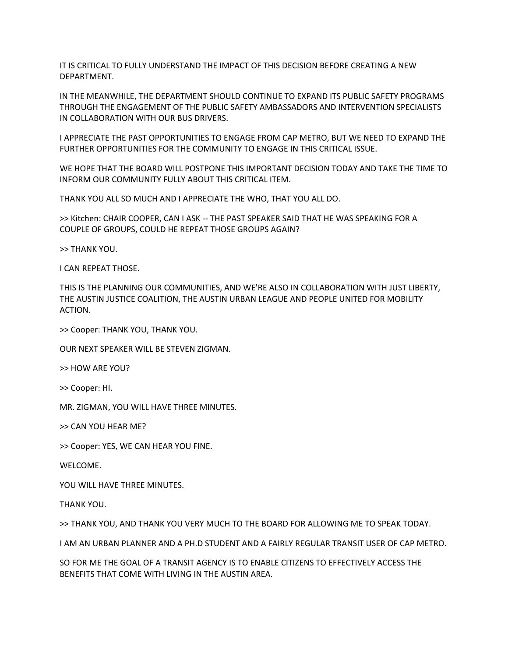IT IS CRITICAL TO FULLY UNDERSTAND THE IMPACT OF THIS DECISION BEFORE CREATING A NEW DEPARTMENT.

IN THE MEANWHILE, THE DEPARTMENT SHOULD CONTINUE TO EXPAND ITS PUBLIC SAFETY PROGRAMS THROUGH THE ENGAGEMENT OF THE PUBLIC SAFETY AMBASSADORS AND INTERVENTION SPECIALISTS IN COLLABORATION WITH OUR BUS DRIVERS.

I APPRECIATE THE PAST OPPORTUNITIES TO ENGAGE FROM CAP METRO, BUT WE NEED TO EXPAND THE FURTHER OPPORTUNITIES FOR THE COMMUNITY TO ENGAGE IN THIS CRITICAL ISSUE.

WE HOPE THAT THE BOARD WILL POSTPONE THIS IMPORTANT DECISION TODAY AND TAKE THE TIME TO INFORM OUR COMMUNITY FULLY ABOUT THIS CRITICAL ITEM.

THANK YOU ALL SO MUCH AND I APPRECIATE THE WHO, THAT YOU ALL DO.

>> Kitchen: CHAIR COOPER, CAN I ASK -- THE PAST SPEAKER SAID THAT HE WAS SPEAKING FOR A COUPLE OF GROUPS, COULD HE REPEAT THOSE GROUPS AGAIN?

>> THANK YOU.

I CAN REPEAT THOSE.

THIS IS THE PLANNING OUR COMMUNITIES, AND WE'RE ALSO IN COLLABORATION WITH JUST LIBERTY, THE AUSTIN JUSTICE COALITION, THE AUSTIN URBAN LEAGUE AND PEOPLE UNITED FOR MOBILITY ACTION.

>> Cooper: THANK YOU, THANK YOU.

OUR NEXT SPEAKER WILL BE STEVEN ZIGMAN.

>> HOW ARE YOU?

>> Cooper: HI.

MR. ZIGMAN, YOU WILL HAVE THREE MINUTES.

>> CAN YOU HEAR ME?

>> Cooper: YES, WE CAN HEAR YOU FINE.

WELCOME.

YOU WILL HAVE THREE MINUTES.

THANK YOU.

>> THANK YOU, AND THANK YOU VERY MUCH TO THE BOARD FOR ALLOWING ME TO SPEAK TODAY.

I AM AN URBAN PLANNER AND A PH.D STUDENT AND A FAIRLY REGULAR TRANSIT USER OF CAP METRO.

SO FOR ME THE GOAL OF A TRANSIT AGENCY IS TO ENABLE CITIZENS TO EFFECTIVELY ACCESS THE BENEFITS THAT COME WITH LIVING IN THE AUSTIN AREA.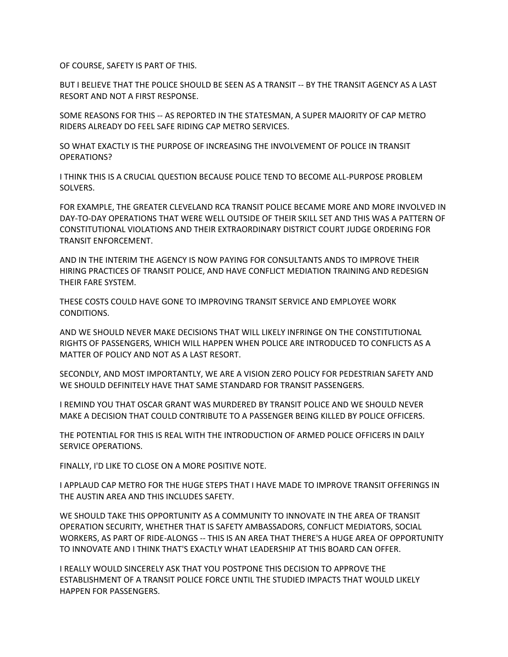OF COURSE, SAFETY IS PART OF THIS.

BUT I BELIEVE THAT THE POLICE SHOULD BE SEEN AS A TRANSIT -- BY THE TRANSIT AGENCY AS A LAST RESORT AND NOT A FIRST RESPONSE.

SOME REASONS FOR THIS -- AS REPORTED IN THE STATESMAN, A SUPER MAJORITY OF CAP METRO RIDERS ALREADY DO FEEL SAFE RIDING CAP METRO SERVICES.

SO WHAT EXACTLY IS THE PURPOSE OF INCREASING THE INVOLVEMENT OF POLICE IN TRANSIT OPERATIONS?

I THINK THIS IS A CRUCIAL QUESTION BECAUSE POLICE TEND TO BECOME ALL-PURPOSE PROBLEM SOLVERS.

FOR EXAMPLE, THE GREATER CLEVELAND RCA TRANSIT POLICE BECAME MORE AND MORE INVOLVED IN DAY-TO-DAY OPERATIONS THAT WERE WELL OUTSIDE OF THEIR SKILL SET AND THIS WAS A PATTERN OF CONSTITUTIONAL VIOLATIONS AND THEIR EXTRAORDINARY DISTRICT COURT JUDGE ORDERING FOR TRANSIT ENFORCEMENT.

AND IN THE INTERIM THE AGENCY IS NOW PAYING FOR CONSULTANTS ANDS TO IMPROVE THEIR HIRING PRACTICES OF TRANSIT POLICE, AND HAVE CONFLICT MEDIATION TRAINING AND REDESIGN THEIR FARE SYSTEM.

THESE COSTS COULD HAVE GONE TO IMPROVING TRANSIT SERVICE AND EMPLOYEE WORK CONDITIONS.

AND WE SHOULD NEVER MAKE DECISIONS THAT WILL LIKELY INFRINGE ON THE CONSTITUTIONAL RIGHTS OF PASSENGERS, WHICH WILL HAPPEN WHEN POLICE ARE INTRODUCED TO CONFLICTS AS A MATTER OF POLICY AND NOT AS A LAST RESORT.

SECONDLY, AND MOST IMPORTANTLY, WE ARE A VISION ZERO POLICY FOR PEDESTRIAN SAFETY AND WE SHOULD DEFINITELY HAVE THAT SAME STANDARD FOR TRANSIT PASSENGERS.

I REMIND YOU THAT OSCAR GRANT WAS MURDERED BY TRANSIT POLICE AND WE SHOULD NEVER MAKE A DECISION THAT COULD CONTRIBUTE TO A PASSENGER BEING KILLED BY POLICE OFFICERS.

THE POTENTIAL FOR THIS IS REAL WITH THE INTRODUCTION OF ARMED POLICE OFFICERS IN DAILY SERVICE OPERATIONS.

FINALLY, I'D LIKE TO CLOSE ON A MORE POSITIVE NOTE.

I APPLAUD CAP METRO FOR THE HUGE STEPS THAT I HAVE MADE TO IMPROVE TRANSIT OFFERINGS IN THE AUSTIN AREA AND THIS INCLUDES SAFETY.

WE SHOULD TAKE THIS OPPORTUNITY AS A COMMUNITY TO INNOVATE IN THE AREA OF TRANSIT OPERATION SECURITY, WHETHER THAT IS SAFETY AMBASSADORS, CONFLICT MEDIATORS, SOCIAL WORKERS, AS PART OF RIDE-ALONGS -- THIS IS AN AREA THAT THERE'S A HUGE AREA OF OPPORTUNITY TO INNOVATE AND I THINK THAT'S EXACTLY WHAT LEADERSHIP AT THIS BOARD CAN OFFER.

I REALLY WOULD SINCERELY ASK THAT YOU POSTPONE THIS DECISION TO APPROVE THE ESTABLISHMENT OF A TRANSIT POLICE FORCE UNTIL THE STUDIED IMPACTS THAT WOULD LIKELY HAPPEN FOR PASSENGERS.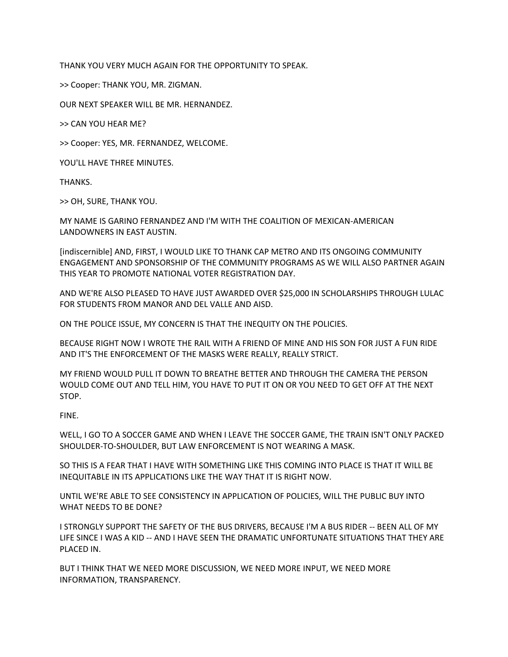THANK YOU VERY MUCH AGAIN FOR THE OPPORTUNITY TO SPEAK.

>> Cooper: THANK YOU, MR. ZIGMAN.

OUR NEXT SPEAKER WILL BE MR. HERNANDEZ.

>> CAN YOU HEAR ME?

>> Cooper: YES, MR. FERNANDEZ, WELCOME.

YOU'LL HAVE THREE MINUTES.

THANKS.

>> OH, SURE, THANK YOU.

MY NAME IS GARINO FERNANDEZ AND I'M WITH THE COALITION OF MEXICAN-AMERICAN LANDOWNERS IN EAST AUSTIN.

[indiscernible] AND, FIRST, I WOULD LIKE TO THANK CAP METRO AND ITS ONGOING COMMUNITY ENGAGEMENT AND SPONSORSHIP OF THE COMMUNITY PROGRAMS AS WE WILL ALSO PARTNER AGAIN THIS YEAR TO PROMOTE NATIONAL VOTER REGISTRATION DAY.

AND WE'RE ALSO PLEASED TO HAVE JUST AWARDED OVER \$25,000 IN SCHOLARSHIPS THROUGH LULAC FOR STUDENTS FROM MANOR AND DEL VALLE AND AISD.

ON THE POLICE ISSUE, MY CONCERN IS THAT THE INEQUITY ON THE POLICIES.

BECAUSE RIGHT NOW I WROTE THE RAIL WITH A FRIEND OF MINE AND HIS SON FOR JUST A FUN RIDE AND IT'S THE ENFORCEMENT OF THE MASKS WERE REALLY, REALLY STRICT.

MY FRIEND WOULD PULL IT DOWN TO BREATHE BETTER AND THROUGH THE CAMERA THE PERSON WOULD COME OUT AND TELL HIM, YOU HAVE TO PUT IT ON OR YOU NEED TO GET OFF AT THE NEXT STOP.

FINE.

WELL, I GO TO A SOCCER GAME AND WHEN I LEAVE THE SOCCER GAME, THE TRAIN ISN'T ONLY PACKED SHOULDER-TO-SHOULDER, BUT LAW ENFORCEMENT IS NOT WEARING A MASK.

SO THIS IS A FEAR THAT I HAVE WITH SOMETHING LIKE THIS COMING INTO PLACE IS THAT IT WILL BE INEQUITABLE IN ITS APPLICATIONS LIKE THE WAY THAT IT IS RIGHT NOW.

UNTIL WE'RE ABLE TO SEE CONSISTENCY IN APPLICATION OF POLICIES, WILL THE PUBLIC BUY INTO WHAT NEEDS TO BE DONE?

I STRONGLY SUPPORT THE SAFETY OF THE BUS DRIVERS, BECAUSE I'M A BUS RIDER -- BEEN ALL OF MY LIFE SINCE I WAS A KID -- AND I HAVE SEEN THE DRAMATIC UNFORTUNATE SITUATIONS THAT THEY ARE PLACED IN.

BUT I THINK THAT WE NEED MORE DISCUSSION, WE NEED MORE INPUT, WE NEED MORE INFORMATION, TRANSPARENCY.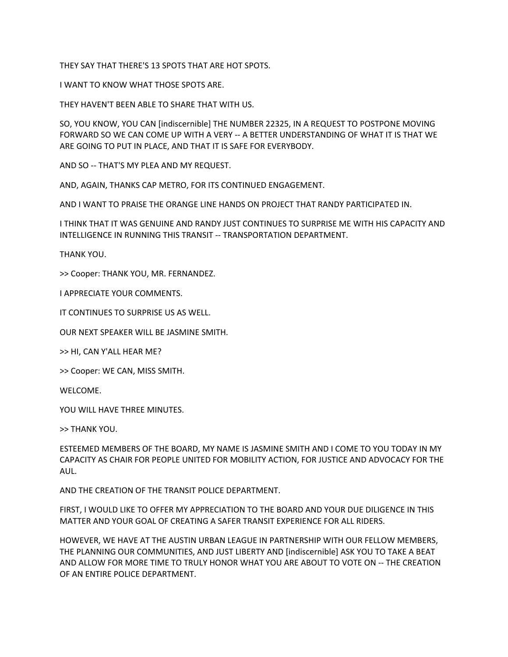THEY SAY THAT THERE'S 13 SPOTS THAT ARE HOT SPOTS.

I WANT TO KNOW WHAT THOSE SPOTS ARE.

THEY HAVEN'T BEEN ABLE TO SHARE THAT WITH US.

SO, YOU KNOW, YOU CAN [indiscernible] THE NUMBER 22325, IN A REQUEST TO POSTPONE MOVING FORWARD SO WE CAN COME UP WITH A VERY -- A BETTER UNDERSTANDING OF WHAT IT IS THAT WE ARE GOING TO PUT IN PLACE, AND THAT IT IS SAFE FOR EVERYBODY.

AND SO -- THAT'S MY PLEA AND MY REQUEST.

AND, AGAIN, THANKS CAP METRO, FOR ITS CONTINUED ENGAGEMENT.

AND I WANT TO PRAISE THE ORANGE LINE HANDS ON PROJECT THAT RANDY PARTICIPATED IN.

I THINK THAT IT WAS GENUINE AND RANDY JUST CONTINUES TO SURPRISE ME WITH HIS CAPACITY AND INTELLIGENCE IN RUNNING THIS TRANSIT -- TRANSPORTATION DEPARTMENT.

THANK YOU.

>> Cooper: THANK YOU, MR. FERNANDEZ.

I APPRECIATE YOUR COMMENTS.

IT CONTINUES TO SURPRISE US AS WELL.

OUR NEXT SPEAKER WILL BE JASMINE SMITH.

>> HI, CAN Y'ALL HEAR ME?

>> Cooper: WE CAN, MISS SMITH.

WELCOME.

YOU WILL HAVE THREE MINUTES.

>> THANK YOU.

ESTEEMED MEMBERS OF THE BOARD, MY NAME IS JASMINE SMITH AND I COME TO YOU TODAY IN MY CAPACITY AS CHAIR FOR PEOPLE UNITED FOR MOBILITY ACTION, FOR JUSTICE AND ADVOCACY FOR THE AUL.

AND THE CREATION OF THE TRANSIT POLICE DEPARTMENT.

FIRST, I WOULD LIKE TO OFFER MY APPRECIATION TO THE BOARD AND YOUR DUE DILIGENCE IN THIS MATTER AND YOUR GOAL OF CREATING A SAFER TRANSIT EXPERIENCE FOR ALL RIDERS.

HOWEVER, WE HAVE AT THE AUSTIN URBAN LEAGUE IN PARTNERSHIP WITH OUR FELLOW MEMBERS, THE PLANNING OUR COMMUNITIES, AND JUST LIBERTY AND [indiscernible] ASK YOU TO TAKE A BEAT AND ALLOW FOR MORE TIME TO TRULY HONOR WHAT YOU ARE ABOUT TO VOTE ON -- THE CREATION OF AN ENTIRE POLICE DEPARTMENT.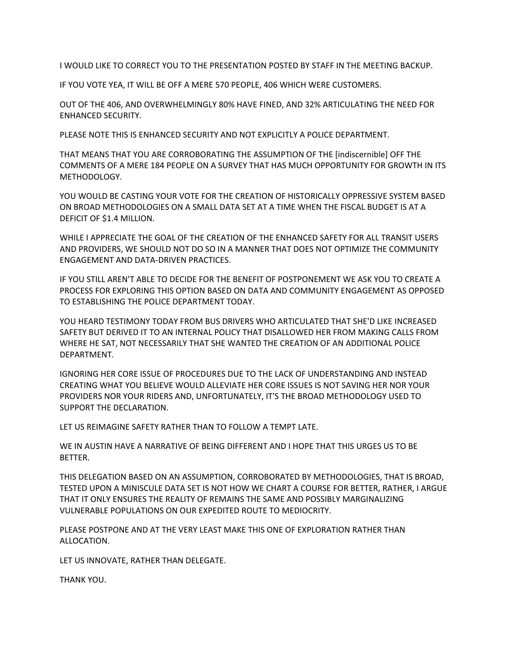I WOULD LIKE TO CORRECT YOU TO THE PRESENTATION POSTED BY STAFF IN THE MEETING BACKUP.

IF YOU VOTE YEA, IT WILL BE OFF A MERE 570 PEOPLE, 406 WHICH WERE CUSTOMERS.

OUT OF THE 406, AND OVERWHELMINGLY 80% HAVE FINED, AND 32% ARTICULATING THE NEED FOR ENHANCED SECURITY.

PLEASE NOTE THIS IS ENHANCED SECURITY AND NOT EXPLICITLY A POLICE DEPARTMENT.

THAT MEANS THAT YOU ARE CORROBORATING THE ASSUMPTION OF THE [indiscernible] OFF THE COMMENTS OF A MERE 184 PEOPLE ON A SURVEY THAT HAS MUCH OPPORTUNITY FOR GROWTH IN ITS METHODOLOGY.

YOU WOULD BE CASTING YOUR VOTE FOR THE CREATION OF HISTORICALLY OPPRESSIVE SYSTEM BASED ON BROAD METHODOLOGIES ON A SMALL DATA SET AT A TIME WHEN THE FISCAL BUDGET IS AT A DEFICIT OF \$1.4 MILLION.

WHILE I APPRECIATE THE GOAL OF THE CREATION OF THE ENHANCED SAFETY FOR ALL TRANSIT USERS AND PROVIDERS, WE SHOULD NOT DO SO IN A MANNER THAT DOES NOT OPTIMIZE THE COMMUNITY ENGAGEMENT AND DATA-DRIVEN PRACTICES.

IF YOU STILL AREN'T ABLE TO DECIDE FOR THE BENEFIT OF POSTPONEMENT WE ASK YOU TO CREATE A PROCESS FOR EXPLORING THIS OPTION BASED ON DATA AND COMMUNITY ENGAGEMENT AS OPPOSED TO ESTABLISHING THE POLICE DEPARTMENT TODAY.

YOU HEARD TESTIMONY TODAY FROM BUS DRIVERS WHO ARTICULATED THAT SHE'D LIKE INCREASED SAFETY BUT DERIVED IT TO AN INTERNAL POLICY THAT DISALLOWED HER FROM MAKING CALLS FROM WHERE HE SAT, NOT NECESSARILY THAT SHE WANTED THE CREATION OF AN ADDITIONAL POLICE DEPARTMENT.

IGNORING HER CORE ISSUE OF PROCEDURES DUE TO THE LACK OF UNDERSTANDING AND INSTEAD CREATING WHAT YOU BELIEVE WOULD ALLEVIATE HER CORE ISSUES IS NOT SAVING HER NOR YOUR PROVIDERS NOR YOUR RIDERS AND, UNFORTUNATELY, IT'S THE BROAD METHODOLOGY USED TO SUPPORT THE DECLARATION.

LET US REIMAGINE SAFETY RATHER THAN TO FOLLOW A TEMPT LATE.

WE IN AUSTIN HAVE A NARRATIVE OF BEING DIFFERENT AND I HOPE THAT THIS URGES US TO BE BETTER.

THIS DELEGATION BASED ON AN ASSUMPTION, CORROBORATED BY METHODOLOGIES, THAT IS BROAD, TESTED UPON A MINISCULE DATA SET IS NOT HOW WE CHART A COURSE FOR BETTER, RATHER, I ARGUE THAT IT ONLY ENSURES THE REALITY OF REMAINS THE SAME AND POSSIBLY MARGINALIZING VULNERABLE POPULATIONS ON OUR EXPEDITED ROUTE TO MEDIOCRITY.

PLEASE POSTPONE AND AT THE VERY LEAST MAKE THIS ONE OF EXPLORATION RATHER THAN ALLOCATION.

LET US INNOVATE, RATHER THAN DELEGATE.

THANK YOU.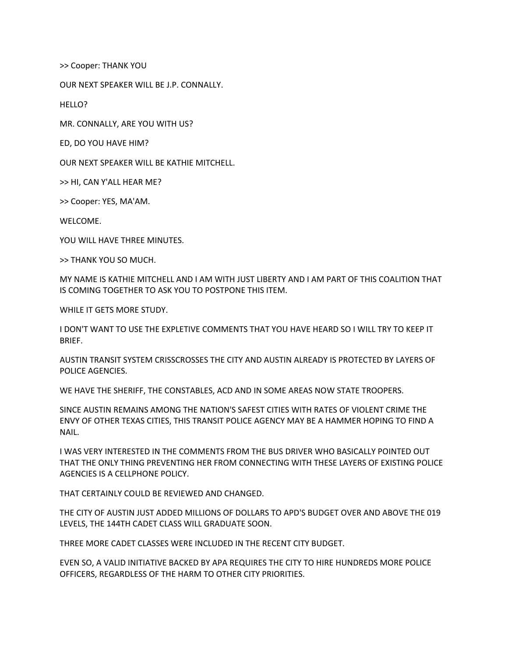>> Cooper: THANK YOU

OUR NEXT SPEAKER WILL BE J.P. CONNALLY.

HELLO?

MR. CONNALLY, ARE YOU WITH US?

ED, DO YOU HAVE HIM?

OUR NEXT SPEAKER WILL BE KATHIE MITCHELL.

>> HI, CAN Y'ALL HEAR ME?

>> Cooper: YES, MA'AM.

WELCOME.

YOU WILL HAVE THREE MINUTES.

>> THANK YOU SO MUCH.

MY NAME IS KATHIE MITCHELL AND I AM WITH JUST LIBERTY AND I AM PART OF THIS COALITION THAT IS COMING TOGETHER TO ASK YOU TO POSTPONE THIS ITEM.

WHILE IT GETS MORE STUDY.

I DON'T WANT TO USE THE EXPLETIVE COMMENTS THAT YOU HAVE HEARD SO I WILL TRY TO KEEP IT BRIEF.

AUSTIN TRANSIT SYSTEM CRISSCROSSES THE CITY AND AUSTIN ALREADY IS PROTECTED BY LAYERS OF POLICE AGENCIES.

WE HAVE THE SHERIFF, THE CONSTABLES, ACD AND IN SOME AREAS NOW STATE TROOPERS.

SINCE AUSTIN REMAINS AMONG THE NATION'S SAFEST CITIES WITH RATES OF VIOLENT CRIME THE ENVY OF OTHER TEXAS CITIES, THIS TRANSIT POLICE AGENCY MAY BE A HAMMER HOPING TO FIND A NAIL.

I WAS VERY INTERESTED IN THE COMMENTS FROM THE BUS DRIVER WHO BASICALLY POINTED OUT THAT THE ONLY THING PREVENTING HER FROM CONNECTING WITH THESE LAYERS OF EXISTING POLICE AGENCIES IS A CELLPHONE POLICY.

THAT CERTAINLY COULD BE REVIEWED AND CHANGED.

THE CITY OF AUSTIN JUST ADDED MILLIONS OF DOLLARS TO APD'S BUDGET OVER AND ABOVE THE 019 LEVELS, THE 144TH CADET CLASS WILL GRADUATE SOON.

THREE MORE CADET CLASSES WERE INCLUDED IN THE RECENT CITY BUDGET.

EVEN SO, A VALID INITIATIVE BACKED BY APA REQUIRES THE CITY TO HIRE HUNDREDS MORE POLICE OFFICERS, REGARDLESS OF THE HARM TO OTHER CITY PRIORITIES.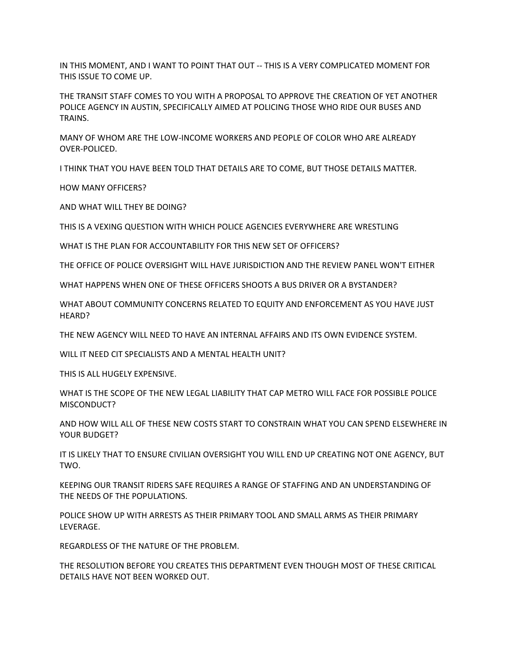IN THIS MOMENT, AND I WANT TO POINT THAT OUT -- THIS IS A VERY COMPLICATED MOMENT FOR THIS ISSUE TO COME UP.

THE TRANSIT STAFF COMES TO YOU WITH A PROPOSAL TO APPROVE THE CREATION OF YET ANOTHER POLICE AGENCY IN AUSTIN, SPECIFICALLY AIMED AT POLICING THOSE WHO RIDE OUR BUSES AND TRAINS.

MANY OF WHOM ARE THE LOW-INCOME WORKERS AND PEOPLE OF COLOR WHO ARE ALREADY OVER-POLICED.

I THINK THAT YOU HAVE BEEN TOLD THAT DETAILS ARE TO COME, BUT THOSE DETAILS MATTER.

HOW MANY OFFICERS?

AND WHAT WILL THEY BE DOING?

THIS IS A VEXING QUESTION WITH WHICH POLICE AGENCIES EVERYWHERE ARE WRESTLING

WHAT IS THE PLAN FOR ACCOUNTABILITY FOR THIS NEW SET OF OFFICERS?

THE OFFICE OF POLICE OVERSIGHT WILL HAVE JURISDICTION AND THE REVIEW PANEL WON'T EITHER

WHAT HAPPENS WHEN ONE OF THESE OFFICERS SHOOTS A BUS DRIVER OR A BYSTANDER?

WHAT ABOUT COMMUNITY CONCERNS RELATED TO EQUITY AND ENFORCEMENT AS YOU HAVE JUST HEARD?

THE NEW AGENCY WILL NEED TO HAVE AN INTERNAL AFFAIRS AND ITS OWN EVIDENCE SYSTEM.

WILL IT NEED CIT SPECIALISTS AND A MENTAL HEALTH UNIT?

THIS IS ALL HUGELY EXPENSIVE.

WHAT IS THE SCOPE OF THE NEW LEGAL LIABILITY THAT CAP METRO WILL FACE FOR POSSIBLE POLICE MISCONDUCT?

AND HOW WILL ALL OF THESE NEW COSTS START TO CONSTRAIN WHAT YOU CAN SPEND ELSEWHERE IN YOUR BUDGET?

IT IS LIKELY THAT TO ENSURE CIVILIAN OVERSIGHT YOU WILL END UP CREATING NOT ONE AGENCY, BUT TWO.

KEEPING OUR TRANSIT RIDERS SAFE REQUIRES A RANGE OF STAFFING AND AN UNDERSTANDING OF THE NEEDS OF THE POPULATIONS.

POLICE SHOW UP WITH ARRESTS AS THEIR PRIMARY TOOL AND SMALL ARMS AS THEIR PRIMARY LEVERAGE.

REGARDLESS OF THE NATURE OF THE PROBLEM.

THE RESOLUTION BEFORE YOU CREATES THIS DEPARTMENT EVEN THOUGH MOST OF THESE CRITICAL DETAILS HAVE NOT BEEN WORKED OUT.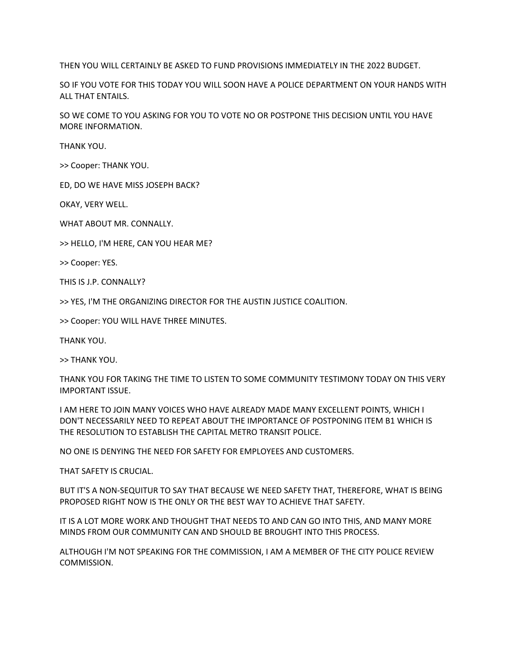THEN YOU WILL CERTAINLY BE ASKED TO FUND PROVISIONS IMMEDIATELY IN THE 2022 BUDGET.

SO IF YOU VOTE FOR THIS TODAY YOU WILL SOON HAVE A POLICE DEPARTMENT ON YOUR HANDS WITH ALL THAT ENTAILS.

SO WE COME TO YOU ASKING FOR YOU TO VOTE NO OR POSTPONE THIS DECISION UNTIL YOU HAVE MORE INFORMATION.

THANK YOU.

>> Cooper: THANK YOU.

ED, DO WE HAVE MISS JOSEPH BACK?

OKAY, VERY WELL.

WHAT ABOUT MR. CONNALLY.

>> HELLO, I'M HERE, CAN YOU HEAR ME?

>> Cooper: YES.

THIS IS J.P. CONNALLY?

>> YES, I'M THE ORGANIZING DIRECTOR FOR THE AUSTIN JUSTICE COALITION.

>> Cooper: YOU WILL HAVE THREE MINUTES.

THANK YOU.

>> THANK YOU.

THANK YOU FOR TAKING THE TIME TO LISTEN TO SOME COMMUNITY TESTIMONY TODAY ON THIS VERY IMPORTANT ISSUE.

I AM HERE TO JOIN MANY VOICES WHO HAVE ALREADY MADE MANY EXCELLENT POINTS, WHICH I DON'T NECESSARILY NEED TO REPEAT ABOUT THE IMPORTANCE OF POSTPONING ITEM B1 WHICH IS THE RESOLUTION TO ESTABLISH THE CAPITAL METRO TRANSIT POLICE.

NO ONE IS DENYING THE NEED FOR SAFETY FOR EMPLOYEES AND CUSTOMERS.

THAT SAFETY IS CRUCIAL.

BUT IT'S A NON-SEQUITUR TO SAY THAT BECAUSE WE NEED SAFETY THAT, THEREFORE, WHAT IS BEING PROPOSED RIGHT NOW IS THE ONLY OR THE BEST WAY TO ACHIEVE THAT SAFETY.

IT IS A LOT MORE WORK AND THOUGHT THAT NEEDS TO AND CAN GO INTO THIS, AND MANY MORE MINDS FROM OUR COMMUNITY CAN AND SHOULD BE BROUGHT INTO THIS PROCESS.

ALTHOUGH I'M NOT SPEAKING FOR THE COMMISSION, I AM A MEMBER OF THE CITY POLICE REVIEW COMMISSION.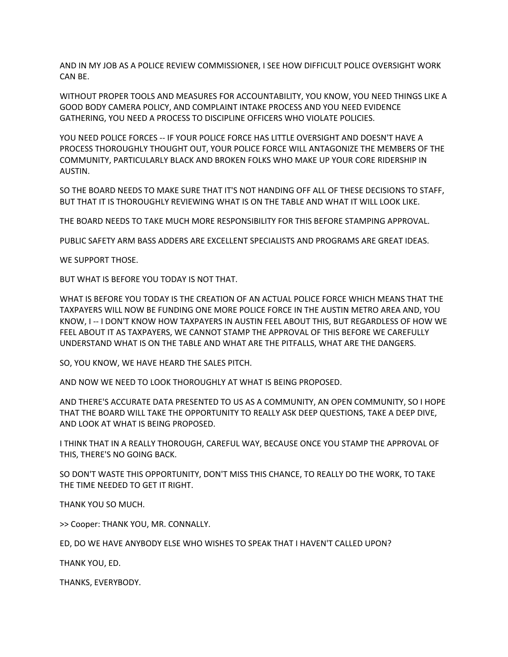AND IN MY JOB AS A POLICE REVIEW COMMISSIONER, I SEE HOW DIFFICULT POLICE OVERSIGHT WORK CAN BE.

WITHOUT PROPER TOOLS AND MEASURES FOR ACCOUNTABILITY, YOU KNOW, YOU NEED THINGS LIKE A GOOD BODY CAMERA POLICY, AND COMPLAINT INTAKE PROCESS AND YOU NEED EVIDENCE GATHERING, YOU NEED A PROCESS TO DISCIPLINE OFFICERS WHO VIOLATE POLICIES.

YOU NEED POLICE FORCES -- IF YOUR POLICE FORCE HAS LITTLE OVERSIGHT AND DOESN'T HAVE A PROCESS THOROUGHLY THOUGHT OUT, YOUR POLICE FORCE WILL ANTAGONIZE THE MEMBERS OF THE COMMUNITY, PARTICULARLY BLACK AND BROKEN FOLKS WHO MAKE UP YOUR CORE RIDERSHIP IN AUSTIN.

SO THE BOARD NEEDS TO MAKE SURE THAT IT'S NOT HANDING OFF ALL OF THESE DECISIONS TO STAFF, BUT THAT IT IS THOROUGHLY REVIEWING WHAT IS ON THE TABLE AND WHAT IT WILL LOOK LIKE.

THE BOARD NEEDS TO TAKE MUCH MORE RESPONSIBILITY FOR THIS BEFORE STAMPING APPROVAL.

PUBLIC SAFETY ARM BASS ADDERS ARE EXCELLENT SPECIALISTS AND PROGRAMS ARE GREAT IDEAS.

WE SUPPORT THOSE.

BUT WHAT IS BEFORE YOU TODAY IS NOT THAT.

WHAT IS BEFORE YOU TODAY IS THE CREATION OF AN ACTUAL POLICE FORCE WHICH MEANS THAT THE TAXPAYERS WILL NOW BE FUNDING ONE MORE POLICE FORCE IN THE AUSTIN METRO AREA AND, YOU KNOW, I -- I DON'T KNOW HOW TAXPAYERS IN AUSTIN FEEL ABOUT THIS, BUT REGARDLESS OF HOW WE FEEL ABOUT IT AS TAXPAYERS, WE CANNOT STAMP THE APPROVAL OF THIS BEFORE WE CAREFULLY UNDERSTAND WHAT IS ON THE TABLE AND WHAT ARE THE PITFALLS, WHAT ARE THE DANGERS.

SO, YOU KNOW, WE HAVE HEARD THE SALES PITCH.

AND NOW WE NEED TO LOOK THOROUGHLY AT WHAT IS BEING PROPOSED.

AND THERE'S ACCURATE DATA PRESENTED TO US AS A COMMUNITY, AN OPEN COMMUNITY, SO I HOPE THAT THE BOARD WILL TAKE THE OPPORTUNITY TO REALLY ASK DEEP QUESTIONS, TAKE A DEEP DIVE, AND LOOK AT WHAT IS BEING PROPOSED.

I THINK THAT IN A REALLY THOROUGH, CAREFUL WAY, BECAUSE ONCE YOU STAMP THE APPROVAL OF THIS, THERE'S NO GOING BACK.

SO DON'T WASTE THIS OPPORTUNITY, DON'T MISS THIS CHANCE, TO REALLY DO THE WORK, TO TAKE THE TIME NEEDED TO GET IT RIGHT.

THANK YOU SO MUCH.

>> Cooper: THANK YOU, MR. CONNALLY.

ED, DO WE HAVE ANYBODY ELSE WHO WISHES TO SPEAK THAT I HAVEN'T CALLED UPON?

THANK YOU, ED.

THANKS, EVERYBODY.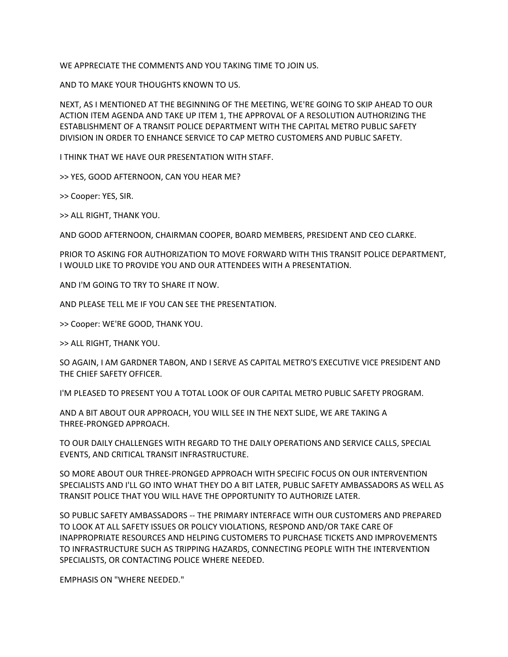WE APPRECIATE THE COMMENTS AND YOU TAKING TIME TO JOIN US.

AND TO MAKE YOUR THOUGHTS KNOWN TO US.

NEXT, AS I MENTIONED AT THE BEGINNING OF THE MEETING, WE'RE GOING TO SKIP AHEAD TO OUR ACTION ITEM AGENDA AND TAKE UP ITEM 1, THE APPROVAL OF A RESOLUTION AUTHORIZING THE ESTABLISHMENT OF A TRANSIT POLICE DEPARTMENT WITH THE CAPITAL METRO PUBLIC SAFETY DIVISION IN ORDER TO ENHANCE SERVICE TO CAP METRO CUSTOMERS AND PUBLIC SAFETY.

I THINK THAT WE HAVE OUR PRESENTATION WITH STAFF.

>> YES, GOOD AFTERNOON, CAN YOU HEAR ME?

>> Cooper: YES, SIR.

>> ALL RIGHT, THANK YOU.

AND GOOD AFTERNOON, CHAIRMAN COOPER, BOARD MEMBERS, PRESIDENT AND CEO CLARKE.

PRIOR TO ASKING FOR AUTHORIZATION TO MOVE FORWARD WITH THIS TRANSIT POLICE DEPARTMENT, I WOULD LIKE TO PROVIDE YOU AND OUR ATTENDEES WITH A PRESENTATION.

AND I'M GOING TO TRY TO SHARE IT NOW.

AND PLEASE TELL ME IF YOU CAN SEE THE PRESENTATION.

>> Cooper: WE'RE GOOD, THANK YOU.

>> ALL RIGHT, THANK YOU.

SO AGAIN, I AM GARDNER TABON, AND I SERVE AS CAPITAL METRO'S EXECUTIVE VICE PRESIDENT AND THE CHIEF SAFETY OFFICER.

I'M PLEASED TO PRESENT YOU A TOTAL LOOK OF OUR CAPITAL METRO PUBLIC SAFETY PROGRAM.

AND A BIT ABOUT OUR APPROACH, YOU WILL SEE IN THE NEXT SLIDE, WE ARE TAKING A THREE-PRONGED APPROACH.

TO OUR DAILY CHALLENGES WITH REGARD TO THE DAILY OPERATIONS AND SERVICE CALLS, SPECIAL EVENTS, AND CRITICAL TRANSIT INFRASTRUCTURE.

SO MORE ABOUT OUR THREE-PRONGED APPROACH WITH SPECIFIC FOCUS ON OUR INTERVENTION SPECIALISTS AND I'LL GO INTO WHAT THEY DO A BIT LATER, PUBLIC SAFETY AMBASSADORS AS WELL AS TRANSIT POLICE THAT YOU WILL HAVE THE OPPORTUNITY TO AUTHORIZE LATER.

SO PUBLIC SAFETY AMBASSADORS -- THE PRIMARY INTERFACE WITH OUR CUSTOMERS AND PREPARED TO LOOK AT ALL SAFETY ISSUES OR POLICY VIOLATIONS, RESPOND AND/OR TAKE CARE OF INAPPROPRIATE RESOURCES AND HELPING CUSTOMERS TO PURCHASE TICKETS AND IMPROVEMENTS TO INFRASTRUCTURE SUCH AS TRIPPING HAZARDS, CONNECTING PEOPLE WITH THE INTERVENTION SPECIALISTS, OR CONTACTING POLICE WHERE NEEDED.

EMPHASIS ON "WHERE NEEDED."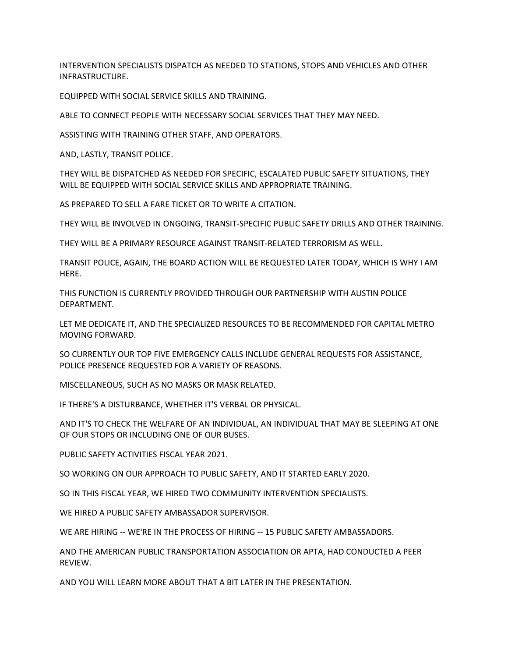INTERVENTION SPECIALISTS DISPATCH AS NEEDED TO STATIONS, STOPS AND VEHICLES AND OTHER INFRASTRUCTURE.

EQUIPPED WITH SOCIAL SERVICE SKILLS AND TRAINING.

ABLE TO CONNECT PEOPLE WITH NECESSARY SOCIAL SERVICES THAT THEY MAY NEED.

ASSISTING WITH TRAINING OTHER STAFF, AND OPERATORS.

AND, LASTLY, TRANSIT POLICE.

THEY WILL BE DISPATCHED AS NEEDED FOR SPECIFIC, ESCALATED PUBLIC SAFETY SITUATIONS, THEY WILL BE EQUIPPED WITH SOCIAL SERVICE SKILLS AND APPROPRIATE TRAINING.

AS PREPARED TO SELL A FARE TICKET OR TO WRITE A CITATION.

THEY WILL BE INVOLVED IN ONGOING, TRANSIT-SPECIFIC PUBLIC SAFETY DRILLS AND OTHER TRAINING.

THEY WILL BE A PRIMARY RESOURCE AGAINST TRANSIT-RELATED TERRORISM AS WELL.

TRANSIT POLICE, AGAIN, THE BOARD ACTION WILL BE REQUESTED LATER TODAY, WHICH IS WHY I AM HERE.

THIS FUNCTION IS CURRENTLY PROVIDED THROUGH OUR PARTNERSHIP WITH AUSTIN POLICE DEPARTMENT.

LET ME DEDICATE IT, AND THE SPECIALIZED RESOURCES TO BE RECOMMENDED FOR CAPITAL METRO MOVING FORWARD.

SO CURRENTLY OUR TOP FIVE EMERGENCY CALLS INCLUDE GENERAL REQUESTS FOR ASSISTANCE, POLICE PRESENCE REQUESTED FOR A VARIETY OF REASONS.

MISCELLANEOUS, SUCH AS NO MASKS OR MASK RELATED.

IF THERE'S A DISTURBANCE, WHETHER IT'S VERBAL OR PHYSICAL.

AND IT'S TO CHECK THE WELFARE OF AN INDIVIDUAL, AN INDIVIDUAL THAT MAY BE SLEEPING AT ONE OF OUR STOPS OR INCLUDING ONE OF OUR BUSES.

PUBLIC SAFETY ACTIVITIES FISCAL YEAR 2021.

SO WORKING ON OUR APPROACH TO PUBLIC SAFETY, AND IT STARTED EARLY 2020.

SO IN THIS FISCAL YEAR, WE HIRED TWO COMMUNITY INTERVENTION SPECIALISTS.

WE HIRED A PUBLIC SAFETY AMBASSADOR SUPERVISOR.

WE ARE HIRING -- WE'RE IN THE PROCESS OF HIRING -- 15 PUBLIC SAFETY AMBASSADORS.

AND THE AMERICAN PUBLIC TRANSPORTATION ASSOCIATION OR APTA, HAD CONDUCTED A PEER REVIEW.

AND YOU WILL LEARN MORE ABOUT THAT A BIT LATER IN THE PRESENTATION.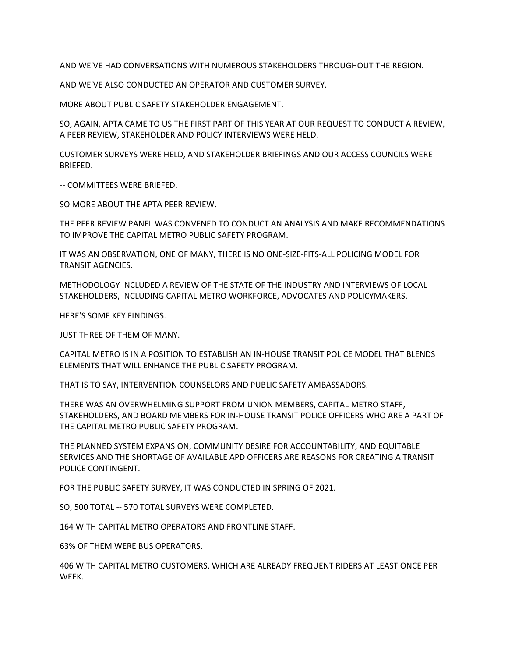AND WE'VE HAD CONVERSATIONS WITH NUMEROUS STAKEHOLDERS THROUGHOUT THE REGION.

AND WE'VE ALSO CONDUCTED AN OPERATOR AND CUSTOMER SURVEY.

MORE ABOUT PUBLIC SAFETY STAKEHOLDER ENGAGEMENT.

SO, AGAIN, APTA CAME TO US THE FIRST PART OF THIS YEAR AT OUR REQUEST TO CONDUCT A REVIEW, A PEER REVIEW, STAKEHOLDER AND POLICY INTERVIEWS WERE HELD.

CUSTOMER SURVEYS WERE HELD, AND STAKEHOLDER BRIEFINGS AND OUR ACCESS COUNCILS WERE BRIEFED.

-- COMMITTEES WERE BRIEFED.

SO MORE ABOUT THE APTA PEER REVIEW.

THE PEER REVIEW PANEL WAS CONVENED TO CONDUCT AN ANALYSIS AND MAKE RECOMMENDATIONS TO IMPROVE THE CAPITAL METRO PUBLIC SAFETY PROGRAM.

IT WAS AN OBSERVATION, ONE OF MANY, THERE IS NO ONE-SIZE-FITS-ALL POLICING MODEL FOR TRANSIT AGENCIES.

METHODOLOGY INCLUDED A REVIEW OF THE STATE OF THE INDUSTRY AND INTERVIEWS OF LOCAL STAKEHOLDERS, INCLUDING CAPITAL METRO WORKFORCE, ADVOCATES AND POLICYMAKERS.

HERE'S SOME KEY FINDINGS.

JUST THREE OF THEM OF MANY.

CAPITAL METRO IS IN A POSITION TO ESTABLISH AN IN-HOUSE TRANSIT POLICE MODEL THAT BLENDS ELEMENTS THAT WILL ENHANCE THE PUBLIC SAFETY PROGRAM.

THAT IS TO SAY, INTERVENTION COUNSELORS AND PUBLIC SAFETY AMBASSADORS.

THERE WAS AN OVERWHELMING SUPPORT FROM UNION MEMBERS, CAPITAL METRO STAFF, STAKEHOLDERS, AND BOARD MEMBERS FOR IN-HOUSE TRANSIT POLICE OFFICERS WHO ARE A PART OF THE CAPITAL METRO PUBLIC SAFETY PROGRAM.

THE PLANNED SYSTEM EXPANSION, COMMUNITY DESIRE FOR ACCOUNTABILITY, AND EQUITABLE SERVICES AND THE SHORTAGE OF AVAILABLE APD OFFICERS ARE REASONS FOR CREATING A TRANSIT POLICE CONTINGENT.

FOR THE PUBLIC SAFETY SURVEY, IT WAS CONDUCTED IN SPRING OF 2021.

SO, 500 TOTAL -- 570 TOTAL SURVEYS WERE COMPLETED.

164 WITH CAPITAL METRO OPERATORS AND FRONTLINE STAFF.

63% OF THEM WERE BUS OPERATORS.

406 WITH CAPITAL METRO CUSTOMERS, WHICH ARE ALREADY FREQUENT RIDERS AT LEAST ONCE PER WEEK.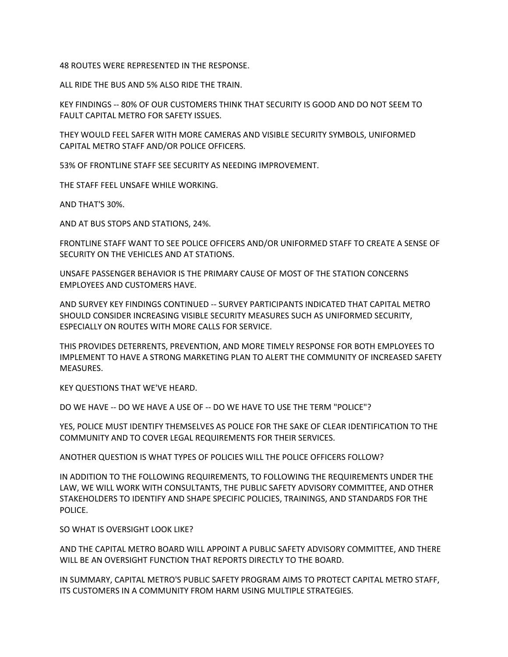48 ROUTES WERE REPRESENTED IN THE RESPONSE.

ALL RIDE THE BUS AND 5% ALSO RIDE THE TRAIN.

KEY FINDINGS -- 80% OF OUR CUSTOMERS THINK THAT SECURITY IS GOOD AND DO NOT SEEM TO FAULT CAPITAL METRO FOR SAFETY ISSUES.

THEY WOULD FEEL SAFER WITH MORE CAMERAS AND VISIBLE SECURITY SYMBOLS, UNIFORMED CAPITAL METRO STAFF AND/OR POLICE OFFICERS.

53% OF FRONTLINE STAFF SEE SECURITY AS NEEDING IMPROVEMENT.

THE STAFF FEEL UNSAFE WHILE WORKING.

AND THAT'S 30%.

AND AT BUS STOPS AND STATIONS, 24%.

FRONTLINE STAFF WANT TO SEE POLICE OFFICERS AND/OR UNIFORMED STAFF TO CREATE A SENSE OF SECURITY ON THE VEHICLES AND AT STATIONS.

UNSAFE PASSENGER BEHAVIOR IS THE PRIMARY CAUSE OF MOST OF THE STATION CONCERNS EMPLOYEES AND CUSTOMERS HAVE.

AND SURVEY KEY FINDINGS CONTINUED -- SURVEY PARTICIPANTS INDICATED THAT CAPITAL METRO SHOULD CONSIDER INCREASING VISIBLE SECURITY MEASURES SUCH AS UNIFORMED SECURITY, ESPECIALLY ON ROUTES WITH MORE CALLS FOR SERVICE.

THIS PROVIDES DETERRENTS, PREVENTION, AND MORE TIMELY RESPONSE FOR BOTH EMPLOYEES TO IMPLEMENT TO HAVE A STRONG MARKETING PLAN TO ALERT THE COMMUNITY OF INCREASED SAFETY MEASURES.

KEY QUESTIONS THAT WE'VE HEARD.

DO WE HAVE -- DO WE HAVE A USE OF -- DO WE HAVE TO USE THE TERM "POLICE"?

YES, POLICE MUST IDENTIFY THEMSELVES AS POLICE FOR THE SAKE OF CLEAR IDENTIFICATION TO THE COMMUNITY AND TO COVER LEGAL REQUIREMENTS FOR THEIR SERVICES.

ANOTHER QUESTION IS WHAT TYPES OF POLICIES WILL THE POLICE OFFICERS FOLLOW?

IN ADDITION TO THE FOLLOWING REQUIREMENTS, TO FOLLOWING THE REQUIREMENTS UNDER THE LAW, WE WILL WORK WITH CONSULTANTS, THE PUBLIC SAFETY ADVISORY COMMITTEE, AND OTHER STAKEHOLDERS TO IDENTIFY AND SHAPE SPECIFIC POLICIES, TRAININGS, AND STANDARDS FOR THE POLICE.

SO WHAT IS OVERSIGHT LOOK LIKE?

AND THE CAPITAL METRO BOARD WILL APPOINT A PUBLIC SAFETY ADVISORY COMMITTEE, AND THERE WILL BE AN OVERSIGHT FUNCTION THAT REPORTS DIRECTLY TO THE BOARD.

IN SUMMARY, CAPITAL METRO'S PUBLIC SAFETY PROGRAM AIMS TO PROTECT CAPITAL METRO STAFF, ITS CUSTOMERS IN A COMMUNITY FROM HARM USING MULTIPLE STRATEGIES.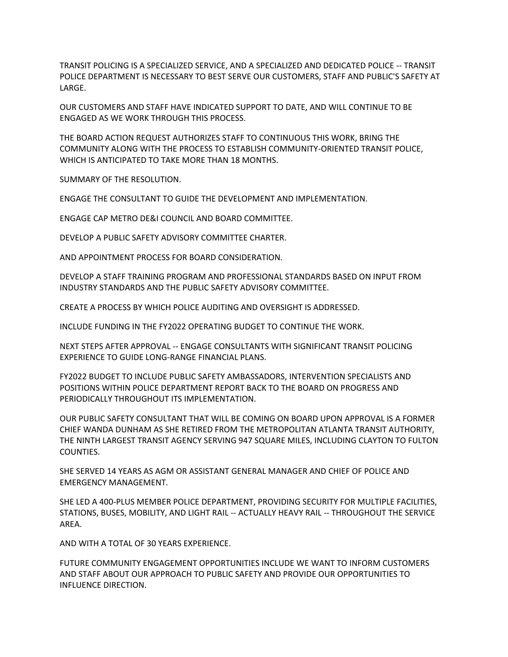TRANSIT POLICING IS A SPECIALIZED SERVICE, AND A SPECIALIZED AND DEDICATED POLICE -- TRANSIT POLICE DEPARTMENT IS NECESSARY TO BEST SERVE OUR CUSTOMERS, STAFF AND PUBLIC'S SAFETY AT LARGE.

OUR CUSTOMERS AND STAFF HAVE INDICATED SUPPORT TO DATE, AND WILL CONTINUE TO BE ENGAGED AS WE WORK THROUGH THIS PROCESS.

THE BOARD ACTION REQUEST AUTHORIZES STAFF TO CONTINUOUS THIS WORK, BRING THE COMMUNITY ALONG WITH THE PROCESS TO ESTABLISH COMMUNITY-ORIENTED TRANSIT POLICE, WHICH IS ANTICIPATED TO TAKE MORE THAN 18 MONTHS.

SUMMARY OF THE RESOLUTION.

ENGAGE THE CONSULTANT TO GUIDE THE DEVELOPMENT AND IMPLEMENTATION.

ENGAGE CAP METRO DE&I COUNCIL AND BOARD COMMITTEE.

DEVELOP A PUBLIC SAFETY ADVISORY COMMITTEE CHARTER.

AND APPOINTMENT PROCESS FOR BOARD CONSIDERATION.

DEVELOP A STAFF TRAINING PROGRAM AND PROFESSIONAL STANDARDS BASED ON INPUT FROM INDUSTRY STANDARDS AND THE PUBLIC SAFETY ADVISORY COMMITTEE.

CREATE A PROCESS BY WHICH POLICE AUDITING AND OVERSIGHT IS ADDRESSED.

INCLUDE FUNDING IN THE FY2022 OPERATING BUDGET TO CONTINUE THE WORK.

NEXT STEPS AFTER APPROVAL -- ENGAGE CONSULTANTS WITH SIGNIFICANT TRANSIT POLICING EXPERIENCE TO GUIDE LONG-RANGE FINANCIAL PLANS.

FY2022 BUDGET TO INCLUDE PUBLIC SAFETY AMBASSADORS, INTERVENTION SPECIALISTS AND POSITIONS WITHIN POLICE DEPARTMENT REPORT BACK TO THE BOARD ON PROGRESS AND PERIODICALLY THROUGHOUT ITS IMPLEMENTATION.

OUR PUBLIC SAFETY CONSULTANT THAT WILL BE COMING ON BOARD UPON APPROVAL IS A FORMER CHIEF WANDA DUNHAM AS SHE RETIRED FROM THE METROPOLITAN ATLANTA TRANSIT AUTHORITY, THE NINTH LARGEST TRANSIT AGENCY SERVING 947 SQUARE MILES, INCLUDING CLAYTON TO FULTON COUNTIES.

SHE SERVED 14 YEARS AS AGM OR ASSISTANT GENERAL MANAGER AND CHIEF OF POLICE AND EMERGENCY MANAGEMENT.

SHE LED A 400-PLUS MEMBER POLICE DEPARTMENT, PROVIDING SECURITY FOR MULTIPLE FACILITIES, STATIONS, BUSES, MOBILITY, AND LIGHT RAIL -- ACTUALLY HEAVY RAIL -- THROUGHOUT THE SERVICE AREA.

AND WITH A TOTAL OF 30 YEARS EXPERIENCE.

FUTURE COMMUNITY ENGAGEMENT OPPORTUNITIES INCLUDE WE WANT TO INFORM CUSTOMERS AND STAFF ABOUT OUR APPROACH TO PUBLIC SAFETY AND PROVIDE OUR OPPORTUNITIES TO INFLUENCE DIRECTION.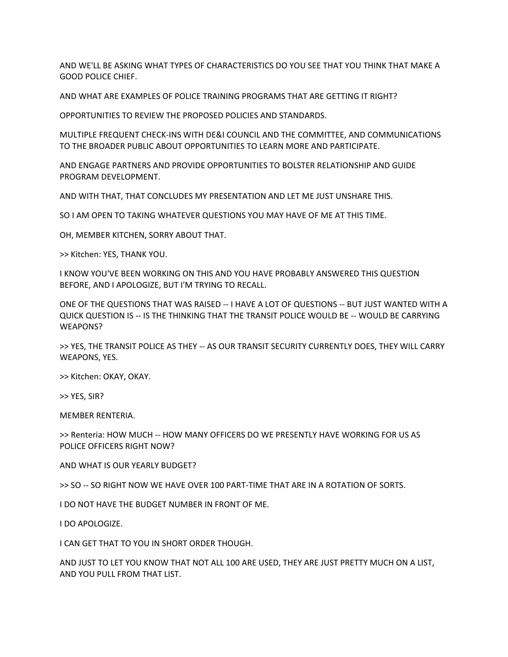AND WE'LL BE ASKING WHAT TYPES OF CHARACTERISTICS DO YOU SEE THAT YOU THINK THAT MAKE A GOOD POLICE CHIEF.

AND WHAT ARE EXAMPLES OF POLICE TRAINING PROGRAMS THAT ARE GETTING IT RIGHT?

OPPORTUNITIES TO REVIEW THE PROPOSED POLICIES AND STANDARDS.

MULTIPLE FREQUENT CHECK-INS WITH DE&I COUNCIL AND THE COMMITTEE, AND COMMUNICATIONS TO THE BROADER PUBLIC ABOUT OPPORTUNITIES TO LEARN MORE AND PARTICIPATE.

AND ENGAGE PARTNERS AND PROVIDE OPPORTUNITIES TO BOLSTER RELATIONSHIP AND GUIDE PROGRAM DEVELOPMENT.

AND WITH THAT, THAT CONCLUDES MY PRESENTATION AND LET ME JUST UNSHARE THIS.

SO I AM OPEN TO TAKING WHATEVER QUESTIONS YOU MAY HAVE OF ME AT THIS TIME.

OH, MEMBER KITCHEN, SORRY ABOUT THAT.

>> Kitchen: YES, THANK YOU.

I KNOW YOU'VE BEEN WORKING ON THIS AND YOU HAVE PROBABLY ANSWERED THIS QUESTION BEFORE, AND I APOLOGIZE, BUT I'M TRYING TO RECALL.

ONE OF THE QUESTIONS THAT WAS RAISED -- I HAVE A LOT OF QUESTIONS -- BUT JUST WANTED WITH A QUICK QUESTION IS -- IS THE THINKING THAT THE TRANSIT POLICE WOULD BE -- WOULD BE CARRYING WEAPONS?

>> YES, THE TRANSIT POLICE AS THEY -- AS OUR TRANSIT SECURITY CURRENTLY DOES, THEY WILL CARRY WEAPONS, YES.

>> Kitchen: OKAY, OKAY.

>> YES, SIR?

MEMBER RENTERIA.

>> Renteria: HOW MUCH -- HOW MANY OFFICERS DO WE PRESENTLY HAVE WORKING FOR US AS POLICE OFFICERS RIGHT NOW?

AND WHAT IS OUR YEARLY BUDGET?

>> SO -- SO RIGHT NOW WE HAVE OVER 100 PART-TIME THAT ARE IN A ROTATION OF SORTS.

I DO NOT HAVE THE BUDGET NUMBER IN FRONT OF ME.

I DO APOLOGIZE.

I CAN GET THAT TO YOU IN SHORT ORDER THOUGH.

AND JUST TO LET YOU KNOW THAT NOT ALL 100 ARE USED, THEY ARE JUST PRETTY MUCH ON A LIST, AND YOU PULL FROM THAT LIST.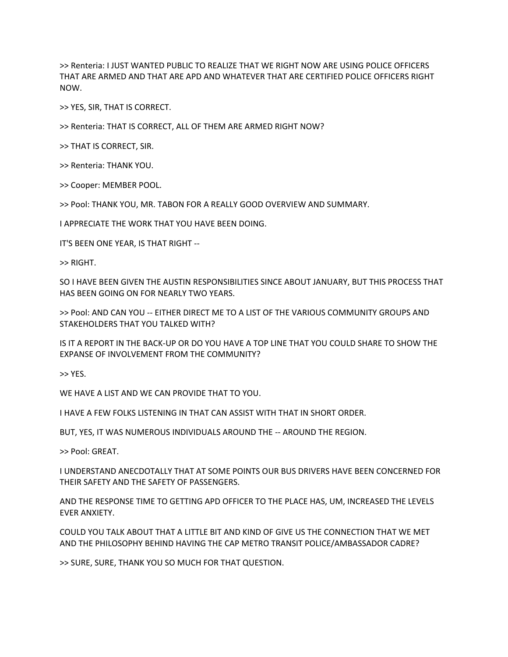>> Renteria: I JUST WANTED PUBLIC TO REALIZE THAT WE RIGHT NOW ARE USING POLICE OFFICERS THAT ARE ARMED AND THAT ARE APD AND WHATEVER THAT ARE CERTIFIED POLICE OFFICERS RIGHT NOW.

>> YES, SIR, THAT IS CORRECT.

>> Renteria: THAT IS CORRECT, ALL OF THEM ARE ARMED RIGHT NOW?

>> THAT IS CORRECT, SIR.

>> Renteria: THANK YOU.

>> Cooper: MEMBER POOL.

>> Pool: THANK YOU, MR. TABON FOR A REALLY GOOD OVERVIEW AND SUMMARY.

I APPRECIATE THE WORK THAT YOU HAVE BEEN DOING.

IT'S BEEN ONE YEAR, IS THAT RIGHT --

>> RIGHT.

SO I HAVE BEEN GIVEN THE AUSTIN RESPONSIBILITIES SINCE ABOUT JANUARY, BUT THIS PROCESS THAT HAS BEEN GOING ON FOR NEARLY TWO YEARS.

>> Pool: AND CAN YOU -- EITHER DIRECT ME TO A LIST OF THE VARIOUS COMMUNITY GROUPS AND STAKEHOLDERS THAT YOU TALKED WITH?

IS IT A REPORT IN THE BACK-UP OR DO YOU HAVE A TOP LINE THAT YOU COULD SHARE TO SHOW THE EXPANSE OF INVOLVEMENT FROM THE COMMUNITY?

>> YES.

WE HAVE A LIST AND WE CAN PROVIDE THAT TO YOU.

I HAVE A FEW FOLKS LISTENING IN THAT CAN ASSIST WITH THAT IN SHORT ORDER.

BUT, YES, IT WAS NUMEROUS INDIVIDUALS AROUND THE -- AROUND THE REGION.

>> Pool: GREAT.

I UNDERSTAND ANECDOTALLY THAT AT SOME POINTS OUR BUS DRIVERS HAVE BEEN CONCERNED FOR THEIR SAFETY AND THE SAFETY OF PASSENGERS.

AND THE RESPONSE TIME TO GETTING APD OFFICER TO THE PLACE HAS, UM, INCREASED THE LEVELS EVER ANXIETY.

COULD YOU TALK ABOUT THAT A LITTLE BIT AND KIND OF GIVE US THE CONNECTION THAT WE MET AND THE PHILOSOPHY BEHIND HAVING THE CAP METRO TRANSIT POLICE/AMBASSADOR CADRE?

>> SURE, SURE, THANK YOU SO MUCH FOR THAT QUESTION.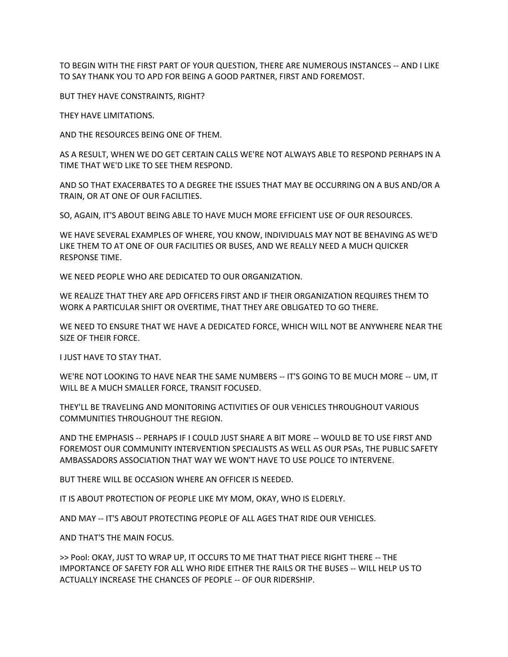TO BEGIN WITH THE FIRST PART OF YOUR QUESTION, THERE ARE NUMEROUS INSTANCES -- AND I LIKE TO SAY THANK YOU TO APD FOR BEING A GOOD PARTNER, FIRST AND FOREMOST.

BUT THEY HAVE CONSTRAINTS, RIGHT?

THEY HAVE LIMITATIONS.

AND THE RESOURCES BEING ONE OF THEM.

AS A RESULT, WHEN WE DO GET CERTAIN CALLS WE'RE NOT ALWAYS ABLE TO RESPOND PERHAPS IN A TIME THAT WE'D LIKE TO SEE THEM RESPOND.

AND SO THAT EXACERBATES TO A DEGREE THE ISSUES THAT MAY BE OCCURRING ON A BUS AND/OR A TRAIN, OR AT ONE OF OUR FACILITIES.

SO, AGAIN, IT'S ABOUT BEING ABLE TO HAVE MUCH MORE EFFICIENT USE OF OUR RESOURCES.

WE HAVE SEVERAL EXAMPLES OF WHERE, YOU KNOW, INDIVIDUALS MAY NOT BE BEHAVING AS WE'D LIKE THEM TO AT ONE OF OUR FACILITIES OR BUSES, AND WE REALLY NEED A MUCH QUICKER RESPONSE TIME.

WE NEED PEOPLE WHO ARE DEDICATED TO OUR ORGANIZATION.

WE REALIZE THAT THEY ARE APD OFFICERS FIRST AND IF THEIR ORGANIZATION REQUIRES THEM TO WORK A PARTICULAR SHIFT OR OVERTIME, THAT THEY ARE OBLIGATED TO GO THERE.

WE NEED TO ENSURE THAT WE HAVE A DEDICATED FORCE, WHICH WILL NOT BE ANYWHERE NEAR THE SIZE OF THEIR FORCE.

I JUST HAVE TO STAY THAT.

WE'RE NOT LOOKING TO HAVE NEAR THE SAME NUMBERS -- IT'S GOING TO BE MUCH MORE -- UM, IT WILL BE A MUCH SMALLER FORCE, TRANSIT FOCUSED.

THEY'LL BE TRAVELING AND MONITORING ACTIVITIES OF OUR VEHICLES THROUGHOUT VARIOUS COMMUNITIES THROUGHOUT THE REGION.

AND THE EMPHASIS -- PERHAPS IF I COULD JUST SHARE A BIT MORE -- WOULD BE TO USE FIRST AND FOREMOST OUR COMMUNITY INTERVENTION SPECIALISTS AS WELL AS OUR PSAs, THE PUBLIC SAFETY AMBASSADORS ASSOCIATION THAT WAY WE WON'T HAVE TO USE POLICE TO INTERVENE.

BUT THERE WILL BE OCCASION WHERE AN OFFICER IS NEEDED.

IT IS ABOUT PROTECTION OF PEOPLE LIKE MY MOM, OKAY, WHO IS ELDERLY.

AND MAY -- IT'S ABOUT PROTECTING PEOPLE OF ALL AGES THAT RIDE OUR VEHICLES.

AND THAT'S THE MAIN FOCUS.

>> Pool: OKAY, JUST TO WRAP UP, IT OCCURS TO ME THAT THAT PIECE RIGHT THERE -- THE IMPORTANCE OF SAFETY FOR ALL WHO RIDE EITHER THE RAILS OR THE BUSES -- WILL HELP US TO ACTUALLY INCREASE THE CHANCES OF PEOPLE -- OF OUR RIDERSHIP.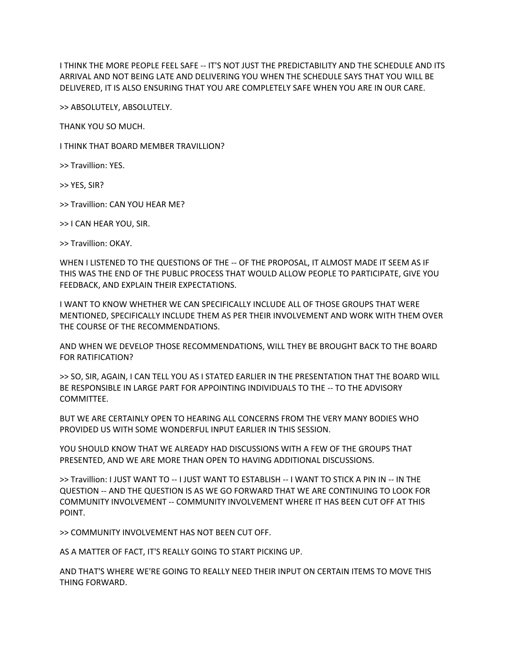I THINK THE MORE PEOPLE FEEL SAFE -- IT'S NOT JUST THE PREDICTABILITY AND THE SCHEDULE AND ITS ARRIVAL AND NOT BEING LATE AND DELIVERING YOU WHEN THE SCHEDULE SAYS THAT YOU WILL BE DELIVERED, IT IS ALSO ENSURING THAT YOU ARE COMPLETELY SAFE WHEN YOU ARE IN OUR CARE.

>> ABSOLUTELY, ABSOLUTELY.

THANK YOU SO MUCH.

I THINK THAT BOARD MEMBER TRAVILLION?

>> Travillion: YES.

>> YES, SIR?

>> Travillion: CAN YOU HEAR ME?

>> I CAN HEAR YOU, SIR.

>> Travillion: OKAY.

WHEN I LISTENED TO THE QUESTIONS OF THE -- OF THE PROPOSAL, IT ALMOST MADE IT SEEM AS IF THIS WAS THE END OF THE PUBLIC PROCESS THAT WOULD ALLOW PEOPLE TO PARTICIPATE, GIVE YOU FEEDBACK, AND EXPLAIN THEIR EXPECTATIONS.

I WANT TO KNOW WHETHER WE CAN SPECIFICALLY INCLUDE ALL OF THOSE GROUPS THAT WERE MENTIONED, SPECIFICALLY INCLUDE THEM AS PER THEIR INVOLVEMENT AND WORK WITH THEM OVER THE COURSE OF THE RECOMMENDATIONS.

AND WHEN WE DEVELOP THOSE RECOMMENDATIONS, WILL THEY BE BROUGHT BACK TO THE BOARD FOR RATIFICATION?

>> SO, SIR, AGAIN, I CAN TELL YOU AS I STATED EARLIER IN THE PRESENTATION THAT THE BOARD WILL BE RESPONSIBLE IN LARGE PART FOR APPOINTING INDIVIDUALS TO THE -- TO THE ADVISORY COMMITTEE.

BUT WE ARE CERTAINLY OPEN TO HEARING ALL CONCERNS FROM THE VERY MANY BODIES WHO PROVIDED US WITH SOME WONDERFUL INPUT EARLIER IN THIS SESSION.

YOU SHOULD KNOW THAT WE ALREADY HAD DISCUSSIONS WITH A FEW OF THE GROUPS THAT PRESENTED, AND WE ARE MORE THAN OPEN TO HAVING ADDITIONAL DISCUSSIONS.

>> Travillion: I JUST WANT TO -- I JUST WANT TO ESTABLISH -- I WANT TO STICK A PIN IN -- IN THE QUESTION -- AND THE QUESTION IS AS WE GO FORWARD THAT WE ARE CONTINUING TO LOOK FOR COMMUNITY INVOLVEMENT -- COMMUNITY INVOLVEMENT WHERE IT HAS BEEN CUT OFF AT THIS POINT.

>> COMMUNITY INVOLVEMENT HAS NOT BEEN CUT OFF.

AS A MATTER OF FACT, IT'S REALLY GOING TO START PICKING UP.

AND THAT'S WHERE WE'RE GOING TO REALLY NEED THEIR INPUT ON CERTAIN ITEMS TO MOVE THIS THING FORWARD.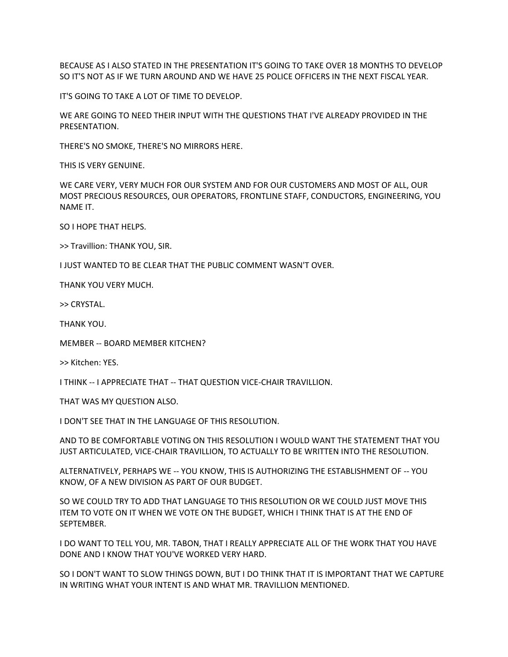BECAUSE AS I ALSO STATED IN THE PRESENTATION IT'S GOING TO TAKE OVER 18 MONTHS TO DEVELOP SO IT'S NOT AS IF WE TURN AROUND AND WE HAVE 25 POLICE OFFICERS IN THE NEXT FISCAL YEAR.

IT'S GOING TO TAKE A LOT OF TIME TO DEVELOP.

WE ARE GOING TO NEED THEIR INPUT WITH THE QUESTIONS THAT I'VE ALREADY PROVIDED IN THE PRESENTATION.

THERE'S NO SMOKE, THERE'S NO MIRRORS HERE.

THIS IS VERY GENUINE.

WE CARE VERY, VERY MUCH FOR OUR SYSTEM AND FOR OUR CUSTOMERS AND MOST OF ALL, OUR MOST PRECIOUS RESOURCES, OUR OPERATORS, FRONTLINE STAFF, CONDUCTORS, ENGINEERING, YOU NAME IT.

SO I HOPE THAT HELPS.

>> Travillion: THANK YOU, SIR.

I JUST WANTED TO BE CLEAR THAT THE PUBLIC COMMENT WASN'T OVER.

THANK YOU VERY MUCH.

>> CRYSTAL.

THANK YOU.

MEMBER -- BOARD MEMBER KITCHEN?

>> Kitchen: YES.

I THINK -- I APPRECIATE THAT -- THAT QUESTION VICE-CHAIR TRAVILLION.

THAT WAS MY QUESTION ALSO.

I DON'T SEE THAT IN THE LANGUAGE OF THIS RESOLUTION.

AND TO BE COMFORTABLE VOTING ON THIS RESOLUTION I WOULD WANT THE STATEMENT THAT YOU JUST ARTICULATED, VICE-CHAIR TRAVILLION, TO ACTUALLY TO BE WRITTEN INTO THE RESOLUTION.

ALTERNATIVELY, PERHAPS WE -- YOU KNOW, THIS IS AUTHORIZING THE ESTABLISHMENT OF -- YOU KNOW, OF A NEW DIVISION AS PART OF OUR BUDGET.

SO WE COULD TRY TO ADD THAT LANGUAGE TO THIS RESOLUTION OR WE COULD JUST MOVE THIS ITEM TO VOTE ON IT WHEN WE VOTE ON THE BUDGET, WHICH I THINK THAT IS AT THE END OF SEPTEMBER.

I DO WANT TO TELL YOU, MR. TABON, THAT I REALLY APPRECIATE ALL OF THE WORK THAT YOU HAVE DONE AND I KNOW THAT YOU'VE WORKED VERY HARD.

SO I DON'T WANT TO SLOW THINGS DOWN, BUT I DO THINK THAT IT IS IMPORTANT THAT WE CAPTURE IN WRITING WHAT YOUR INTENT IS AND WHAT MR. TRAVILLION MENTIONED.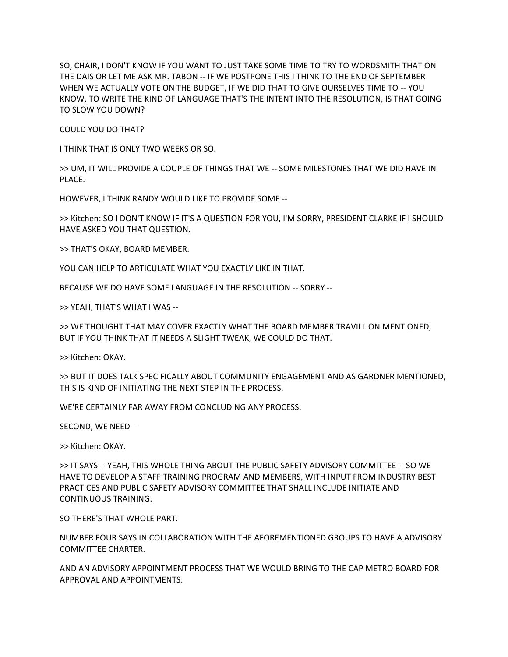SO, CHAIR, I DON'T KNOW IF YOU WANT TO JUST TAKE SOME TIME TO TRY TO WORDSMITH THAT ON THE DAIS OR LET ME ASK MR. TABON -- IF WE POSTPONE THIS I THINK TO THE END OF SEPTEMBER WHEN WE ACTUALLY VOTE ON THE BUDGET, IF WE DID THAT TO GIVE OURSELVES TIME TO -- YOU KNOW, TO WRITE THE KIND OF LANGUAGE THAT'S THE INTENT INTO THE RESOLUTION, IS THAT GOING TO SLOW YOU DOWN?

COULD YOU DO THAT?

I THINK THAT IS ONLY TWO WEEKS OR SO.

>> UM, IT WILL PROVIDE A COUPLE OF THINGS THAT WE -- SOME MILESTONES THAT WE DID HAVE IN PLACE.

HOWEVER, I THINK RANDY WOULD LIKE TO PROVIDE SOME --

>> Kitchen: SO I DON'T KNOW IF IT'S A QUESTION FOR YOU, I'M SORRY, PRESIDENT CLARKE IF I SHOULD HAVE ASKED YOU THAT QUESTION.

>> THAT'S OKAY, BOARD MEMBER.

YOU CAN HELP TO ARTICULATE WHAT YOU EXACTLY LIKE IN THAT.

BECAUSE WE DO HAVE SOME LANGUAGE IN THE RESOLUTION -- SORRY --

>> YEAH, THAT'S WHAT I WAS --

>> WE THOUGHT THAT MAY COVER EXACTLY WHAT THE BOARD MEMBER TRAVILLION MENTIONED, BUT IF YOU THINK THAT IT NEEDS A SLIGHT TWEAK, WE COULD DO THAT.

>> Kitchen: OKAY.

>> BUT IT DOES TALK SPECIFICALLY ABOUT COMMUNITY ENGAGEMENT AND AS GARDNER MENTIONED, THIS IS KIND OF INITIATING THE NEXT STEP IN THE PROCESS.

WE'RE CERTAINLY FAR AWAY FROM CONCLUDING ANY PROCESS.

SECOND, WE NEED --

>> Kitchen: OKAY.

>> IT SAYS -- YEAH, THIS WHOLE THING ABOUT THE PUBLIC SAFETY ADVISORY COMMITTEE -- SO WE HAVE TO DEVELOP A STAFF TRAINING PROGRAM AND MEMBERS, WITH INPUT FROM INDUSTRY BEST PRACTICES AND PUBLIC SAFETY ADVISORY COMMITTEE THAT SHALL INCLUDE INITIATE AND CONTINUOUS TRAINING.

SO THERE'S THAT WHOLE PART.

NUMBER FOUR SAYS IN COLLABORATION WITH THE AFOREMENTIONED GROUPS TO HAVE A ADVISORY COMMITTEE CHARTER.

AND AN ADVISORY APPOINTMENT PROCESS THAT WE WOULD BRING TO THE CAP METRO BOARD FOR APPROVAL AND APPOINTMENTS.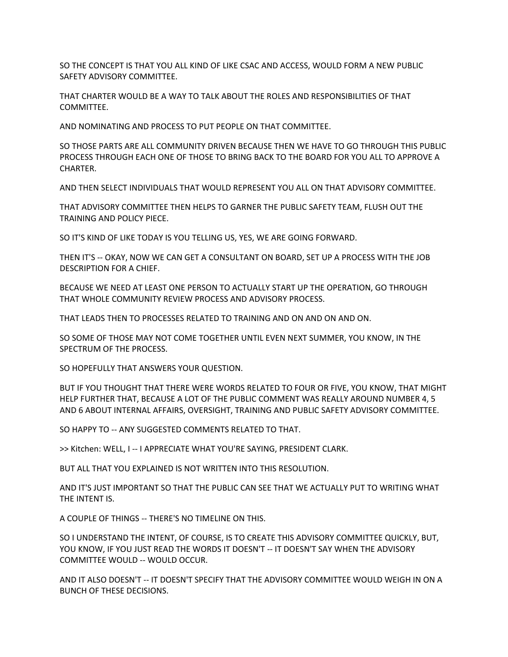SO THE CONCEPT IS THAT YOU ALL KIND OF LIKE CSAC AND ACCESS, WOULD FORM A NEW PUBLIC SAFETY ADVISORY COMMITTEE.

THAT CHARTER WOULD BE A WAY TO TALK ABOUT THE ROLES AND RESPONSIBILITIES OF THAT COMMITTEE.

AND NOMINATING AND PROCESS TO PUT PEOPLE ON THAT COMMITTEE.

SO THOSE PARTS ARE ALL COMMUNITY DRIVEN BECAUSE THEN WE HAVE TO GO THROUGH THIS PUBLIC PROCESS THROUGH EACH ONE OF THOSE TO BRING BACK TO THE BOARD FOR YOU ALL TO APPROVE A CHARTER.

AND THEN SELECT INDIVIDUALS THAT WOULD REPRESENT YOU ALL ON THAT ADVISORY COMMITTEE.

THAT ADVISORY COMMITTEE THEN HELPS TO GARNER THE PUBLIC SAFETY TEAM, FLUSH OUT THE TRAINING AND POLICY PIECE.

SO IT'S KIND OF LIKE TODAY IS YOU TELLING US, YES, WE ARE GOING FORWARD.

THEN IT'S -- OKAY, NOW WE CAN GET A CONSULTANT ON BOARD, SET UP A PROCESS WITH THE JOB DESCRIPTION FOR A CHIEF.

BECAUSE WE NEED AT LEAST ONE PERSON TO ACTUALLY START UP THE OPERATION, GO THROUGH THAT WHOLE COMMUNITY REVIEW PROCESS AND ADVISORY PROCESS.

THAT LEADS THEN TO PROCESSES RELATED TO TRAINING AND ON AND ON AND ON.

SO SOME OF THOSE MAY NOT COME TOGETHER UNTIL EVEN NEXT SUMMER, YOU KNOW, IN THE SPECTRUM OF THE PROCESS.

SO HOPEFULLY THAT ANSWERS YOUR QUESTION.

BUT IF YOU THOUGHT THAT THERE WERE WORDS RELATED TO FOUR OR FIVE, YOU KNOW, THAT MIGHT HELP FURTHER THAT, BECAUSE A LOT OF THE PUBLIC COMMENT WAS REALLY AROUND NUMBER 4, 5 AND 6 ABOUT INTERNAL AFFAIRS, OVERSIGHT, TRAINING AND PUBLIC SAFETY ADVISORY COMMITTEE.

SO HAPPY TO -- ANY SUGGESTED COMMENTS RELATED TO THAT.

>> Kitchen: WELL, I -- I APPRECIATE WHAT YOU'RE SAYING, PRESIDENT CLARK.

BUT ALL THAT YOU EXPLAINED IS NOT WRITTEN INTO THIS RESOLUTION.

AND IT'S JUST IMPORTANT SO THAT THE PUBLIC CAN SEE THAT WE ACTUALLY PUT TO WRITING WHAT THE INTENT IS.

A COUPLE OF THINGS -- THERE'S NO TIMELINE ON THIS.

SO I UNDERSTAND THE INTENT, OF COURSE, IS TO CREATE THIS ADVISORY COMMITTEE QUICKLY, BUT, YOU KNOW, IF YOU JUST READ THE WORDS IT DOESN'T -- IT DOESN'T SAY WHEN THE ADVISORY COMMITTEE WOULD -- WOULD OCCUR.

AND IT ALSO DOESN'T -- IT DOESN'T SPECIFY THAT THE ADVISORY COMMITTEE WOULD WEIGH IN ON A BUNCH OF THESE DECISIONS.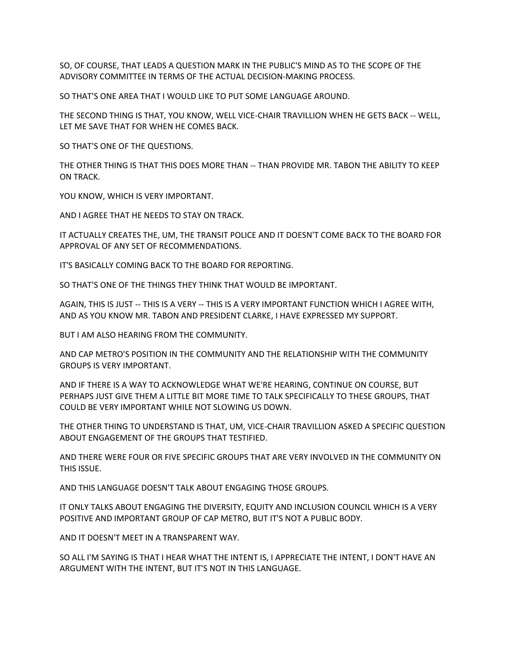SO, OF COURSE, THAT LEADS A QUESTION MARK IN THE PUBLIC'S MIND AS TO THE SCOPE OF THE ADVISORY COMMITTEE IN TERMS OF THE ACTUAL DECISION-MAKING PROCESS.

SO THAT'S ONE AREA THAT I WOULD LIKE TO PUT SOME LANGUAGE AROUND.

THE SECOND THING IS THAT, YOU KNOW, WELL VICE-CHAIR TRAVILLION WHEN HE GETS BACK -- WELL, LET ME SAVE THAT FOR WHEN HE COMES BACK.

SO THAT'S ONE OF THE QUESTIONS.

THE OTHER THING IS THAT THIS DOES MORE THAN -- THAN PROVIDE MR. TABON THE ABILITY TO KEEP ON TRACK.

YOU KNOW, WHICH IS VERY IMPORTANT.

AND I AGREE THAT HE NEEDS TO STAY ON TRACK.

IT ACTUALLY CREATES THE, UM, THE TRANSIT POLICE AND IT DOESN'T COME BACK TO THE BOARD FOR APPROVAL OF ANY SET OF RECOMMENDATIONS.

IT'S BASICALLY COMING BACK TO THE BOARD FOR REPORTING.

SO THAT'S ONE OF THE THINGS THEY THINK THAT WOULD BE IMPORTANT.

AGAIN, THIS IS JUST -- THIS IS A VERY -- THIS IS A VERY IMPORTANT FUNCTION WHICH I AGREE WITH, AND AS YOU KNOW MR. TABON AND PRESIDENT CLARKE, I HAVE EXPRESSED MY SUPPORT.

BUT I AM ALSO HEARING FROM THE COMMUNITY.

AND CAP METRO'S POSITION IN THE COMMUNITY AND THE RELATIONSHIP WITH THE COMMUNITY GROUPS IS VERY IMPORTANT.

AND IF THERE IS A WAY TO ACKNOWLEDGE WHAT WE'RE HEARING, CONTINUE ON COURSE, BUT PERHAPS JUST GIVE THEM A LITTLE BIT MORE TIME TO TALK SPECIFICALLY TO THESE GROUPS, THAT COULD BE VERY IMPORTANT WHILE NOT SLOWING US DOWN.

THE OTHER THING TO UNDERSTAND IS THAT, UM, VICE-CHAIR TRAVILLION ASKED A SPECIFIC QUESTION ABOUT ENGAGEMENT OF THE GROUPS THAT TESTIFIED.

AND THERE WERE FOUR OR FIVE SPECIFIC GROUPS THAT ARE VERY INVOLVED IN THE COMMUNITY ON THIS ISSUE.

AND THIS LANGUAGE DOESN'T TALK ABOUT ENGAGING THOSE GROUPS.

IT ONLY TALKS ABOUT ENGAGING THE DIVERSITY, EQUITY AND INCLUSION COUNCIL WHICH IS A VERY POSITIVE AND IMPORTANT GROUP OF CAP METRO, BUT IT'S NOT A PUBLIC BODY.

AND IT DOESN'T MEET IN A TRANSPARENT WAY.

SO ALL I'M SAYING IS THAT I HEAR WHAT THE INTENT IS, I APPRECIATE THE INTENT, I DON'T HAVE AN ARGUMENT WITH THE INTENT, BUT IT'S NOT IN THIS LANGUAGE.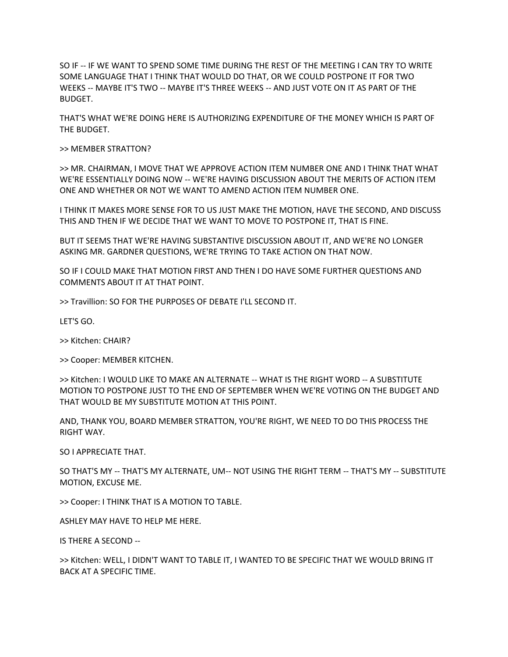SO IF -- IF WE WANT TO SPEND SOME TIME DURING THE REST OF THE MEETING I CAN TRY TO WRITE SOME LANGUAGE THAT I THINK THAT WOULD DO THAT, OR WE COULD POSTPONE IT FOR TWO WEEKS -- MAYBE IT'S TWO -- MAYBE IT'S THREE WEEKS -- AND JUST VOTE ON IT AS PART OF THE BUDGET.

THAT'S WHAT WE'RE DOING HERE IS AUTHORIZING EXPENDITURE OF THE MONEY WHICH IS PART OF THE BUDGET.

>> MEMBER STRATTON?

>> MR. CHAIRMAN, I MOVE THAT WE APPROVE ACTION ITEM NUMBER ONE AND I THINK THAT WHAT WE'RE ESSENTIALLY DOING NOW -- WE'RE HAVING DISCUSSION ABOUT THE MERITS OF ACTION ITEM ONE AND WHETHER OR NOT WE WANT TO AMEND ACTION ITEM NUMBER ONE.

I THINK IT MAKES MORE SENSE FOR TO US JUST MAKE THE MOTION, HAVE THE SECOND, AND DISCUSS THIS AND THEN IF WE DECIDE THAT WE WANT TO MOVE TO POSTPONE IT, THAT IS FINE.

BUT IT SEEMS THAT WE'RE HAVING SUBSTANTIVE DISCUSSION ABOUT IT, AND WE'RE NO LONGER ASKING MR. GARDNER QUESTIONS, WE'RE TRYING TO TAKE ACTION ON THAT NOW.

SO IF I COULD MAKE THAT MOTION FIRST AND THEN I DO HAVE SOME FURTHER QUESTIONS AND COMMENTS ABOUT IT AT THAT POINT.

>> Travillion: SO FOR THE PURPOSES OF DEBATE I'LL SECOND IT.

LET'S GO.

>> Kitchen: CHAIR?

>> Cooper: MEMBER KITCHEN.

>> Kitchen: I WOULD LIKE TO MAKE AN ALTERNATE -- WHAT IS THE RIGHT WORD -- A SUBSTITUTE MOTION TO POSTPONE JUST TO THE END OF SEPTEMBER WHEN WE'RE VOTING ON THE BUDGET AND THAT WOULD BE MY SUBSTITUTE MOTION AT THIS POINT.

AND, THANK YOU, BOARD MEMBER STRATTON, YOU'RE RIGHT, WE NEED TO DO THIS PROCESS THE RIGHT WAY.

SO I APPRECIATE THAT.

SO THAT'S MY -- THAT'S MY ALTERNATE, UM-- NOT USING THE RIGHT TERM -- THAT'S MY -- SUBSTITUTE MOTION, EXCUSE ME.

>> Cooper: I THINK THAT IS A MOTION TO TABLE.

ASHLEY MAY HAVE TO HELP ME HERE.

IS THERE A SECOND --

>> Kitchen: WELL, I DIDN'T WANT TO TABLE IT, I WANTED TO BE SPECIFIC THAT WE WOULD BRING IT BACK AT A SPECIFIC TIME.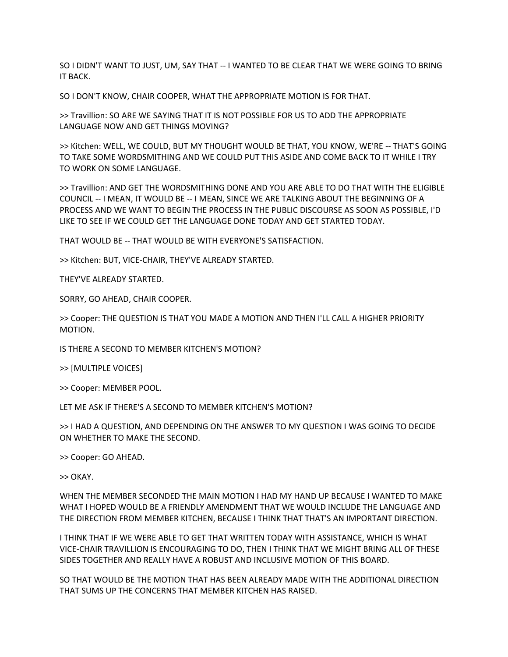SO I DIDN'T WANT TO JUST, UM, SAY THAT -- I WANTED TO BE CLEAR THAT WE WERE GOING TO BRING IT BACK.

SO I DON'T KNOW, CHAIR COOPER, WHAT THE APPROPRIATE MOTION IS FOR THAT.

>> Travillion: SO ARE WE SAYING THAT IT IS NOT POSSIBLE FOR US TO ADD THE APPROPRIATE LANGUAGE NOW AND GET THINGS MOVING?

>> Kitchen: WELL, WE COULD, BUT MY THOUGHT WOULD BE THAT, YOU KNOW, WE'RE -- THAT'S GOING TO TAKE SOME WORDSMITHING AND WE COULD PUT THIS ASIDE AND COME BACK TO IT WHILE I TRY TO WORK ON SOME LANGUAGE.

>> Travillion: AND GET THE WORDSMITHING DONE AND YOU ARE ABLE TO DO THAT WITH THE ELIGIBLE COUNCIL -- I MEAN, IT WOULD BE -- I MEAN, SINCE WE ARE TALKING ABOUT THE BEGINNING OF A PROCESS AND WE WANT TO BEGIN THE PROCESS IN THE PUBLIC DISCOURSE AS SOON AS POSSIBLE, I'D LIKE TO SEE IF WE COULD GET THE LANGUAGE DONE TODAY AND GET STARTED TODAY.

THAT WOULD BE -- THAT WOULD BE WITH EVERYONE'S SATISFACTION.

>> Kitchen: BUT, VICE-CHAIR, THEY'VE ALREADY STARTED.

THEY'VE ALREADY STARTED.

SORRY, GO AHEAD, CHAIR COOPER.

>> Cooper: THE QUESTION IS THAT YOU MADE A MOTION AND THEN I'LL CALL A HIGHER PRIORITY MOTION.

IS THERE A SECOND TO MEMBER KITCHEN'S MOTION?

>> [MULTIPLE VOICES]

>> Cooper: MEMBER POOL.

LET ME ASK IF THERE'S A SECOND TO MEMBER KITCHEN'S MOTION?

>> I HAD A QUESTION, AND DEPENDING ON THE ANSWER TO MY QUESTION I WAS GOING TO DECIDE ON WHETHER TO MAKE THE SECOND.

>> Cooper: GO AHEAD.

>> OKAY.

WHEN THE MEMBER SECONDED THE MAIN MOTION I HAD MY HAND UP BECAUSE I WANTED TO MAKE WHAT I HOPED WOULD BE A FRIENDLY AMENDMENT THAT WE WOULD INCLUDE THE LANGUAGE AND THE DIRECTION FROM MEMBER KITCHEN, BECAUSE I THINK THAT THAT'S AN IMPORTANT DIRECTION.

I THINK THAT IF WE WERE ABLE TO GET THAT WRITTEN TODAY WITH ASSISTANCE, WHICH IS WHAT VICE-CHAIR TRAVILLION IS ENCOURAGING TO DO, THEN I THINK THAT WE MIGHT BRING ALL OF THESE SIDES TOGETHER AND REALLY HAVE A ROBUST AND INCLUSIVE MOTION OF THIS BOARD.

SO THAT WOULD BE THE MOTION THAT HAS BEEN ALREADY MADE WITH THE ADDITIONAL DIRECTION THAT SUMS UP THE CONCERNS THAT MEMBER KITCHEN HAS RAISED.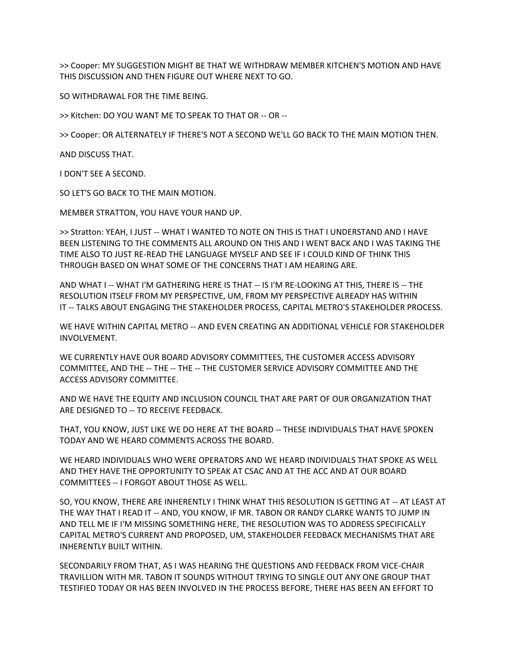>> Cooper: MY SUGGESTION MIGHT BE THAT WE WITHDRAW MEMBER KITCHEN'S MOTION AND HAVE THIS DISCUSSION AND THEN FIGURE OUT WHERE NEXT TO GO.

SO WITHDRAWAL FOR THE TIME BEING.

>> Kitchen: DO YOU WANT ME TO SPEAK TO THAT OR -- OR --

>> Cooper: OR ALTERNATELY IF THERE'S NOT A SECOND WE'LL GO BACK TO THE MAIN MOTION THEN.

AND DISCUSS THAT.

I DON'T SEE A SECOND.

SO LET'S GO BACK TO THE MAIN MOTION.

MEMBER STRATTON, YOU HAVE YOUR HAND UP.

>> Stratton: YEAH, I JUST -- WHAT I WANTED TO NOTE ON THIS IS THAT I UNDERSTAND AND I HAVE BEEN LISTENING TO THE COMMENTS ALL AROUND ON THIS AND I WENT BACK AND I WAS TAKING THE TIME ALSO TO JUST RE-READ THE LANGUAGE MYSELF AND SEE IF I COULD KIND OF THINK THIS THROUGH BASED ON WHAT SOME OF THE CONCERNS THAT I AM HEARING ARE.

AND WHAT I -- WHAT I'M GATHERING HERE IS THAT -- IS I'M RE-LOOKING AT THIS, THERE IS -- THE RESOLUTION ITSELF FROM MY PERSPECTIVE, UM, FROM MY PERSPECTIVE ALREADY HAS WITHIN IT -- TALKS ABOUT ENGAGING THE STAKEHOLDER PROCESS, CAPITAL METRO'S STAKEHOLDER PROCESS.

WE HAVE WITHIN CAPITAL METRO -- AND EVEN CREATING AN ADDITIONAL VEHICLE FOR STAKEHOLDER INVOLVEMENT.

WE CURRENTLY HAVE OUR BOARD ADVISORY COMMITTEES, THE CUSTOMER ACCESS ADVISORY COMMITTEE, AND THE -- THE -- THE -- THE CUSTOMER SERVICE ADVISORY COMMITTEE AND THE ACCESS ADVISORY COMMITTEE.

AND WE HAVE THE EQUITY AND INCLUSION COUNCIL THAT ARE PART OF OUR ORGANIZATION THAT ARE DESIGNED TO -- TO RECEIVE FEEDBACK.

THAT, YOU KNOW, JUST LIKE WE DO HERE AT THE BOARD -- THESE INDIVIDUALS THAT HAVE SPOKEN TODAY AND WE HEARD COMMENTS ACROSS THE BOARD.

WE HEARD INDIVIDUALS WHO WERE OPERATORS AND WE HEARD INDIVIDUALS THAT SPOKE AS WELL AND THEY HAVE THE OPPORTUNITY TO SPEAK AT CSAC AND AT THE ACC AND AT OUR BOARD COMMITTEES -- I FORGOT ABOUT THOSE AS WELL.

SO, YOU KNOW, THERE ARE INHERENTLY I THINK WHAT THIS RESOLUTION IS GETTING AT -- AT LEAST AT THE WAY THAT I READ IT -- AND, YOU KNOW, IF MR. TABON OR RANDY CLARKE WANTS TO JUMP IN AND TELL ME IF I'M MISSING SOMETHING HERE, THE RESOLUTION WAS TO ADDRESS SPECIFICALLY CAPITAL METRO'S CURRENT AND PROPOSED, UM, STAKEHOLDER FEEDBACK MECHANISMS THAT ARE INHERENTLY BUILT WITHIN.

SECONDARILY FROM THAT, AS I WAS HEARING THE QUESTIONS AND FEEDBACK FROM VICE-CHAIR TRAVILLION WITH MR. TABON IT SOUNDS WITHOUT TRYING TO SINGLE OUT ANY ONE GROUP THAT TESTIFIED TODAY OR HAS BEEN INVOLVED IN THE PROCESS BEFORE, THERE HAS BEEN AN EFFORT TO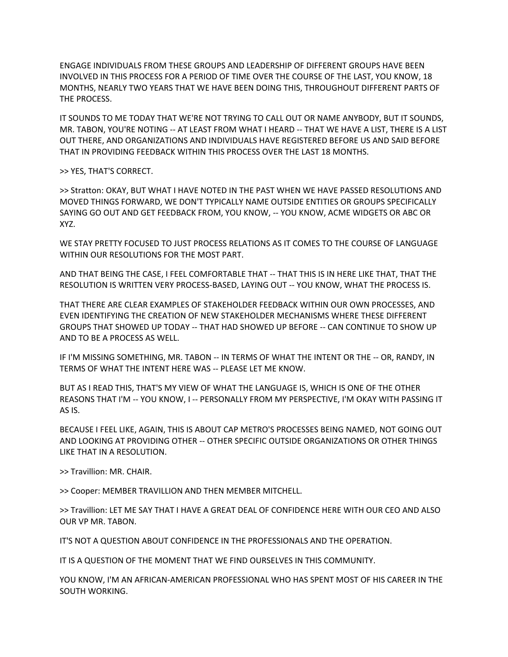ENGAGE INDIVIDUALS FROM THESE GROUPS AND LEADERSHIP OF DIFFERENT GROUPS HAVE BEEN INVOLVED IN THIS PROCESS FOR A PERIOD OF TIME OVER THE COURSE OF THE LAST, YOU KNOW, 18 MONTHS, NEARLY TWO YEARS THAT WE HAVE BEEN DOING THIS, THROUGHOUT DIFFERENT PARTS OF THE PROCESS.

IT SOUNDS TO ME TODAY THAT WE'RE NOT TRYING TO CALL OUT OR NAME ANYBODY, BUT IT SOUNDS, MR. TABON, YOU'RE NOTING -- AT LEAST FROM WHAT I HEARD -- THAT WE HAVE A LIST, THERE IS A LIST OUT THERE, AND ORGANIZATIONS AND INDIVIDUALS HAVE REGISTERED BEFORE US AND SAID BEFORE THAT IN PROVIDING FEEDBACK WITHIN THIS PROCESS OVER THE LAST 18 MONTHS.

>> YES, THAT'S CORRECT.

>> Stratton: OKAY, BUT WHAT I HAVE NOTED IN THE PAST WHEN WE HAVE PASSED RESOLUTIONS AND MOVED THINGS FORWARD, WE DON'T TYPICALLY NAME OUTSIDE ENTITIES OR GROUPS SPECIFICALLY SAYING GO OUT AND GET FEEDBACK FROM, YOU KNOW, -- YOU KNOW, ACME WIDGETS OR ABC OR XYZ.

WE STAY PRETTY FOCUSED TO JUST PROCESS RELATIONS AS IT COMES TO THE COURSE OF LANGUAGE WITHIN OUR RESOLUTIONS FOR THE MOST PART.

AND THAT BEING THE CASE, I FEEL COMFORTABLE THAT -- THAT THIS IS IN HERE LIKE THAT, THAT THE RESOLUTION IS WRITTEN VERY PROCESS-BASED, LAYING OUT -- YOU KNOW, WHAT THE PROCESS IS.

THAT THERE ARE CLEAR EXAMPLES OF STAKEHOLDER FEEDBACK WITHIN OUR OWN PROCESSES, AND EVEN IDENTIFYING THE CREATION OF NEW STAKEHOLDER MECHANISMS WHERE THESE DIFFERENT GROUPS THAT SHOWED UP TODAY -- THAT HAD SHOWED UP BEFORE -- CAN CONTINUE TO SHOW UP AND TO BE A PROCESS AS WELL.

IF I'M MISSING SOMETHING, MR. TABON -- IN TERMS OF WHAT THE INTENT OR THE -- OR, RANDY, IN TERMS OF WHAT THE INTENT HERE WAS -- PLEASE LET ME KNOW.

BUT AS I READ THIS, THAT'S MY VIEW OF WHAT THE LANGUAGE IS, WHICH IS ONE OF THE OTHER REASONS THAT I'M -- YOU KNOW, I -- PERSONALLY FROM MY PERSPECTIVE, I'M OKAY WITH PASSING IT AS IS.

BECAUSE I FEEL LIKE, AGAIN, THIS IS ABOUT CAP METRO'S PROCESSES BEING NAMED, NOT GOING OUT AND LOOKING AT PROVIDING OTHER -- OTHER SPECIFIC OUTSIDE ORGANIZATIONS OR OTHER THINGS LIKE THAT IN A RESOLUTION.

>> Travillion: MR. CHAIR.

>> Cooper: MEMBER TRAVILLION AND THEN MEMBER MITCHELL.

>> Travillion: LET ME SAY THAT I HAVE A GREAT DEAL OF CONFIDENCE HERE WITH OUR CEO AND ALSO OUR VP MR. TABON.

IT'S NOT A QUESTION ABOUT CONFIDENCE IN THE PROFESSIONALS AND THE OPERATION.

IT IS A QUESTION OF THE MOMENT THAT WE FIND OURSELVES IN THIS COMMUNITY.

YOU KNOW, I'M AN AFRICAN-AMERICAN PROFESSIONAL WHO HAS SPENT MOST OF HIS CAREER IN THE SOUTH WORKING.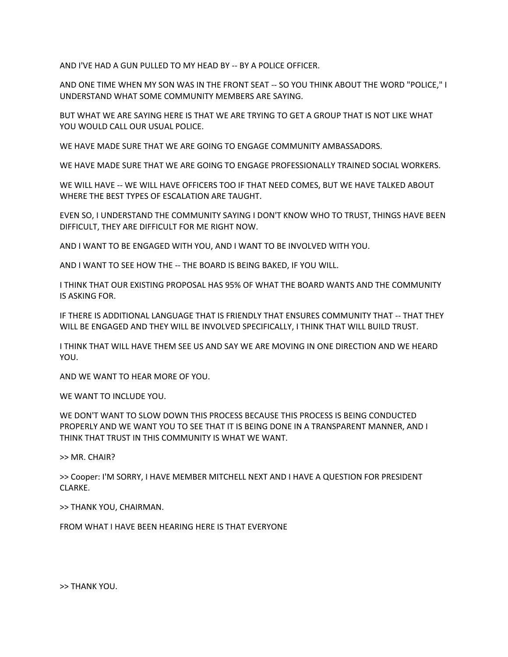AND I'VE HAD A GUN PULLED TO MY HEAD BY -- BY A POLICE OFFICER.

AND ONE TIME WHEN MY SON WAS IN THE FRONT SEAT -- SO YOU THINK ABOUT THE WORD "POLICE," I UNDERSTAND WHAT SOME COMMUNITY MEMBERS ARE SAYING.

BUT WHAT WE ARE SAYING HERE IS THAT WE ARE TRYING TO GET A GROUP THAT IS NOT LIKE WHAT YOU WOULD CALL OUR USUAL POLICE.

WE HAVE MADE SURE THAT WE ARE GOING TO ENGAGE COMMUNITY AMBASSADORS.

WE HAVE MADE SURE THAT WE ARE GOING TO ENGAGE PROFESSIONALLY TRAINED SOCIAL WORKERS.

WE WILL HAVE -- WE WILL HAVE OFFICERS TOO IF THAT NEED COMES, BUT WE HAVE TALKED ABOUT WHERE THE BEST TYPES OF ESCALATION ARE TAUGHT.

EVEN SO, I UNDERSTAND THE COMMUNITY SAYING I DON'T KNOW WHO TO TRUST, THINGS HAVE BEEN DIFFICULT, THEY ARE DIFFICULT FOR ME RIGHT NOW.

AND I WANT TO BE ENGAGED WITH YOU, AND I WANT TO BE INVOLVED WITH YOU.

AND I WANT TO SEE HOW THE -- THE BOARD IS BEING BAKED, IF YOU WILL.

I THINK THAT OUR EXISTING PROPOSAL HAS 95% OF WHAT THE BOARD WANTS AND THE COMMUNITY IS ASKING FOR.

IF THERE IS ADDITIONAL LANGUAGE THAT IS FRIENDLY THAT ENSURES COMMUNITY THAT -- THAT THEY WILL BE ENGAGED AND THEY WILL BE INVOLVED SPECIFICALLY, I THINK THAT WILL BUILD TRUST.

I THINK THAT WILL HAVE THEM SEE US AND SAY WE ARE MOVING IN ONE DIRECTION AND WE HEARD YOU.

AND WE WANT TO HEAR MORE OF YOU.

WE WANT TO INCLUDE YOU.

WE DON'T WANT TO SLOW DOWN THIS PROCESS BECAUSE THIS PROCESS IS BEING CONDUCTED PROPERLY AND WE WANT YOU TO SEE THAT IT IS BEING DONE IN A TRANSPARENT MANNER, AND I THINK THAT TRUST IN THIS COMMUNITY IS WHAT WE WANT.

>> MR. CHAIR?

>> Cooper: I'M SORRY, I HAVE MEMBER MITCHELL NEXT AND I HAVE A QUESTION FOR PRESIDENT CLARKE.

>> THANK YOU, CHAIRMAN.

FROM WHAT I HAVE BEEN HEARING HERE IS THAT EVERYONE

>> THANK YOU.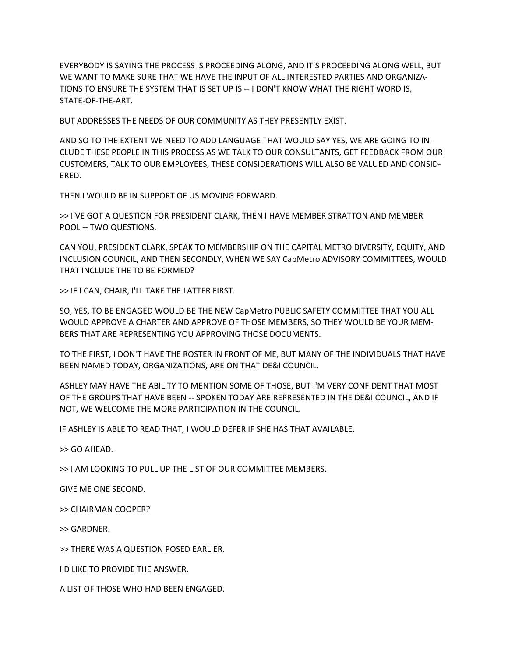EVERYBODY IS SAYING THE PROCESS IS PROCEEDING ALONG, AND IT'S PROCEEDING ALONG WELL, BUT WE WANT TO MAKE SURE THAT WE HAVE THE INPUT OF ALL INTERESTED PARTIES AND ORGANIZA-TIONS TO ENSURE THE SYSTEM THAT IS SET UP IS -- I DON'T KNOW WHAT THE RIGHT WORD IS, STATE-OF-THE-ART.

BUT ADDRESSES THE NEEDS OF OUR COMMUNITY AS THEY PRESENTLY EXIST.

AND SO TO THE EXTENT WE NEED TO ADD LANGUAGE THAT WOULD SAY YES, WE ARE GOING TO IN-CLUDE THESE PEOPLE IN THIS PROCESS AS WE TALK TO OUR CONSULTANTS, GET FEEDBACK FROM OUR CUSTOMERS, TALK TO OUR EMPLOYEES, THESE CONSIDERATIONS WILL ALSO BE VALUED AND CONSID-ERED.

THEN I WOULD BE IN SUPPORT OF US MOVING FORWARD.

>> I'VE GOT A QUESTION FOR PRESIDENT CLARK, THEN I HAVE MEMBER STRATTON AND MEMBER POOL -- TWO QUESTIONS.

CAN YOU, PRESIDENT CLARK, SPEAK TO MEMBERSHIP ON THE CAPITAL METRO DIVERSITY, EQUITY, AND INCLUSION COUNCIL, AND THEN SECONDLY, WHEN WE SAY CapMetro ADVISORY COMMITTEES, WOULD THAT INCLUDE THE TO BE FORMED?

>> IF I CAN, CHAIR, I'LL TAKE THE LATTER FIRST.

SO, YES, TO BE ENGAGED WOULD BE THE NEW CapMetro PUBLIC SAFETY COMMITTEE THAT YOU ALL WOULD APPROVE A CHARTER AND APPROVE OF THOSE MEMBERS, SO THEY WOULD BE YOUR MEM-BERS THAT ARE REPRESENTING YOU APPROVING THOSE DOCUMENTS.

TO THE FIRST, I DON'T HAVE THE ROSTER IN FRONT OF ME, BUT MANY OF THE INDIVIDUALS THAT HAVE BEEN NAMED TODAY, ORGANIZATIONS, ARE ON THAT DE&I COUNCIL.

ASHLEY MAY HAVE THE ABILITY TO MENTION SOME OF THOSE, BUT I'M VERY CONFIDENT THAT MOST OF THE GROUPS THAT HAVE BEEN -- SPOKEN TODAY ARE REPRESENTED IN THE DE&I COUNCIL, AND IF NOT, WE WELCOME THE MORE PARTICIPATION IN THE COUNCIL.

IF ASHLEY IS ABLE TO READ THAT, I WOULD DEFER IF SHE HAS THAT AVAILABLE.

>> GO AHEAD.

>> I AM LOOKING TO PULL UP THE LIST OF OUR COMMITTEE MEMBERS.

GIVE ME ONE SECOND.

>> CHAIRMAN COOPER?

>> GARDNER.

>> THERE WAS A QUESTION POSED EARLIER.

I'D LIKE TO PROVIDE THE ANSWER.

A LIST OF THOSE WHO HAD BEEN ENGAGED.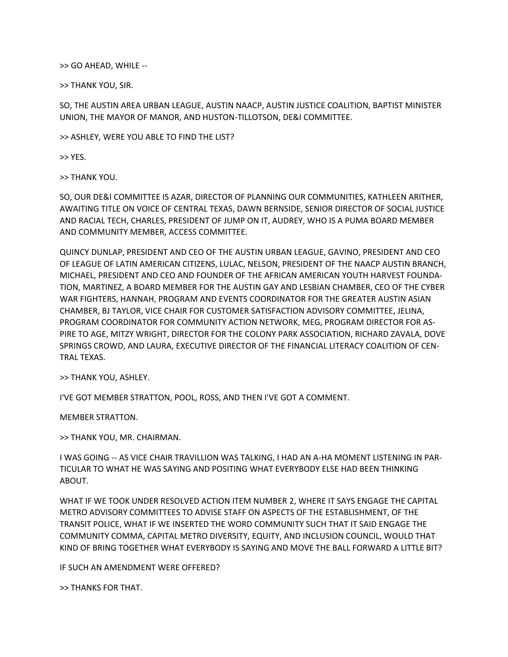>> GO AHEAD, WHILE --

>> THANK YOU, SIR.

SO, THE AUSTIN AREA URBAN LEAGUE, AUSTIN NAACP, AUSTIN JUSTICE COALITION, BAPTIST MINISTER UNION, THE MAYOR OF MANOR, AND HUSTON-TILLOTSON, DE&I COMMITTEE.

>> ASHLEY, WERE YOU ABLE TO FIND THE LIST?

>> YES.

>> THANK YOU.

SO, OUR DE&I COMMITTEE IS AZAR, DIRECTOR OF PLANNING OUR COMMUNITIES, KATHLEEN ARITHER, AWAITING TITLE ON VOICE OF CENTRAL TEXAS, DAWN BERNSIDE, SENIOR DIRECTOR OF SOCIAL JUSTICE AND RACIAL TECH, CHARLES, PRESIDENT OF JUMP ON IT, AUDREY, WHO IS A PUMA BOARD MEMBER AND COMMUNITY MEMBER, ACCESS COMMITTEE.

QUINCY DUNLAP, PRESIDENT AND CEO OF THE AUSTIN URBAN LEAGUE, GAVINO, PRESIDENT AND CEO OF LEAGUE OF LATIN AMERICAN CITIZENS, LULAC, NELSON, PRESIDENT OF THE NAACP AUSTIN BRANCH, MICHAEL, PRESIDENT AND CEO AND FOUNDER OF THE AFRICAN AMERICAN YOUTH HARVEST FOUNDA-TION, MARTINEZ, A BOARD MEMBER FOR THE AUSTIN GAY AND LESBIAN CHAMBER, CEO OF THE CYBER WAR FIGHTERS, HANNAH, PROGRAM AND EVENTS COORDINATOR FOR THE GREATER AUSTIN ASIAN CHAMBER, BJ TAYLOR, VICE CHAIR FOR CUSTOMER SATISFACTION ADVISORY COMMITTEE, JELINA, PROGRAM COORDINATOR FOR COMMUNITY ACTION NETWORK, MEG, PROGRAM DIRECTOR FOR AS-PIRE TO AGE, MITZY WRIGHT, DIRECTOR FOR THE COLONY PARK ASSOCIATION, RICHARD ZAVALA, DOVE SPRINGS CROWD, AND LAURA, EXECUTIVE DIRECTOR OF THE FINANCIAL LITERACY COALITION OF CEN-TRAL TEXAS.

>> THANK YOU, ASHLEY.

I'VE GOT MEMBER STRATTON, POOL, ROSS, AND THEN I'VE GOT A COMMENT.

MEMBER STRATTON.

>> THANK YOU, MR. CHAIRMAN.

I WAS GOING -- AS VICE CHAIR TRAVILLION WAS TALKING, I HAD AN A-HA MOMENT LISTENING IN PAR-TICULAR TO WHAT HE WAS SAYING AND POSITING WHAT EVERYBODY ELSE HAD BEEN THINKING ABOUT.

WHAT IF WE TOOK UNDER RESOLVED ACTION ITEM NUMBER 2, WHERE IT SAYS ENGAGE THE CAPITAL METRO ADVISORY COMMITTEES TO ADVISE STAFF ON ASPECTS OF THE ESTABLISHMENT, OF THE TRANSIT POLICE, WHAT IF WE INSERTED THE WORD COMMUNITY SUCH THAT IT SAID ENGAGE THE COMMUNITY COMMA, CAPITAL METRO DIVERSITY, EQUITY, AND INCLUSION COUNCIL, WOULD THAT KIND OF BRING TOGETHER WHAT EVERYBODY IS SAYING AND MOVE THE BALL FORWARD A LITTLE BIT?

IF SUCH AN AMENDMENT WERE OFFERED?

>> THANKS FOR THAT.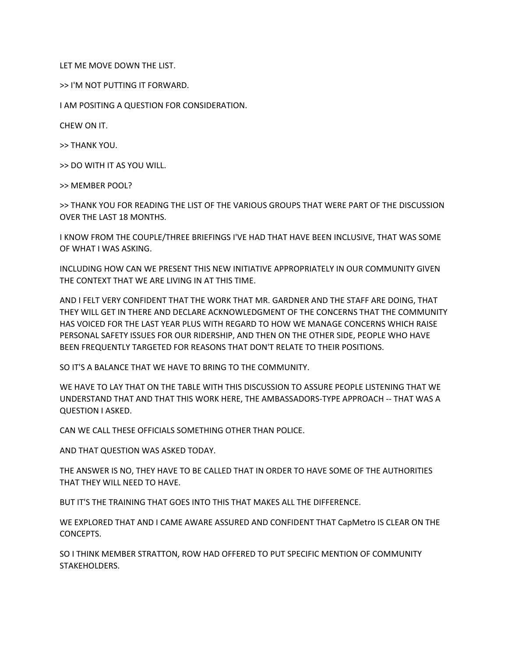LET ME MOVE DOWN THE LIST.

>> I'M NOT PUTTING IT FORWARD.

I AM POSITING A QUESTION FOR CONSIDERATION.

CHEW ON IT.

>> THANK YOU.

>> DO WITH IT AS YOU WILL.

>> MEMBER POOL?

>> THANK YOU FOR READING THE LIST OF THE VARIOUS GROUPS THAT WERE PART OF THE DISCUSSION OVER THE LAST 18 MONTHS.

I KNOW FROM THE COUPLE/THREE BRIEFINGS I'VE HAD THAT HAVE BEEN INCLUSIVE, THAT WAS SOME OF WHAT I WAS ASKING.

INCLUDING HOW CAN WE PRESENT THIS NEW INITIATIVE APPROPRIATELY IN OUR COMMUNITY GIVEN THE CONTEXT THAT WE ARE LIVING IN AT THIS TIME.

AND I FELT VERY CONFIDENT THAT THE WORK THAT MR. GARDNER AND THE STAFF ARE DOING, THAT THEY WILL GET IN THERE AND DECLARE ACKNOWLEDGMENT OF THE CONCERNS THAT THE COMMUNITY HAS VOICED FOR THE LAST YEAR PLUS WITH REGARD TO HOW WE MANAGE CONCERNS WHICH RAISE PERSONAL SAFETY ISSUES FOR OUR RIDERSHIP, AND THEN ON THE OTHER SIDE, PEOPLE WHO HAVE BEEN FREQUENTLY TARGETED FOR REASONS THAT DON'T RELATE TO THEIR POSITIONS.

SO IT'S A BALANCE THAT WE HAVE TO BRING TO THE COMMUNITY.

WE HAVE TO LAY THAT ON THE TABLE WITH THIS DISCUSSION TO ASSURE PEOPLE LISTENING THAT WE UNDERSTAND THAT AND THAT THIS WORK HERE, THE AMBASSADORS-TYPE APPROACH -- THAT WAS A QUESTION I ASKED.

CAN WE CALL THESE OFFICIALS SOMETHING OTHER THAN POLICE.

AND THAT QUESTION WAS ASKED TODAY.

THE ANSWER IS NO, THEY HAVE TO BE CALLED THAT IN ORDER TO HAVE SOME OF THE AUTHORITIES THAT THEY WILL NEED TO HAVE.

BUT IT'S THE TRAINING THAT GOES INTO THIS THAT MAKES ALL THE DIFFERENCE.

WE EXPLORED THAT AND I CAME AWARE ASSURED AND CONFIDENT THAT CapMetro IS CLEAR ON THE CONCEPTS.

SO I THINK MEMBER STRATTON, ROW HAD OFFERED TO PUT SPECIFIC MENTION OF COMMUNITY STAKEHOLDERS.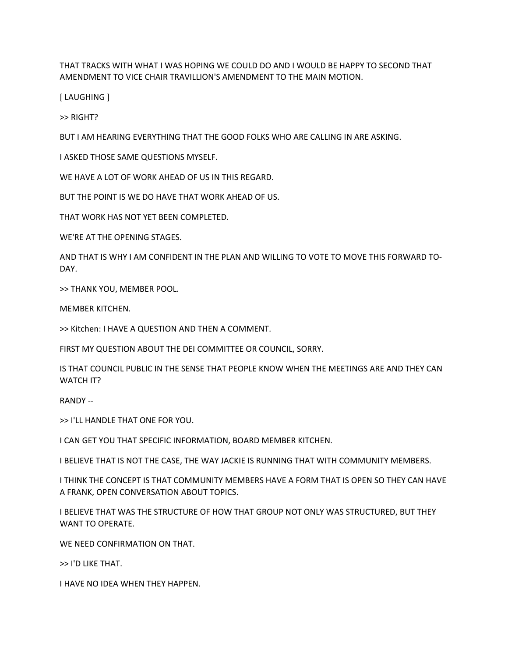THAT TRACKS WITH WHAT I WAS HOPING WE COULD DO AND I WOULD BE HAPPY TO SECOND THAT AMENDMENT TO VICE CHAIR TRAVILLION'S AMENDMENT TO THE MAIN MOTION.

[ LAUGHING ]

>> RIGHT?

BUT I AM HEARING EVERYTHING THAT THE GOOD FOLKS WHO ARE CALLING IN ARE ASKING.

I ASKED THOSE SAME QUESTIONS MYSELF.

WE HAVE A LOT OF WORK AHEAD OF US IN THIS REGARD.

BUT THE POINT IS WE DO HAVE THAT WORK AHEAD OF US.

THAT WORK HAS NOT YET BEEN COMPLETED.

WE'RE AT THE OPENING STAGES.

AND THAT IS WHY I AM CONFIDENT IN THE PLAN AND WILLING TO VOTE TO MOVE THIS FORWARD TO-DAY.

>> THANK YOU, MEMBER POOL.

MEMBER KITCHEN.

>> Kitchen: I HAVE A QUESTION AND THEN A COMMENT.

FIRST MY QUESTION ABOUT THE DEI COMMITTEE OR COUNCIL, SORRY.

IS THAT COUNCIL PUBLIC IN THE SENSE THAT PEOPLE KNOW WHEN THE MEETINGS ARE AND THEY CAN WATCH IT?

RANDY --

>> I'LL HANDLE THAT ONE FOR YOU.

I CAN GET YOU THAT SPECIFIC INFORMATION, BOARD MEMBER KITCHEN.

I BELIEVE THAT IS NOT THE CASE, THE WAY JACKIE IS RUNNING THAT WITH COMMUNITY MEMBERS.

I THINK THE CONCEPT IS THAT COMMUNITY MEMBERS HAVE A FORM THAT IS OPEN SO THEY CAN HAVE A FRANK, OPEN CONVERSATION ABOUT TOPICS.

I BELIEVE THAT WAS THE STRUCTURE OF HOW THAT GROUP NOT ONLY WAS STRUCTURED, BUT THEY WANT TO OPERATE.

WE NEED CONFIRMATION ON THAT.

>> I'D LIKE THAT.

I HAVE NO IDEA WHEN THEY HAPPEN.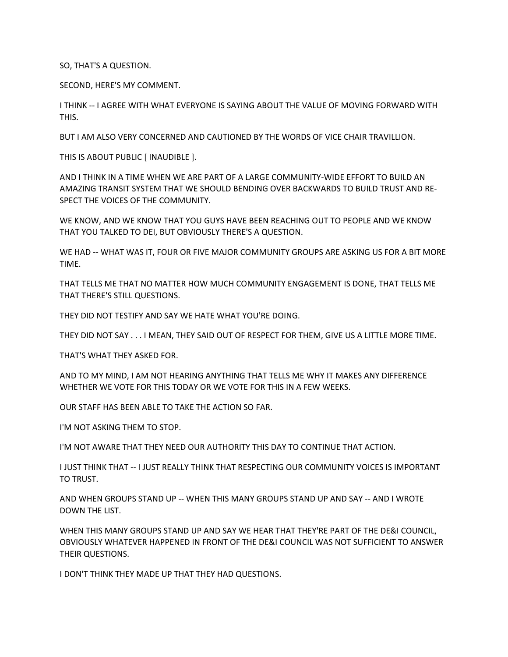SO, THAT'S A QUESTION.

SECOND, HERE'S MY COMMENT.

I THINK -- I AGREE WITH WHAT EVERYONE IS SAYING ABOUT THE VALUE OF MOVING FORWARD WITH THIS.

BUT I AM ALSO VERY CONCERNED AND CAUTIONED BY THE WORDS OF VICE CHAIR TRAVILLION.

THIS IS ABOUT PUBLIC [ INAUDIBLE ].

AND I THINK IN A TIME WHEN WE ARE PART OF A LARGE COMMUNITY-WIDE EFFORT TO BUILD AN AMAZING TRANSIT SYSTEM THAT WE SHOULD BENDING OVER BACKWARDS TO BUILD TRUST AND RE-SPECT THE VOICES OF THE COMMUNITY.

WE KNOW, AND WE KNOW THAT YOU GUYS HAVE BEEN REACHING OUT TO PEOPLE AND WE KNOW THAT YOU TALKED TO DEI, BUT OBVIOUSLY THERE'S A QUESTION.

WE HAD -- WHAT WAS IT, FOUR OR FIVE MAJOR COMMUNITY GROUPS ARE ASKING US FOR A BIT MORE TIME.

THAT TELLS ME THAT NO MATTER HOW MUCH COMMUNITY ENGAGEMENT IS DONE, THAT TELLS ME THAT THERE'S STILL QUESTIONS.

THEY DID NOT TESTIFY AND SAY WE HATE WHAT YOU'RE DOING.

THEY DID NOT SAY . . . I MEAN, THEY SAID OUT OF RESPECT FOR THEM, GIVE US A LITTLE MORE TIME.

THAT'S WHAT THEY ASKED FOR.

AND TO MY MIND, I AM NOT HEARING ANYTHING THAT TELLS ME WHY IT MAKES ANY DIFFERENCE WHETHER WE VOTE FOR THIS TODAY OR WE VOTE FOR THIS IN A FEW WEEKS.

OUR STAFF HAS BEEN ABLE TO TAKE THE ACTION SO FAR.

I'M NOT ASKING THEM TO STOP.

I'M NOT AWARE THAT THEY NEED OUR AUTHORITY THIS DAY TO CONTINUE THAT ACTION.

I JUST THINK THAT -- I JUST REALLY THINK THAT RESPECTING OUR COMMUNITY VOICES IS IMPORTANT TO TRUST.

AND WHEN GROUPS STAND UP -- WHEN THIS MANY GROUPS STAND UP AND SAY -- AND I WROTE DOWN THE LIST.

WHEN THIS MANY GROUPS STAND UP AND SAY WE HEAR THAT THEY'RE PART OF THE DE&I COUNCIL, OBVIOUSLY WHATEVER HAPPENED IN FRONT OF THE DE&I COUNCIL WAS NOT SUFFICIENT TO ANSWER THEIR QUESTIONS.

I DON'T THINK THEY MADE UP THAT THEY HAD QUESTIONS.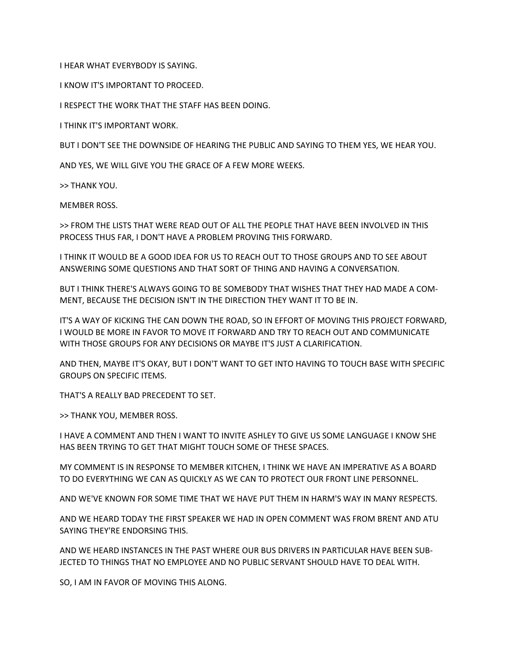I HEAR WHAT EVERYBODY IS SAYING.

I KNOW IT'S IMPORTANT TO PROCEED.

I RESPECT THE WORK THAT THE STAFF HAS BEEN DOING.

I THINK IT'S IMPORTANT WORK.

BUT I DON'T SEE THE DOWNSIDE OF HEARING THE PUBLIC AND SAYING TO THEM YES, WE HEAR YOU.

AND YES, WE WILL GIVE YOU THE GRACE OF A FEW MORE WEEKS.

>> THANK YOU.

MEMBER ROSS.

>> FROM THE LISTS THAT WERE READ OUT OF ALL THE PEOPLE THAT HAVE BEEN INVOLVED IN THIS PROCESS THUS FAR, I DON'T HAVE A PROBLEM PROVING THIS FORWARD.

I THINK IT WOULD BE A GOOD IDEA FOR US TO REACH OUT TO THOSE GROUPS AND TO SEE ABOUT ANSWERING SOME QUESTIONS AND THAT SORT OF THING AND HAVING A CONVERSATION.

BUT I THINK THERE'S ALWAYS GOING TO BE SOMEBODY THAT WISHES THAT THEY HAD MADE A COM-MENT, BECAUSE THE DECISION ISN'T IN THE DIRECTION THEY WANT IT TO BE IN.

IT'S A WAY OF KICKING THE CAN DOWN THE ROAD, SO IN EFFORT OF MOVING THIS PROJECT FORWARD, I WOULD BE MORE IN FAVOR TO MOVE IT FORWARD AND TRY TO REACH OUT AND COMMUNICATE WITH THOSE GROUPS FOR ANY DECISIONS OR MAYBE IT'S JUST A CLARIFICATION.

AND THEN, MAYBE IT'S OKAY, BUT I DON'T WANT TO GET INTO HAVING TO TOUCH BASE WITH SPECIFIC GROUPS ON SPECIFIC ITEMS.

THAT'S A REALLY BAD PRECEDENT TO SET.

>> THANK YOU, MEMBER ROSS.

I HAVE A COMMENT AND THEN I WANT TO INVITE ASHLEY TO GIVE US SOME LANGUAGE I KNOW SHE HAS BEEN TRYING TO GET THAT MIGHT TOUCH SOME OF THESE SPACES.

MY COMMENT IS IN RESPONSE TO MEMBER KITCHEN, I THINK WE HAVE AN IMPERATIVE AS A BOARD TO DO EVERYTHING WE CAN AS QUICKLY AS WE CAN TO PROTECT OUR FRONT LINE PERSONNEL.

AND WE'VE KNOWN FOR SOME TIME THAT WE HAVE PUT THEM IN HARM'S WAY IN MANY RESPECTS.

AND WE HEARD TODAY THE FIRST SPEAKER WE HAD IN OPEN COMMENT WAS FROM BRENT AND ATU SAYING THEY'RE ENDORSING THIS.

AND WE HEARD INSTANCES IN THE PAST WHERE OUR BUS DRIVERS IN PARTICULAR HAVE BEEN SUB-JECTED TO THINGS THAT NO EMPLOYEE AND NO PUBLIC SERVANT SHOULD HAVE TO DEAL WITH.

SO, I AM IN FAVOR OF MOVING THIS ALONG.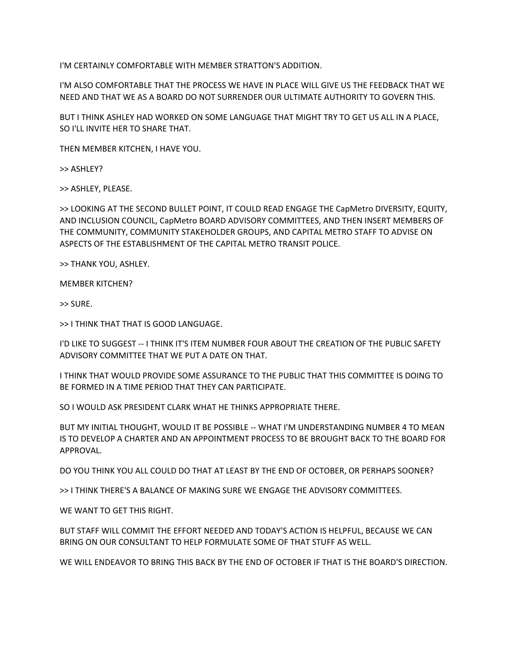I'M CERTAINLY COMFORTABLE WITH MEMBER STRATTON'S ADDITION.

I'M ALSO COMFORTABLE THAT THE PROCESS WE HAVE IN PLACE WILL GIVE US THE FEEDBACK THAT WE NEED AND THAT WE AS A BOARD DO NOT SURRENDER OUR ULTIMATE AUTHORITY TO GOVERN THIS.

BUT I THINK ASHLEY HAD WORKED ON SOME LANGUAGE THAT MIGHT TRY TO GET US ALL IN A PLACE, SO I'LL INVITE HER TO SHARE THAT.

THEN MEMBER KITCHEN, I HAVE YOU.

>> ASHLEY?

>> ASHLEY, PLEASE.

>> LOOKING AT THE SECOND BULLET POINT, IT COULD READ ENGAGE THE CapMetro DIVERSITY, EQUITY, AND INCLUSION COUNCIL, CapMetro BOARD ADVISORY COMMITTEES, AND THEN INSERT MEMBERS OF THE COMMUNITY, COMMUNITY STAKEHOLDER GROUPS, AND CAPITAL METRO STAFF TO ADVISE ON ASPECTS OF THE ESTABLISHMENT OF THE CAPITAL METRO TRANSIT POLICE.

>> THANK YOU, ASHLEY.

MEMBER KITCHEN?

>> SURE.

>> I THINK THAT THAT IS GOOD LANGUAGE.

I'D LIKE TO SUGGEST -- I THINK IT'S ITEM NUMBER FOUR ABOUT THE CREATION OF THE PUBLIC SAFETY ADVISORY COMMITTEE THAT WE PUT A DATE ON THAT.

I THINK THAT WOULD PROVIDE SOME ASSURANCE TO THE PUBLIC THAT THIS COMMITTEE IS DOING TO BE FORMED IN A TIME PERIOD THAT THEY CAN PARTICIPATE.

SO I WOULD ASK PRESIDENT CLARK WHAT HE THINKS APPROPRIATE THERE.

BUT MY INITIAL THOUGHT, WOULD IT BE POSSIBLE -- WHAT I'M UNDERSTANDING NUMBER 4 TO MEAN IS TO DEVELOP A CHARTER AND AN APPOINTMENT PROCESS TO BE BROUGHT BACK TO THE BOARD FOR APPROVAL.

DO YOU THINK YOU ALL COULD DO THAT AT LEAST BY THE END OF OCTOBER, OR PERHAPS SOONER?

>> I THINK THERE'S A BALANCE OF MAKING SURE WE ENGAGE THE ADVISORY COMMITTEES.

WE WANT TO GET THIS RIGHT.

BUT STAFF WILL COMMIT THE EFFORT NEEDED AND TODAY'S ACTION IS HELPFUL, BECAUSE WE CAN BRING ON OUR CONSULTANT TO HELP FORMULATE SOME OF THAT STUFF AS WELL.

WE WILL ENDEAVOR TO BRING THIS BACK BY THE END OF OCTOBER IF THAT IS THE BOARD'S DIRECTION.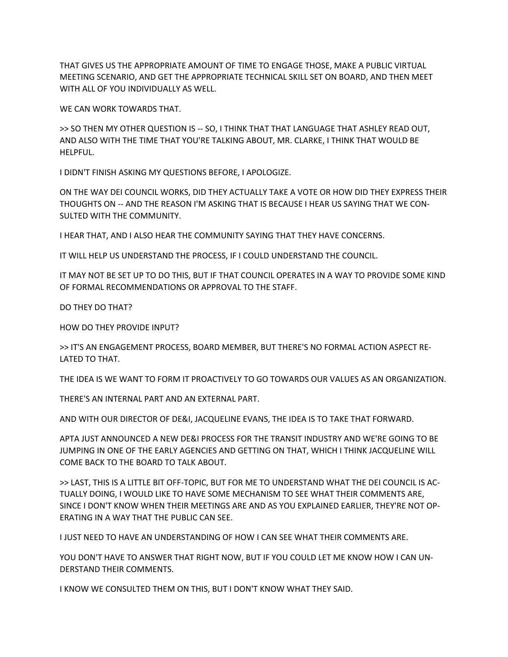THAT GIVES US THE APPROPRIATE AMOUNT OF TIME TO ENGAGE THOSE, MAKE A PUBLIC VIRTUAL MEETING SCENARIO, AND GET THE APPROPRIATE TECHNICAL SKILL SET ON BOARD, AND THEN MEET WITH ALL OF YOU INDIVIDUALLY AS WELL.

WE CAN WORK TOWARDS THAT.

>> SO THEN MY OTHER QUESTION IS -- SO, I THINK THAT THAT LANGUAGE THAT ASHLEY READ OUT, AND ALSO WITH THE TIME THAT YOU'RE TALKING ABOUT, MR. CLARKE, I THINK THAT WOULD BE HELPFUL.

I DIDN'T FINISH ASKING MY QUESTIONS BEFORE, I APOLOGIZE.

ON THE WAY DEI COUNCIL WORKS, DID THEY ACTUALLY TAKE A VOTE OR HOW DID THEY EXPRESS THEIR THOUGHTS ON -- AND THE REASON I'M ASKING THAT IS BECAUSE I HEAR US SAYING THAT WE CON-SULTED WITH THE COMMUNITY.

I HEAR THAT, AND I ALSO HEAR THE COMMUNITY SAYING THAT THEY HAVE CONCERNS.

IT WILL HELP US UNDERSTAND THE PROCESS, IF I COULD UNDERSTAND THE COUNCIL.

IT MAY NOT BE SET UP TO DO THIS, BUT IF THAT COUNCIL OPERATES IN A WAY TO PROVIDE SOME KIND OF FORMAL RECOMMENDATIONS OR APPROVAL TO THE STAFF.

DO THEY DO THAT?

HOW DO THEY PROVIDE INPUT?

>> IT'S AN ENGAGEMENT PROCESS, BOARD MEMBER, BUT THERE'S NO FORMAL ACTION ASPECT RE-LATED TO THAT.

THE IDEA IS WE WANT TO FORM IT PROACTIVELY TO GO TOWARDS OUR VALUES AS AN ORGANIZATION.

THERE'S AN INTERNAL PART AND AN EXTERNAL PART.

AND WITH OUR DIRECTOR OF DE&I, JACQUELINE EVANS, THE IDEA IS TO TAKE THAT FORWARD.

APTA JUST ANNOUNCED A NEW DE&I PROCESS FOR THE TRANSIT INDUSTRY AND WE'RE GOING TO BE JUMPING IN ONE OF THE EARLY AGENCIES AND GETTING ON THAT, WHICH I THINK JACQUELINE WILL COME BACK TO THE BOARD TO TALK ABOUT.

>> LAST, THIS IS A LITTLE BIT OFF-TOPIC, BUT FOR ME TO UNDERSTAND WHAT THE DEI COUNCIL IS AC-TUALLY DOING, I WOULD LIKE TO HAVE SOME MECHANISM TO SEE WHAT THEIR COMMENTS ARE, SINCE I DON'T KNOW WHEN THEIR MEETINGS ARE AND AS YOU EXPLAINED EARLIER, THEY'RE NOT OP-ERATING IN A WAY THAT THE PUBLIC CAN SEE.

I JUST NEED TO HAVE AN UNDERSTANDING OF HOW I CAN SEE WHAT THEIR COMMENTS ARE.

YOU DON'T HAVE TO ANSWER THAT RIGHT NOW, BUT IF YOU COULD LET ME KNOW HOW I CAN UN-DERSTAND THEIR COMMENTS.

I KNOW WE CONSULTED THEM ON THIS, BUT I DON'T KNOW WHAT THEY SAID.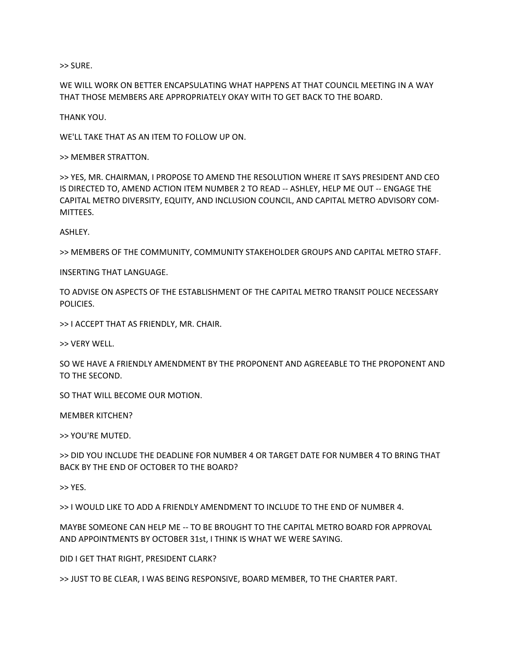>> SURE.

WE WILL WORK ON BETTER ENCAPSULATING WHAT HAPPENS AT THAT COUNCIL MEETING IN A WAY THAT THOSE MEMBERS ARE APPROPRIATELY OKAY WITH TO GET BACK TO THE BOARD.

THANK YOU.

WE'LL TAKE THAT AS AN ITEM TO FOLLOW UP ON.

>> MEMBER STRATTON.

>> YES, MR. CHAIRMAN, I PROPOSE TO AMEND THE RESOLUTION WHERE IT SAYS PRESIDENT AND CEO IS DIRECTED TO, AMEND ACTION ITEM NUMBER 2 TO READ -- ASHLEY, HELP ME OUT -- ENGAGE THE CAPITAL METRO DIVERSITY, EQUITY, AND INCLUSION COUNCIL, AND CAPITAL METRO ADVISORY COM-MITTEES.

ASHLEY.

>> MEMBERS OF THE COMMUNITY, COMMUNITY STAKEHOLDER GROUPS AND CAPITAL METRO STAFF.

INSERTING THAT LANGUAGE.

TO ADVISE ON ASPECTS OF THE ESTABLISHMENT OF THE CAPITAL METRO TRANSIT POLICE NECESSARY POLICIES.

>> I ACCEPT THAT AS FRIENDLY, MR. CHAIR.

>> VERY WELL.

SO WE HAVE A FRIENDLY AMENDMENT BY THE PROPONENT AND AGREEABLE TO THE PROPONENT AND TO THE SECOND.

SO THAT WILL BECOME OUR MOTION.

MEMBER KITCHEN?

>> YOU'RE MUTED.

>> DID YOU INCLUDE THE DEADLINE FOR NUMBER 4 OR TARGET DATE FOR NUMBER 4 TO BRING THAT BACK BY THE END OF OCTOBER TO THE BOARD?

>> YES.

>> I WOULD LIKE TO ADD A FRIENDLY AMENDMENT TO INCLUDE TO THE END OF NUMBER 4.

MAYBE SOMEONE CAN HELP ME -- TO BE BROUGHT TO THE CAPITAL METRO BOARD FOR APPROVAL AND APPOINTMENTS BY OCTOBER 31st, I THINK IS WHAT WE WERE SAYING.

DID I GET THAT RIGHT, PRESIDENT CLARK?

>> JUST TO BE CLEAR, I WAS BEING RESPONSIVE, BOARD MEMBER, TO THE CHARTER PART.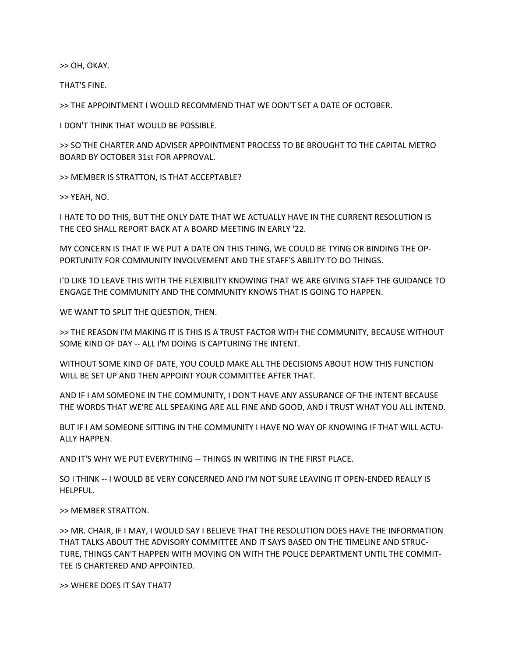>> OH, OKAY.

THAT'S FINE.

>> THE APPOINTMENT I WOULD RECOMMEND THAT WE DON'T SET A DATE OF OCTOBER.

I DON'T THINK THAT WOULD BE POSSIBLE.

>> SO THE CHARTER AND ADVISER APPOINTMENT PROCESS TO BE BROUGHT TO THE CAPITAL METRO BOARD BY OCTOBER 31st FOR APPROVAL.

>> MEMBER IS STRATTON, IS THAT ACCEPTABLE?

>> YEAH, NO.

I HATE TO DO THIS, BUT THE ONLY DATE THAT WE ACTUALLY HAVE IN THE CURRENT RESOLUTION IS THE CEO SHALL REPORT BACK AT A BOARD MEETING IN EARLY '22.

MY CONCERN IS THAT IF WE PUT A DATE ON THIS THING, WE COULD BE TYING OR BINDING THE OP-PORTUNITY FOR COMMUNITY INVOLVEMENT AND THE STAFF'S ABILITY TO DO THINGS.

I'D LIKE TO LEAVE THIS WITH THE FLEXIBILITY KNOWING THAT WE ARE GIVING STAFF THE GUIDANCE TO ENGAGE THE COMMUNITY AND THE COMMUNITY KNOWS THAT IS GOING TO HAPPEN.

WE WANT TO SPLIT THE QUESTION, THEN.

>> THE REASON I'M MAKING IT IS THIS IS A TRUST FACTOR WITH THE COMMUNITY, BECAUSE WITHOUT SOME KIND OF DAY -- ALL I'M DOING IS CAPTURING THE INTENT.

WITHOUT SOME KIND OF DATE, YOU COULD MAKE ALL THE DECISIONS ABOUT HOW THIS FUNCTION WILL BE SET UP AND THEN APPOINT YOUR COMMITTEE AFTER THAT.

AND IF I AM SOMEONE IN THE COMMUNITY, I DON'T HAVE ANY ASSURANCE OF THE INTENT BECAUSE THE WORDS THAT WE'RE ALL SPEAKING ARE ALL FINE AND GOOD, AND I TRUST WHAT YOU ALL INTEND.

BUT IF I AM SOMEONE SITTING IN THE COMMUNITY I HAVE NO WAY OF KNOWING IF THAT WILL ACTU-ALLY HAPPEN.

AND IT'S WHY WE PUT EVERYTHING -- THINGS IN WRITING IN THE FIRST PLACE.

SO I THINK -- I WOULD BE VERY CONCERNED AND I'M NOT SURE LEAVING IT OPEN-ENDED REALLY IS HELPFUL.

>> MEMBER STRATTON.

>> MR. CHAIR, IF I MAY, I WOULD SAY I BELIEVE THAT THE RESOLUTION DOES HAVE THE INFORMATION THAT TALKS ABOUT THE ADVISORY COMMITTEE AND IT SAYS BASED ON THE TIMELINE AND STRUC-TURE, THINGS CAN'T HAPPEN WITH MOVING ON WITH THE POLICE DEPARTMENT UNTIL THE COMMIT-TEE IS CHARTERED AND APPOINTED.

>> WHERE DOES IT SAY THAT?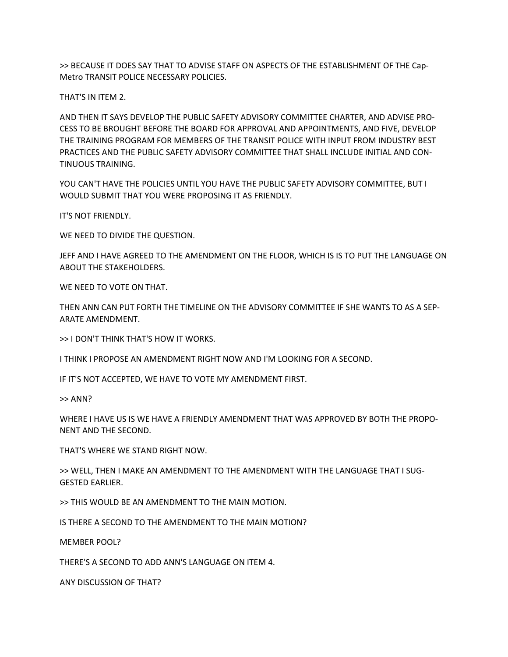>> BECAUSE IT DOES SAY THAT TO ADVISE STAFF ON ASPECTS OF THE ESTABLISHMENT OF THE Cap-Metro TRANSIT POLICE NECESSARY POLICIES.

THAT'S IN ITEM 2.

AND THEN IT SAYS DEVELOP THE PUBLIC SAFETY ADVISORY COMMITTEE CHARTER, AND ADVISE PRO-CESS TO BE BROUGHT BEFORE THE BOARD FOR APPROVAL AND APPOINTMENTS, AND FIVE, DEVELOP THE TRAINING PROGRAM FOR MEMBERS OF THE TRANSIT POLICE WITH INPUT FROM INDUSTRY BEST PRACTICES AND THE PUBLIC SAFETY ADVISORY COMMITTEE THAT SHALL INCLUDE INITIAL AND CON-TINUOUS TRAINING.

YOU CAN'T HAVE THE POLICIES UNTIL YOU HAVE THE PUBLIC SAFETY ADVISORY COMMITTEE, BUT I WOULD SUBMIT THAT YOU WERE PROPOSING IT AS FRIENDLY.

IT'S NOT FRIENDLY.

WE NEED TO DIVIDE THE QUESTION.

JEFF AND I HAVE AGREED TO THE AMENDMENT ON THE FLOOR, WHICH IS IS TO PUT THE LANGUAGE ON ABOUT THE STAKEHOLDERS.

WE NEED TO VOTE ON THAT.

THEN ANN CAN PUT FORTH THE TIMELINE ON THE ADVISORY COMMITTEE IF SHE WANTS TO AS A SEP-ARATE AMENDMENT.

>> I DON'T THINK THAT'S HOW IT WORKS.

I THINK I PROPOSE AN AMENDMENT RIGHT NOW AND I'M LOOKING FOR A SECOND.

IF IT'S NOT ACCEPTED, WE HAVE TO VOTE MY AMENDMENT FIRST.

 $>>$  ANN?

WHERE I HAVE US IS WE HAVE A FRIENDLY AMENDMENT THAT WAS APPROVED BY BOTH THE PROPO-NENT AND THE SECOND.

THAT'S WHERE WE STAND RIGHT NOW.

>> WELL, THEN I MAKE AN AMENDMENT TO THE AMENDMENT WITH THE LANGUAGE THAT I SUG-GESTED EARLIER.

>> THIS WOULD BE AN AMENDMENT TO THE MAIN MOTION.

IS THERE A SECOND TO THE AMENDMENT TO THE MAIN MOTION?

MEMBER POOL?

THERE'S A SECOND TO ADD ANN'S LANGUAGE ON ITEM 4.

ANY DISCUSSION OF THAT?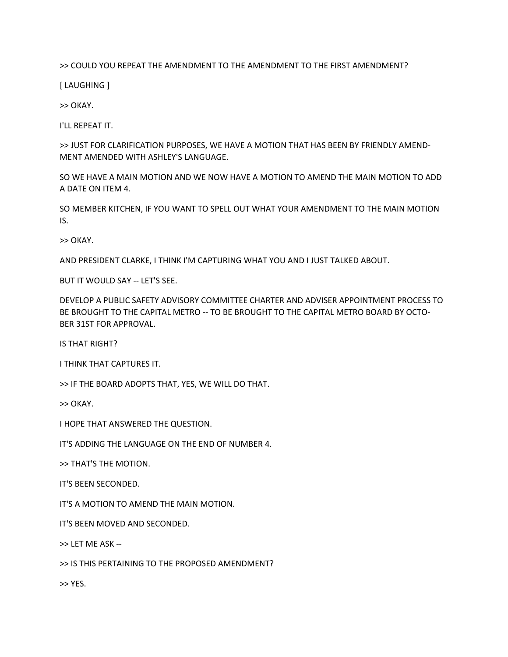>> COULD YOU REPEAT THE AMENDMENT TO THE AMENDMENT TO THE FIRST AMENDMENT?

[ LAUGHING ]

>> OKAY.

I'LL REPEAT IT.

>> JUST FOR CLARIFICATION PURPOSES, WE HAVE A MOTION THAT HAS BEEN BY FRIENDLY AMEND-MENT AMENDED WITH ASHLEY'S LANGUAGE.

SO WE HAVE A MAIN MOTION AND WE NOW HAVE A MOTION TO AMEND THE MAIN MOTION TO ADD A DATE ON ITEM 4.

SO MEMBER KITCHEN, IF YOU WANT TO SPELL OUT WHAT YOUR AMENDMENT TO THE MAIN MOTION IS.

>> OKAY.

AND PRESIDENT CLARKE, I THINK I'M CAPTURING WHAT YOU AND I JUST TALKED ABOUT.

BUT IT WOULD SAY -- LET'S SEE.

DEVELOP A PUBLIC SAFETY ADVISORY COMMITTEE CHARTER AND ADVISER APPOINTMENT PROCESS TO BE BROUGHT TO THE CAPITAL METRO -- TO BE BROUGHT TO THE CAPITAL METRO BOARD BY OCTO-BER 31ST FOR APPROVAL.

IS THAT RIGHT?

I THINK THAT CAPTURES IT.

>> IF THE BOARD ADOPTS THAT, YES, WE WILL DO THAT.

>> OKAY.

I HOPE THAT ANSWERED THE QUESTION.

IT'S ADDING THE LANGUAGE ON THE END OF NUMBER 4.

>> THAT'S THE MOTION.

IT'S BEEN SECONDED.

IT'S A MOTION TO AMEND THE MAIN MOTION.

IT'S BEEN MOVED AND SECONDED.

>> LET ME ASK --

>> IS THIS PERTAINING TO THE PROPOSED AMENDMENT?

>> YES.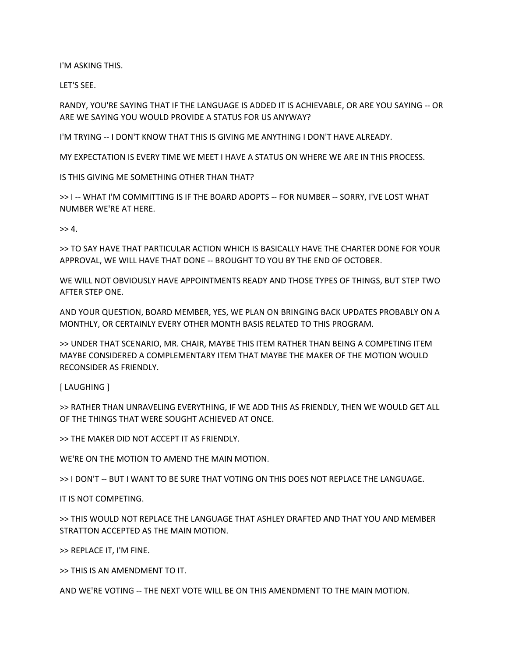I'M ASKING THIS.

LET'S SEE.

RANDY, YOU'RE SAYING THAT IF THE LANGUAGE IS ADDED IT IS ACHIEVABLE, OR ARE YOU SAYING -- OR ARE WE SAYING YOU WOULD PROVIDE A STATUS FOR US ANYWAY?

I'M TRYING -- I DON'T KNOW THAT THIS IS GIVING ME ANYTHING I DON'T HAVE ALREADY.

MY EXPECTATION IS EVERY TIME WE MEET I HAVE A STATUS ON WHERE WE ARE IN THIS PROCESS.

IS THIS GIVING ME SOMETHING OTHER THAN THAT?

>> I -- WHAT I'M COMMITTING IS IF THE BOARD ADOPTS -- FOR NUMBER -- SORRY, I'VE LOST WHAT NUMBER WE'RE AT HERE.

 $>> 4.$ 

>> TO SAY HAVE THAT PARTICULAR ACTION WHICH IS BASICALLY HAVE THE CHARTER DONE FOR YOUR APPROVAL, WE WILL HAVE THAT DONE -- BROUGHT TO YOU BY THE END OF OCTOBER.

WE WILL NOT OBVIOUSLY HAVE APPOINTMENTS READY AND THOSE TYPES OF THINGS, BUT STEP TWO AFTER STEP ONE.

AND YOUR QUESTION, BOARD MEMBER, YES, WE PLAN ON BRINGING BACK UPDATES PROBABLY ON A MONTHLY, OR CERTAINLY EVERY OTHER MONTH BASIS RELATED TO THIS PROGRAM.

>> UNDER THAT SCENARIO, MR. CHAIR, MAYBE THIS ITEM RATHER THAN BEING A COMPETING ITEM MAYBE CONSIDERED A COMPLEMENTARY ITEM THAT MAYBE THE MAKER OF THE MOTION WOULD RECONSIDER AS FRIENDLY.

[ LAUGHING ]

>> RATHER THAN UNRAVELING EVERYTHING, IF WE ADD THIS AS FRIENDLY, THEN WE WOULD GET ALL OF THE THINGS THAT WERE SOUGHT ACHIEVED AT ONCE.

>> THE MAKER DID NOT ACCEPT IT AS FRIENDLY.

WE'RE ON THE MOTION TO AMEND THE MAIN MOTION.

>> I DON'T -- BUT I WANT TO BE SURE THAT VOTING ON THIS DOES NOT REPLACE THE LANGUAGE.

IT IS NOT COMPETING.

>> THIS WOULD NOT REPLACE THE LANGUAGE THAT ASHLEY DRAFTED AND THAT YOU AND MEMBER STRATTON ACCEPTED AS THE MAIN MOTION.

>> REPLACE IT, I'M FINE.

>> THIS IS AN AMENDMENT TO IT.

AND WE'RE VOTING -- THE NEXT VOTE WILL BE ON THIS AMENDMENT TO THE MAIN MOTION.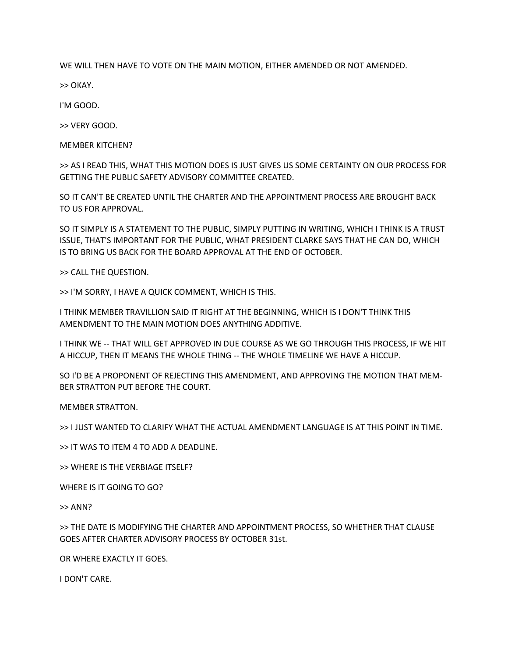WE WILL THEN HAVE TO VOTE ON THE MAIN MOTION, EITHER AMENDED OR NOT AMENDED.

>> OKAY.

I'M GOOD.

>> VERY GOOD.

MEMBER KITCHEN?

>> AS I READ THIS, WHAT THIS MOTION DOES IS JUST GIVES US SOME CERTAINTY ON OUR PROCESS FOR GETTING THE PUBLIC SAFETY ADVISORY COMMITTEE CREATED.

SO IT CAN'T BE CREATED UNTIL THE CHARTER AND THE APPOINTMENT PROCESS ARE BROUGHT BACK TO US FOR APPROVAL.

SO IT SIMPLY IS A STATEMENT TO THE PUBLIC, SIMPLY PUTTING IN WRITING, WHICH I THINK IS A TRUST ISSUE, THAT'S IMPORTANT FOR THE PUBLIC, WHAT PRESIDENT CLARKE SAYS THAT HE CAN DO, WHICH IS TO BRING US BACK FOR THE BOARD APPROVAL AT THE END OF OCTOBER.

>> CALL THE QUESTION.

>> I'M SORRY, I HAVE A QUICK COMMENT, WHICH IS THIS.

I THINK MEMBER TRAVILLION SAID IT RIGHT AT THE BEGINNING, WHICH IS I DON'T THINK THIS AMENDMENT TO THE MAIN MOTION DOES ANYTHING ADDITIVE.

I THINK WE -- THAT WILL GET APPROVED IN DUE COURSE AS WE GO THROUGH THIS PROCESS, IF WE HIT A HICCUP, THEN IT MEANS THE WHOLE THING -- THE WHOLE TIMELINE WE HAVE A HICCUP.

SO I'D BE A PROPONENT OF REJECTING THIS AMENDMENT, AND APPROVING THE MOTION THAT MEM-BER STRATTON PUT BEFORE THE COURT.

MEMBER STRATTON.

>> I JUST WANTED TO CLARIFY WHAT THE ACTUAL AMENDMENT LANGUAGE IS AT THIS POINT IN TIME.

>> IT WAS TO ITEM 4 TO ADD A DEADLINE.

>> WHERE IS THE VERBIAGE ITSELF?

WHERE IS IT GOING TO GO?

>> ANN?

>> THE DATE IS MODIFYING THE CHARTER AND APPOINTMENT PROCESS, SO WHETHER THAT CLAUSE GOES AFTER CHARTER ADVISORY PROCESS BY OCTOBER 31st.

OR WHERE EXACTLY IT GOES.

I DON'T CARE.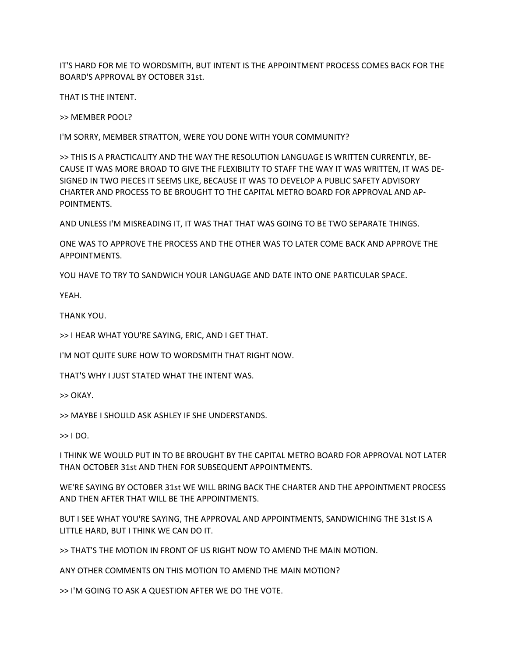IT'S HARD FOR ME TO WORDSMITH, BUT INTENT IS THE APPOINTMENT PROCESS COMES BACK FOR THE BOARD'S APPROVAL BY OCTOBER 31st.

THAT IS THE INTENT.

>> MEMBER POOL?

I'M SORRY, MEMBER STRATTON, WERE YOU DONE WITH YOUR COMMUNITY?

>> THIS IS A PRACTICALITY AND THE WAY THE RESOLUTION LANGUAGE IS WRITTEN CURRENTLY, BE-CAUSE IT WAS MORE BROAD TO GIVE THE FLEXIBILITY TO STAFF THE WAY IT WAS WRITTEN, IT WAS DE-SIGNED IN TWO PIECES IT SEEMS LIKE, BECAUSE IT WAS TO DEVELOP A PUBLIC SAFETY ADVISORY CHARTER AND PROCESS TO BE BROUGHT TO THE CAPITAL METRO BOARD FOR APPROVAL AND AP-POINTMENTS.

AND UNLESS I'M MISREADING IT, IT WAS THAT THAT WAS GOING TO BE TWO SEPARATE THINGS.

ONE WAS TO APPROVE THE PROCESS AND THE OTHER WAS TO LATER COME BACK AND APPROVE THE APPOINTMENTS.

YOU HAVE TO TRY TO SANDWICH YOUR LANGUAGE AND DATE INTO ONE PARTICULAR SPACE.

YEAH.

THANK YOU.

>> I HEAR WHAT YOU'RE SAYING, ERIC, AND I GET THAT.

I'M NOT QUITE SURE HOW TO WORDSMITH THAT RIGHT NOW.

THAT'S WHY I JUST STATED WHAT THE INTENT WAS.

>> OKAY.

>> MAYBE I SHOULD ASK ASHLEY IF SHE UNDERSTANDS.

 $>>$  I DO.

I THINK WE WOULD PUT IN TO BE BROUGHT BY THE CAPITAL METRO BOARD FOR APPROVAL NOT LATER THAN OCTOBER 31st AND THEN FOR SUBSEQUENT APPOINTMENTS.

WE'RE SAYING BY OCTOBER 31st WE WILL BRING BACK THE CHARTER AND THE APPOINTMENT PROCESS AND THEN AFTER THAT WILL BE THE APPOINTMENTS.

BUT I SEE WHAT YOU'RE SAYING, THE APPROVAL AND APPOINTMENTS, SANDWICHING THE 31st IS A LITTLE HARD, BUT I THINK WE CAN DO IT.

>> THAT'S THE MOTION IN FRONT OF US RIGHT NOW TO AMEND THE MAIN MOTION.

ANY OTHER COMMENTS ON THIS MOTION TO AMEND THE MAIN MOTION?

>> I'M GOING TO ASK A QUESTION AFTER WE DO THE VOTE.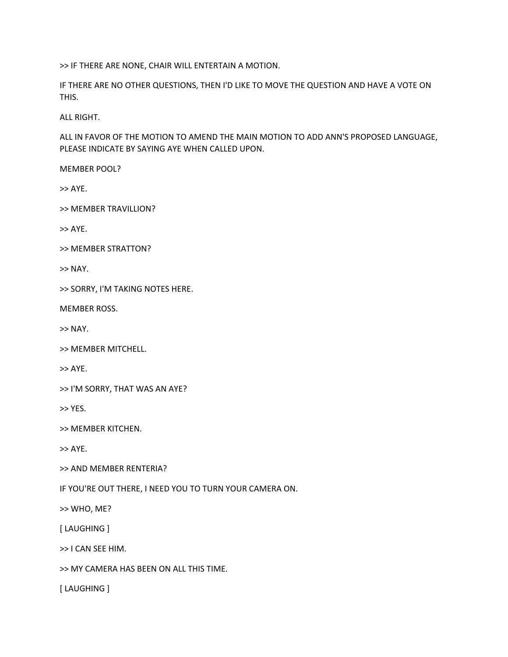>> IF THERE ARE NONE, CHAIR WILL ENTERTAIN A MOTION.

IF THERE ARE NO OTHER QUESTIONS, THEN I'D LIKE TO MOVE THE QUESTION AND HAVE A VOTE ON THIS.

ALL RIGHT.

ALL IN FAVOR OF THE MOTION TO AMEND THE MAIN MOTION TO ADD ANN'S PROPOSED LANGUAGE, PLEASE INDICATE BY SAYING AYE WHEN CALLED UPON.

MEMBER POOL?

>> AYE.

>> MEMBER TRAVILLION?

>> AYE.

>> MEMBER STRATTON?

>> NAY.

>> SORRY, I'M TAKING NOTES HERE.

MEMBER ROSS.

>> NAY.

>> MEMBER MITCHELL.

>> AYE.

>> I'M SORRY, THAT WAS AN AYE?

>> YES.

>> MEMBER KITCHEN.

>> AYE.

>> AND MEMBER RENTERIA?

IF YOU'RE OUT THERE, I NEED YOU TO TURN YOUR CAMERA ON.

>> WHO, ME?

[ LAUGHING ]

>> I CAN SEE HIM.

>> MY CAMERA HAS BEEN ON ALL THIS TIME.

[ LAUGHING ]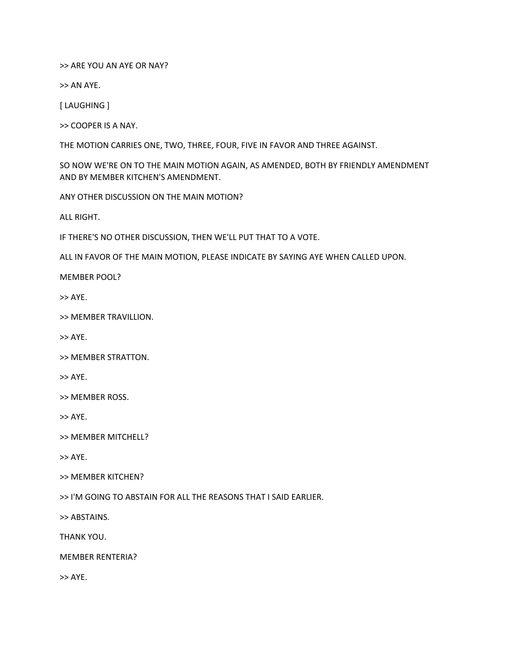>> ARE YOU AN AYE OR NAY?

>> AN AYE.

[ LAUGHING ]

>> COOPER IS A NAY.

THE MOTION CARRIES ONE, TWO, THREE, FOUR, FIVE IN FAVOR AND THREE AGAINST.

SO NOW WE'RE ON TO THE MAIN MOTION AGAIN, AS AMENDED, BOTH BY FRIENDLY AMENDMENT AND BY MEMBER KITCHEN'S AMENDMENT.

ANY OTHER DISCUSSION ON THE MAIN MOTION?

ALL RIGHT.

IF THERE'S NO OTHER DISCUSSION, THEN WE'LL PUT THAT TO A VOTE.

ALL IN FAVOR OF THE MAIN MOTION, PLEASE INDICATE BY SAYING AYE WHEN CALLED UPON.

MEMBER POOL?

>> AYE.

>> MEMBER TRAVILLION.

>> AYE.

>> MEMBER STRATTON.

>> AYE.

>> MEMBER ROSS.

>> AYE.

>> MEMBER MITCHELL?

>> AYE.

>> MEMBER KITCHEN?

>> I'M GOING TO ABSTAIN FOR ALL THE REASONS THAT I SAID EARLIER.

>> ABSTAINS.

THANK YOU.

MEMBER RENTERIA?

>> AYE.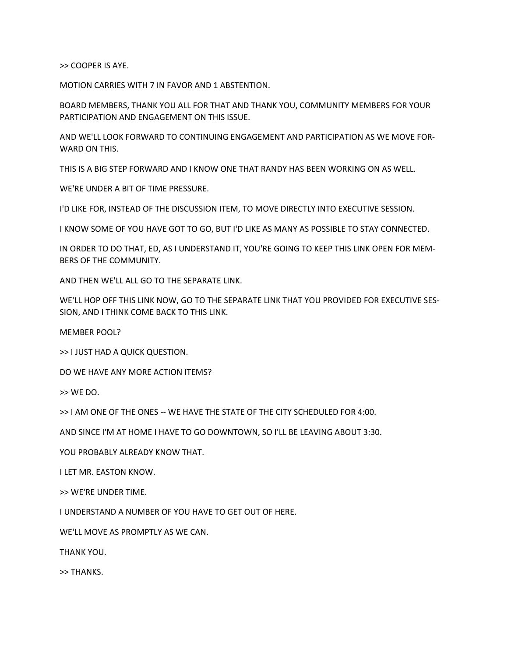>> COOPER IS AYE.

MOTION CARRIES WITH 7 IN FAVOR AND 1 ABSTENTION.

BOARD MEMBERS, THANK YOU ALL FOR THAT AND THANK YOU, COMMUNITY MEMBERS FOR YOUR PARTICIPATION AND ENGAGEMENT ON THIS ISSUE.

AND WE'LL LOOK FORWARD TO CONTINUING ENGAGEMENT AND PARTICIPATION AS WE MOVE FOR-WARD ON THIS.

THIS IS A BIG STEP FORWARD AND I KNOW ONE THAT RANDY HAS BEEN WORKING ON AS WELL.

WE'RE UNDER A BIT OF TIME PRESSURE.

I'D LIKE FOR, INSTEAD OF THE DISCUSSION ITEM, TO MOVE DIRECTLY INTO EXECUTIVE SESSION.

I KNOW SOME OF YOU HAVE GOT TO GO, BUT I'D LIKE AS MANY AS POSSIBLE TO STAY CONNECTED.

IN ORDER TO DO THAT, ED, AS I UNDERSTAND IT, YOU'RE GOING TO KEEP THIS LINK OPEN FOR MEM-BERS OF THE COMMUNITY.

AND THEN WE'LL ALL GO TO THE SEPARATE LINK.

WE'LL HOP OFF THIS LINK NOW, GO TO THE SEPARATE LINK THAT YOU PROVIDED FOR EXECUTIVE SES-SION, AND I THINK COME BACK TO THIS LINK.

MEMBER POOL?

>> I JUST HAD A QUICK QUESTION.

DO WE HAVE ANY MORE ACTION ITEMS?

>> WE DO.

>> I AM ONE OF THE ONES -- WE HAVE THE STATE OF THE CITY SCHEDULED FOR 4:00.

AND SINCE I'M AT HOME I HAVE TO GO DOWNTOWN, SO I'LL BE LEAVING ABOUT 3:30.

YOU PROBABLY ALREADY KNOW THAT.

I LET MR. EASTON KNOW.

>> WE'RE UNDER TIME.

I UNDERSTAND A NUMBER OF YOU HAVE TO GET OUT OF HERE.

WE'LL MOVE AS PROMPTLY AS WE CAN.

THANK YOU.

>> THANKS.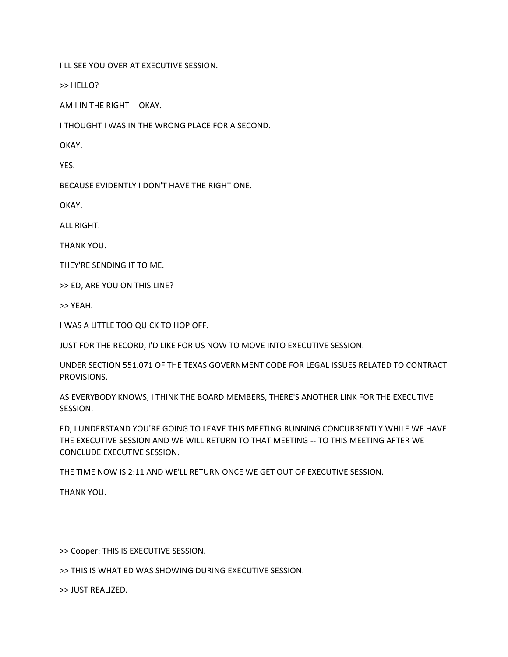I'LL SEE YOU OVER AT EXECUTIVE SESSION.

>> HELLO?

AM I IN THE RIGHT -- OKAY.

I THOUGHT I WAS IN THE WRONG PLACE FOR A SECOND.

OKAY.

YES.

BECAUSE EVIDENTLY I DON'T HAVE THE RIGHT ONE.

OKAY.

ALL RIGHT.

THANK YOU.

THEY'RE SENDING IT TO ME.

>> ED, ARE YOU ON THIS LINE?

>> YEAH.

I WAS A LITTLE TOO QUICK TO HOP OFF.

JUST FOR THE RECORD, I'D LIKE FOR US NOW TO MOVE INTO EXECUTIVE SESSION.

UNDER SECTION 551.071 OF THE TEXAS GOVERNMENT CODE FOR LEGAL ISSUES RELATED TO CONTRACT PROVISIONS.

AS EVERYBODY KNOWS, I THINK THE BOARD MEMBERS, THERE'S ANOTHER LINK FOR THE EXECUTIVE SESSION.

ED, I UNDERSTAND YOU'RE GOING TO LEAVE THIS MEETING RUNNING CONCURRENTLY WHILE WE HAVE THE EXECUTIVE SESSION AND WE WILL RETURN TO THAT MEETING -- TO THIS MEETING AFTER WE CONCLUDE EXECUTIVE SESSION.

THE TIME NOW IS 2:11 AND WE'LL RETURN ONCE WE GET OUT OF EXECUTIVE SESSION.

THANK YOU.

>> Cooper: THIS IS EXECUTIVE SESSION.

>> THIS IS WHAT ED WAS SHOWING DURING EXECUTIVE SESSION.

>> JUST REALIZED.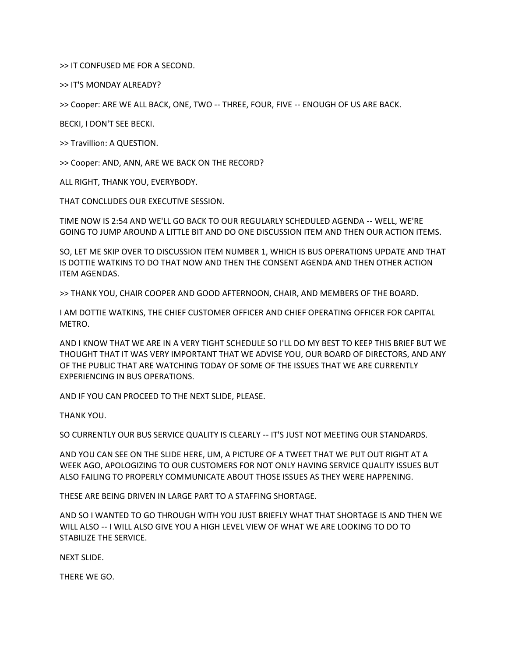>> IT CONFUSED ME FOR A SECOND.

>> IT'S MONDAY ALREADY?

>> Cooper: ARE WE ALL BACK, ONE, TWO ‑‑ THREE, FOUR, FIVE ‑‑ ENOUGH OF US ARE BACK.

BECKI, I DON'T SEE BECKI.

>> Travillion: A QUESTION.

>> Cooper: AND, ANN, ARE WE BACK ON THE RECORD?

ALL RIGHT, THANK YOU, EVERYBODY.

THAT CONCLUDES OUR EXECUTIVE SESSION.

TIME NOW IS 2:54 AND WE'LL GO BACK TO OUR REGULARLY SCHEDULED AGENDA ‑‑ WELL, WE'RE GOING TO JUMP AROUND A LITTLE BIT AND DO ONE DISCUSSION ITEM AND THEN OUR ACTION ITEMS.

SO, LET ME SKIP OVER TO DISCUSSION ITEM NUMBER 1, WHICH IS BUS OPERATIONS UPDATE AND THAT IS DOTTIE WATKINS TO DO THAT NOW AND THEN THE CONSENT AGENDA AND THEN OTHER ACTION ITEM AGENDAS.

>> THANK YOU, CHAIR COOPER AND GOOD AFTERNOON, CHAIR, AND MEMBERS OF THE BOARD.

I AM DOTTIE WATKINS, THE CHIEF CUSTOMER OFFICER AND CHIEF OPERATING OFFICER FOR CAPITAL METRO.

AND I KNOW THAT WE ARE IN A VERY TIGHT SCHEDULE SO I'LL DO MY BEST TO KEEP THIS BRIEF BUT WE THOUGHT THAT IT WAS VERY IMPORTANT THAT WE ADVISE YOU, OUR BOARD OF DIRECTORS, AND ANY OF THE PUBLIC THAT ARE WATCHING TODAY OF SOME OF THE ISSUES THAT WE ARE CURRENTLY EXPERIENCING IN BUS OPERATIONS.

AND IF YOU CAN PROCEED TO THE NEXT SLIDE, PLEASE.

THANK YOU.

SO CURRENTLY OUR BUS SERVICE QUALITY IS CLEARLY ‑‑ IT'S JUST NOT MEETING OUR STANDARDS.

AND YOU CAN SEE ON THE SLIDE HERE, UM, A PICTURE OF A TWEET THAT WE PUT OUT RIGHT AT A WEEK AGO, APOLOGIZING TO OUR CUSTOMERS FOR NOT ONLY HAVING SERVICE QUALITY ISSUES BUT ALSO FAILING TO PROPERLY COMMUNICATE ABOUT THOSE ISSUES AS THEY WERE HAPPENING.

THESE ARE BEING DRIVEN IN LARGE PART TO A STAFFING SHORTAGE.

AND SO I WANTED TO GO THROUGH WITH YOU JUST BRIEFLY WHAT THAT SHORTAGE IS AND THEN WE WILL ALSO ‑‑ I WILL ALSO GIVE YOU A HIGH LEVEL VIEW OF WHAT WE ARE LOOKING TO DO TO STABILIZE THE SERVICE.

NEXT SLIDE.

THERE WE GO.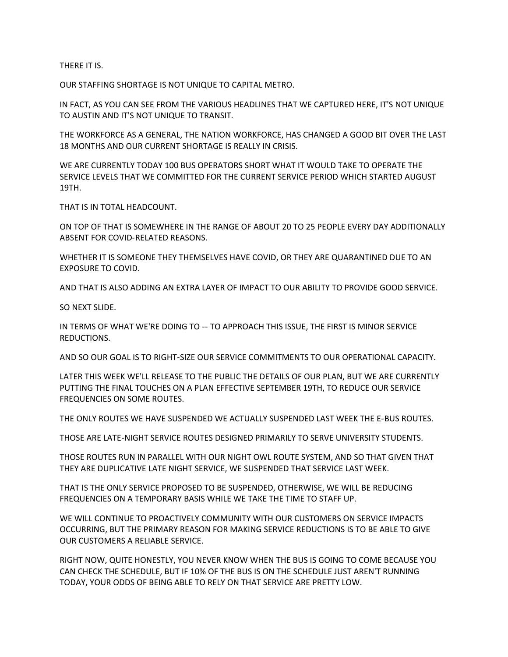THERE IT IS.

OUR STAFFING SHORTAGE IS NOT UNIQUE TO CAPITAL METRO.

IN FACT, AS YOU CAN SEE FROM THE VARIOUS HEADLINES THAT WE CAPTURED HERE, IT'S NOT UNIQUE TO AUSTIN AND IT'S NOT UNIQUE TO TRANSIT.

THE WORKFORCE AS A GENERAL, THE NATION WORKFORCE, HAS CHANGED A GOOD BIT OVER THE LAST 18 MONTHS AND OUR CURRENT SHORTAGE IS REALLY IN CRISIS.

WE ARE CURRENTLY TODAY 100 BUS OPERATORS SHORT WHAT IT WOULD TAKE TO OPERATE THE SERVICE LEVELS THAT WE COMMITTED FOR THE CURRENT SERVICE PERIOD WHICH STARTED AUGUST 19TH.

THAT IS IN TOTAL HEADCOUNT.

ON TOP OF THAT IS SOMEWHERE IN THE RANGE OF ABOUT 20 TO 25 PEOPLE EVERY DAY ADDITIONALLY ABSENT FOR COVID‑RELATED REASONS.

WHETHER IT IS SOMEONE THEY THEMSELVES HAVE COVID, OR THEY ARE QUARANTINED DUE TO AN EXPOSURE TO COVID.

AND THAT IS ALSO ADDING AN EXTRA LAYER OF IMPACT TO OUR ABILITY TO PROVIDE GOOD SERVICE.

SO NEXT SLIDE.

IN TERMS OF WHAT WE'RE DOING TO ‑‑ TO APPROACH THIS ISSUE, THE FIRST IS MINOR SERVICE REDUCTIONS.

AND SO OUR GOAL IS TO RIGHT‑SIZE OUR SERVICE COMMITMENTS TO OUR OPERATIONAL CAPACITY.

LATER THIS WEEK WE'LL RELEASE TO THE PUBLIC THE DETAILS OF OUR PLAN, BUT WE ARE CURRENTLY PUTTING THE FINAL TOUCHES ON A PLAN EFFECTIVE SEPTEMBER 19TH, TO REDUCE OUR SERVICE FREQUENCIES ON SOME ROUTES.

THE ONLY ROUTES WE HAVE SUSPENDED WE ACTUALLY SUSPENDED LAST WEEK THE E‑BUS ROUTES.

THOSE ARE LATE‑NIGHT SERVICE ROUTES DESIGNED PRIMARILY TO SERVE UNIVERSITY STUDENTS.

THOSE ROUTES RUN IN PARALLEL WITH OUR NIGHT OWL ROUTE SYSTEM, AND SO THAT GIVEN THAT THEY ARE DUPLICATIVE LATE NIGHT SERVICE, WE SUSPENDED THAT SERVICE LAST WEEK.

THAT IS THE ONLY SERVICE PROPOSED TO BE SUSPENDED, OTHERWISE, WE WILL BE REDUCING FREQUENCIES ON A TEMPORARY BASIS WHILE WE TAKE THE TIME TO STAFF UP.

WE WILL CONTINUE TO PROACTIVELY COMMUNITY WITH OUR CUSTOMERS ON SERVICE IMPACTS OCCURRING, BUT THE PRIMARY REASON FOR MAKING SERVICE REDUCTIONS IS TO BE ABLE TO GIVE OUR CUSTOMERS A RELIABLE SERVICE.

RIGHT NOW, QUITE HONESTLY, YOU NEVER KNOW WHEN THE BUS IS GOING TO COME BECAUSE YOU CAN CHECK THE SCHEDULE, BUT IF 10% OF THE BUS IS ON THE SCHEDULE JUST AREN'T RUNNING TODAY, YOUR ODDS OF BEING ABLE TO RELY ON THAT SERVICE ARE PRETTY LOW.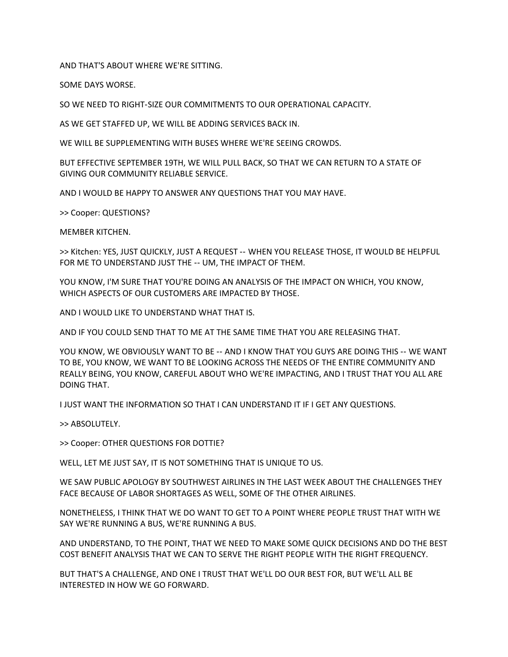AND THAT'S ABOUT WHERE WE'RE SITTING.

SOME DAYS WORSE.

SO WE NEED TO RIGHT‑SIZE OUR COMMITMENTS TO OUR OPERATIONAL CAPACITY.

AS WE GET STAFFED UP, WE WILL BE ADDING SERVICES BACK IN.

WE WILL BE SUPPLEMENTING WITH BUSES WHERE WE'RE SEEING CROWDS.

BUT EFFECTIVE SEPTEMBER 19TH, WE WILL PULL BACK, SO THAT WE CAN RETURN TO A STATE OF GIVING OUR COMMUNITY RELIABLE SERVICE.

AND I WOULD BE HAPPY TO ANSWER ANY QUESTIONS THAT YOU MAY HAVE.

>> Cooper: QUESTIONS?

MEMBER KITCHEN.

>> Kitchen: YES, JUST QUICKLY, JUST A REQUEST ‑‑ WHEN YOU RELEASE THOSE, IT WOULD BE HELPFUL FOR ME TO UNDERSTAND JUST THE -- UM, THE IMPACT OF THEM.

YOU KNOW, I'M SURE THAT YOU'RE DOING AN ANALYSIS OF THE IMPACT ON WHICH, YOU KNOW, WHICH ASPECTS OF OUR CUSTOMERS ARE IMPACTED BY THOSE.

AND I WOULD LIKE TO UNDERSTAND WHAT THAT IS.

AND IF YOU COULD SEND THAT TO ME AT THE SAME TIME THAT YOU ARE RELEASING THAT.

YOU KNOW, WE OBVIOUSLY WANT TO BE -- AND I KNOW THAT YOU GUYS ARE DOING THIS -- WE WANT TO BE, YOU KNOW, WE WANT TO BE LOOKING ACROSS THE NEEDS OF THE ENTIRE COMMUNITY AND REALLY BEING, YOU KNOW, CAREFUL ABOUT WHO WE'RE IMPACTING, AND I TRUST THAT YOU ALL ARE DOING THAT.

I JUST WANT THE INFORMATION SO THAT I CAN UNDERSTAND IT IF I GET ANY QUESTIONS.

>> ABSOLUTELY.

>> Cooper: OTHER QUESTIONS FOR DOTTIE?

WELL, LET ME JUST SAY, IT IS NOT SOMETHING THAT IS UNIQUE TO US.

WE SAW PUBLIC APOLOGY BY SOUTHWEST AIRLINES IN THE LAST WEEK ABOUT THE CHALLENGES THEY FACE BECAUSE OF LABOR SHORTAGES AS WELL, SOME OF THE OTHER AIRLINES.

NONETHELESS, I THINK THAT WE DO WANT TO GET TO A POINT WHERE PEOPLE TRUST THAT WITH WE SAY WE'RE RUNNING A BUS, WE'RE RUNNING A BUS.

AND UNDERSTAND, TO THE POINT, THAT WE NEED TO MAKE SOME QUICK DECISIONS AND DO THE BEST COST BENEFIT ANALYSIS THAT WE CAN TO SERVE THE RIGHT PEOPLE WITH THE RIGHT FREQUENCY.

BUT THAT'S A CHALLENGE, AND ONE I TRUST THAT WE'LL DO OUR BEST FOR, BUT WE'LL ALL BE INTERESTED IN HOW WE GO FORWARD.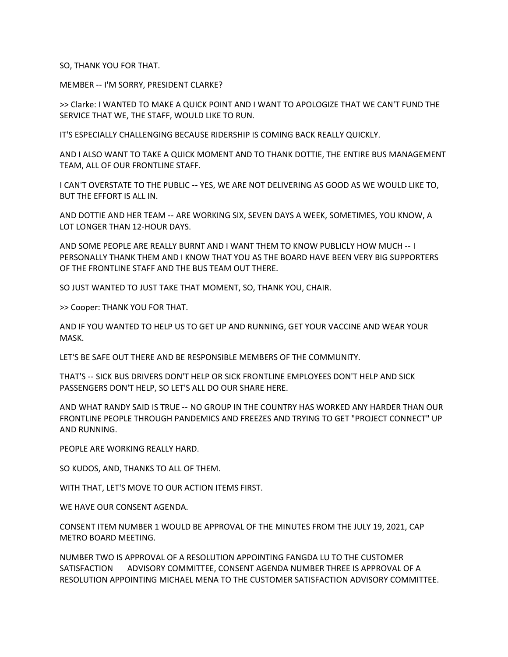SO, THANK YOU FOR THAT.

MEMBER ‑‑ I'M SORRY, PRESIDENT CLARKE?

>> Clarke: I WANTED TO MAKE A QUICK POINT AND I WANT TO APOLOGIZE THAT WE CAN'T FUND THE SERVICE THAT WE, THE STAFF, WOULD LIKE TO RUN.

IT'S ESPECIALLY CHALLENGING BECAUSE RIDERSHIP IS COMING BACK REALLY QUICKLY.

AND I ALSO WANT TO TAKE A QUICK MOMENT AND TO THANK DOTTIE, THE ENTIRE BUS MANAGEMENT TEAM, ALL OF OUR FRONTLINE STAFF.

I CAN'T OVERSTATE TO THE PUBLIC ‑‑ YES, WE ARE NOT DELIVERING AS GOOD AS WE WOULD LIKE TO, BUT THE EFFORT IS ALL IN.

AND DOTTIE AND HER TEAM ‑‑ ARE WORKING SIX, SEVEN DAYS A WEEK, SOMETIMES, YOU KNOW, A LOT LONGER THAN 12‑HOUR DAYS.

AND SOME PEOPLE ARE REALLY BURNT AND I WANT THEM TO KNOW PUBLICLY HOW MUCH ‑‑ I PERSONALLY THANK THEM AND I KNOW THAT YOU AS THE BOARD HAVE BEEN VERY BIG SUPPORTERS OF THE FRONTLINE STAFF AND THE BUS TEAM OUT THERE.

SO JUST WANTED TO JUST TAKE THAT MOMENT, SO, THANK YOU, CHAIR.

>> Cooper: THANK YOU FOR THAT.

AND IF YOU WANTED TO HELP US TO GET UP AND RUNNING, GET YOUR VACCINE AND WEAR YOUR MASK.

LET'S BE SAFE OUT THERE AND BE RESPONSIBLE MEMBERS OF THE COMMUNITY.

THAT'S ‑‑ SICK BUS DRIVERS DON'T HELP OR SICK FRONTLINE EMPLOYEES DON'T HELP AND SICK PASSENGERS DON'T HELP, SO LET'S ALL DO OUR SHARE HERE.

AND WHAT RANDY SAID IS TRUE ‑‑ NO GROUP IN THE COUNTRY HAS WORKED ANY HARDER THAN OUR FRONTLINE PEOPLE THROUGH PANDEMICS AND FREEZES AND TRYING TO GET "PROJECT CONNECT" UP AND RUNNING.

PEOPLE ARE WORKING REALLY HARD.

SO KUDOS, AND, THANKS TO ALL OF THEM.

WITH THAT, LET'S MOVE TO OUR ACTION ITEMS FIRST.

WE HAVE OUR CONSENT AGENDA.

CONSENT ITEM NUMBER 1 WOULD BE APPROVAL OF THE MINUTES FROM THE JULY 19, 2021, CAP METRO BOARD MEETING.

NUMBER TWO IS APPROVAL OF A RESOLUTION APPOINTING FANGDA LU TO THE CUSTOMER SATISFACTION ADVISORY COMMITTEE, CONSENT AGENDA NUMBER THREE IS APPROVAL OF A RESOLUTION APPOINTING MICHAEL MENA TO THE CUSTOMER SATISFACTION ADVISORY COMMITTEE.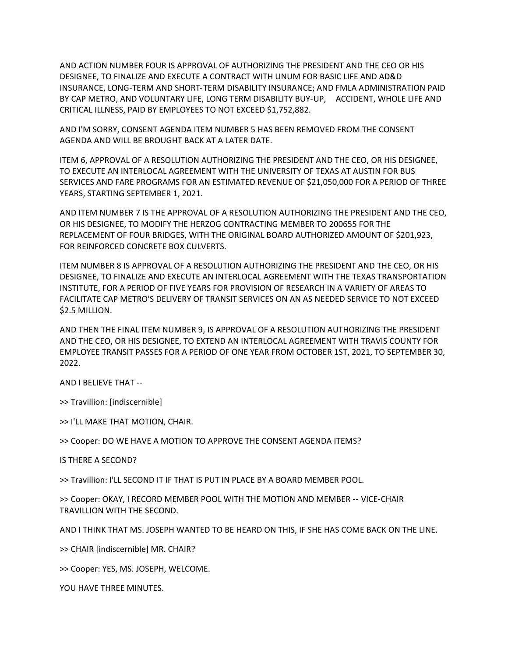AND ACTION NUMBER FOUR IS APPROVAL OF AUTHORIZING THE PRESIDENT AND THE CEO OR HIS DESIGNEE, TO FINALIZE AND EXECUTE A CONTRACT WITH UNUM FOR BASIC LIFE AND AD&D INSURANCE, LONG‑TERM AND SHORT‑TERM DISABILITY INSURANCE; AND FMLA ADMINISTRATION PAID BY CAP METRO, AND VOLUNTARY LIFE, LONG TERM DISABILITY BUY‑UP, ACCIDENT, WHOLE LIFE AND CRITICAL ILLNESS, PAID BY EMPLOYEES TO NOT EXCEED \$1,752,882.

AND I'M SORRY, CONSENT AGENDA ITEM NUMBER 5 HAS BEEN REMOVED FROM THE CONSENT AGENDA AND WILL BE BROUGHT BACK AT A LATER DATE.

ITEM 6, APPROVAL OF A RESOLUTION AUTHORIZING THE PRESIDENT AND THE CEO, OR HIS DESIGNEE, TO EXECUTE AN INTERLOCAL AGREEMENT WITH THE UNIVERSITY OF TEXAS AT AUSTIN FOR BUS SERVICES AND FARE PROGRAMS FOR AN ESTIMATED REVENUE OF \$21,050,000 FOR A PERIOD OF THREE YEARS, STARTING SEPTEMBER 1, 2021.

AND ITEM NUMBER 7 IS THE APPROVAL OF A RESOLUTION AUTHORIZING THE PRESIDENT AND THE CEO, OR HIS DESIGNEE, TO MODIFY THE HERZOG CONTRACTING MEMBER TO 200655 FOR THE REPLACEMENT OF FOUR BRIDGES, WITH THE ORIGINAL BOARD AUTHORIZED AMOUNT OF \$201,923, FOR REINFORCED CONCRETE BOX CULVERTS.

ITEM NUMBER 8 IS APPROVAL OF A RESOLUTION AUTHORIZING THE PRESIDENT AND THE CEO, OR HIS DESIGNEE, TO FINALIZE AND EXECUTE AN INTERLOCAL AGREEMENT WITH THE TEXAS TRANSPORTATION INSTITUTE, FOR A PERIOD OF FIVE YEARS FOR PROVISION OF RESEARCH IN A VARIETY OF AREAS TO FACILITATE CAP METRO'S DELIVERY OF TRANSIT SERVICES ON AN AS NEEDED SERVICE TO NOT EXCEED \$2.5 MILLION.

AND THEN THE FINAL ITEM NUMBER 9, IS APPROVAL OF A RESOLUTION AUTHORIZING THE PRESIDENT AND THE CEO, OR HIS DESIGNEE, TO EXTEND AN INTERLOCAL AGREEMENT WITH TRAVIS COUNTY FOR EMPLOYEE TRANSIT PASSES FOR A PERIOD OF ONE YEAR FROM OCTOBER 1ST, 2021, TO SEPTEMBER 30, 2022.

AND I BELIEVE THAT --

>> Travillion: [indiscernible]

>> I'LL MAKE THAT MOTION, CHAIR.

>> Cooper: DO WE HAVE A MOTION TO APPROVE THE CONSENT AGENDA ITEMS?

IS THERE A SECOND?

>> Travillion: I'LL SECOND IT IF THAT IS PUT IN PLACE BY A BOARD MEMBER POOL.

>> Cooper: OKAY, I RECORD MEMBER POOL WITH THE MOTION AND MEMBER ‑‑ VICE‑CHAIR TRAVILLION WITH THE SECOND.

AND I THINK THAT MS. JOSEPH WANTED TO BE HEARD ON THIS, IF SHE HAS COME BACK ON THE LINE.

>> CHAIR [indiscernible] MR. CHAIR?

>> Cooper: YES, MS. JOSEPH, WELCOME.

YOU HAVE THREE MINUTES.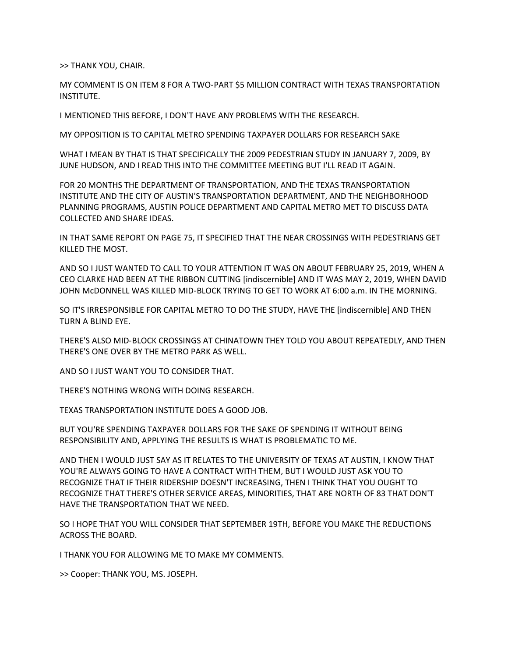>> THANK YOU, CHAIR.

MY COMMENT IS ON ITEM 8 FOR A TWO‑PART \$5 MILLION CONTRACT WITH TEXAS TRANSPORTATION INSTITUTE.

I MENTIONED THIS BEFORE, I DON'T HAVE ANY PROBLEMS WITH THE RESEARCH.

MY OPPOSITION IS TO CAPITAL METRO SPENDING TAXPAYER DOLLARS FOR RESEARCH SAKE

WHAT I MEAN BY THAT IS THAT SPECIFICALLY THE 2009 PEDESTRIAN STUDY IN JANUARY 7, 2009, BY JUNE HUDSON, AND I READ THIS INTO THE COMMITTEE MEETING BUT I'LL READ IT AGAIN.

FOR 20 MONTHS THE DEPARTMENT OF TRANSPORTATION, AND THE TEXAS TRANSPORTATION INSTITUTE AND THE CITY OF AUSTIN'S TRANSPORTATION DEPARTMENT, AND THE NEIGHBORHOOD PLANNING PROGRAMS, AUSTIN POLICE DEPARTMENT AND CAPITAL METRO MET TO DISCUSS DATA COLLECTED AND SHARE IDEAS.

IN THAT SAME REPORT ON PAGE 75, IT SPECIFIED THAT THE NEAR CROSSINGS WITH PEDESTRIANS GET KILLED THE MOST.

AND SO I JUST WANTED TO CALL TO YOUR ATTENTION IT WAS ON ABOUT FEBRUARY 25, 2019, WHEN A CEO CLARKE HAD BEEN AT THE RIBBON CUTTING [indiscernible] AND IT WAS MAY 2, 2019, WHEN DAVID JOHN McDONNELL WAS KILLED MID‑BLOCK TRYING TO GET TO WORK AT 6:00 a.m. IN THE MORNING.

SO IT'S IRRESPONSIBLE FOR CAPITAL METRO TO DO THE STUDY, HAVE THE [indiscernible] AND THEN TURN A BLIND EYE.

THERE'S ALSO MID‑BLOCK CROSSINGS AT CHINATOWN THEY TOLD YOU ABOUT REPEATEDLY, AND THEN THERE'S ONE OVER BY THE METRO PARK AS WELL.

AND SO I JUST WANT YOU TO CONSIDER THAT.

THERE'S NOTHING WRONG WITH DOING RESEARCH.

TEXAS TRANSPORTATION INSTITUTE DOES A GOOD JOB.

BUT YOU'RE SPENDING TAXPAYER DOLLARS FOR THE SAKE OF SPENDING IT WITHOUT BEING RESPONSIBILITY AND, APPLYING THE RESULTS IS WHAT IS PROBLEMATIC TO ME.

AND THEN I WOULD JUST SAY AS IT RELATES TO THE UNIVERSITY OF TEXAS AT AUSTIN, I KNOW THAT YOU'RE ALWAYS GOING TO HAVE A CONTRACT WITH THEM, BUT I WOULD JUST ASK YOU TO RECOGNIZE THAT IF THEIR RIDERSHIP DOESN'T INCREASING, THEN I THINK THAT YOU OUGHT TO RECOGNIZE THAT THERE'S OTHER SERVICE AREAS, MINORITIES, THAT ARE NORTH OF 83 THAT DON'T HAVE THE TRANSPORTATION THAT WE NEED.

SO I HOPE THAT YOU WILL CONSIDER THAT SEPTEMBER 19TH, BEFORE YOU MAKE THE REDUCTIONS ACROSS THE BOARD.

I THANK YOU FOR ALLOWING ME TO MAKE MY COMMENTS.

>> Cooper: THANK YOU, MS. JOSEPH.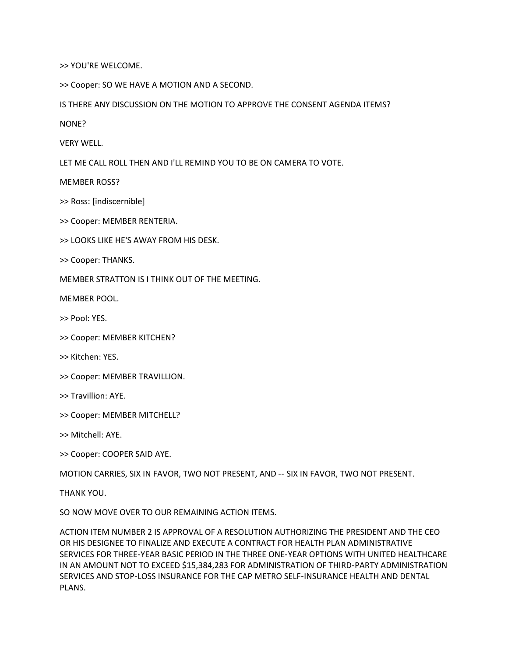>> YOU'RE WELCOME.

>> Cooper: SO WE HAVE A MOTION AND A SECOND.

IS THERE ANY DISCUSSION ON THE MOTION TO APPROVE THE CONSENT AGENDA ITEMS?

NONE?

VERY WELL.

LET ME CALL ROLL THEN AND I'LL REMIND YOU TO BE ON CAMERA TO VOTE.

MEMBER ROSS?

>> Ross: [indiscernible]

>> Cooper: MEMBER RENTERIA.

>> LOOKS LIKE HE'S AWAY FROM HIS DESK.

>> Cooper: THANKS.

MEMBER STRATTON IS I THINK OUT OF THE MEETING.

MEMBER POOL.

>> Pool: YES.

- >> Cooper: MEMBER KITCHEN?
- >> Kitchen: YES.
- >> Cooper: MEMBER TRAVILLION.
- >> Travillion: AYE.
- >> Cooper: MEMBER MITCHELL?
- >> Mitchell: AYE.

>> Cooper: COOPER SAID AYE.

MOTION CARRIES, SIX IN FAVOR, TWO NOT PRESENT, AND ‑‑ SIX IN FAVOR, TWO NOT PRESENT.

THANK YOU.

SO NOW MOVE OVER TO OUR REMAINING ACTION ITEMS.

ACTION ITEM NUMBER 2 IS APPROVAL OF A RESOLUTION AUTHORIZING THE PRESIDENT AND THE CEO OR HIS DESIGNEE TO FINALIZE AND EXECUTE A CONTRACT FOR HEALTH PLAN ADMINISTRATIVE SERVICES FOR THREE‑YEAR BASIC PERIOD IN THE THREE ONE‑YEAR OPTIONS WITH UNITED HEALTHCARE IN AN AMOUNT NOT TO EXCEED \$15,384,283 FOR ADMINISTRATION OF THIRD‑PARTY ADMINISTRATION SERVICES AND STOP‑LOSS INSURANCE FOR THE CAP METRO SELF‑INSURANCE HEALTH AND DENTAL PLANS.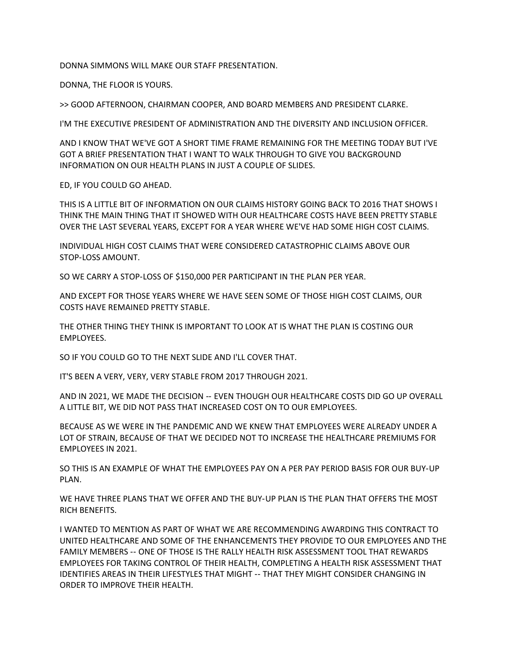DONNA SIMMONS WILL MAKE OUR STAFF PRESENTATION.

DONNA, THE FLOOR IS YOURS.

>> GOOD AFTERNOON, CHAIRMAN COOPER, AND BOARD MEMBERS AND PRESIDENT CLARKE.

I'M THE EXECUTIVE PRESIDENT OF ADMINISTRATION AND THE DIVERSITY AND INCLUSION OFFICER.

AND I KNOW THAT WE'VE GOT A SHORT TIME FRAME REMAINING FOR THE MEETING TODAY BUT I'VE GOT A BRIEF PRESENTATION THAT I WANT TO WALK THROUGH TO GIVE YOU BACKGROUND INFORMATION ON OUR HEALTH PLANS IN JUST A COUPLE OF SLIDES.

ED, IF YOU COULD GO AHEAD.

THIS IS A LITTLE BIT OF INFORMATION ON OUR CLAIMS HISTORY GOING BACK TO 2016 THAT SHOWS I THINK THE MAIN THING THAT IT SHOWED WITH OUR HEALTHCARE COSTS HAVE BEEN PRETTY STABLE OVER THE LAST SEVERAL YEARS, EXCEPT FOR A YEAR WHERE WE'VE HAD SOME HIGH COST CLAIMS.

INDIVIDUAL HIGH COST CLAIMS THAT WERE CONSIDERED CATASTROPHIC CLAIMS ABOVE OUR STOP‑LOSS AMOUNT.

SO WE CARRY A STOP‑LOSS OF \$150,000 PER PARTICIPANT IN THE PLAN PER YEAR.

AND EXCEPT FOR THOSE YEARS WHERE WE HAVE SEEN SOME OF THOSE HIGH COST CLAIMS, OUR COSTS HAVE REMAINED PRETTY STABLE.

THE OTHER THING THEY THINK IS IMPORTANT TO LOOK AT IS WHAT THE PLAN IS COSTING OUR EMPLOYEES.

SO IF YOU COULD GO TO THE NEXT SLIDE AND I'LL COVER THAT.

IT'S BEEN A VERY, VERY, VERY STABLE FROM 2017 THROUGH 2021.

AND IN 2021, WE MADE THE DECISION ‑‑ EVEN THOUGH OUR HEALTHCARE COSTS DID GO UP OVERALL A LITTLE BIT, WE DID NOT PASS THAT INCREASED COST ON TO OUR EMPLOYEES.

BECAUSE AS WE WERE IN THE PANDEMIC AND WE KNEW THAT EMPLOYEES WERE ALREADY UNDER A LOT OF STRAIN, BECAUSE OF THAT WE DECIDED NOT TO INCREASE THE HEALTHCARE PREMIUMS FOR EMPLOYEES IN 2021.

SO THIS IS AN EXAMPLE OF WHAT THE EMPLOYEES PAY ON A PER PAY PERIOD BASIS FOR OUR BUY‑UP PLAN.

WE HAVE THREE PLANS THAT WE OFFER AND THE BUY‑UP PLAN IS THE PLAN THAT OFFERS THE MOST RICH BENEFITS.

I WANTED TO MENTION AS PART OF WHAT WE ARE RECOMMENDING AWARDING THIS CONTRACT TO UNITED HEALTHCARE AND SOME OF THE ENHANCEMENTS THEY PROVIDE TO OUR EMPLOYEES AND THE FAMILY MEMBERS ‑‑ ONE OF THOSE IS THE RALLY HEALTH RISK ASSESSMENT TOOL THAT REWARDS EMPLOYEES FOR TAKING CONTROL OF THEIR HEALTH, COMPLETING A HEALTH RISK ASSESSMENT THAT IDENTIFIES AREAS IN THEIR LIFESTYLES THAT MIGHT -- THAT THEY MIGHT CONSIDER CHANGING IN ORDER TO IMPROVE THEIR HEALTH.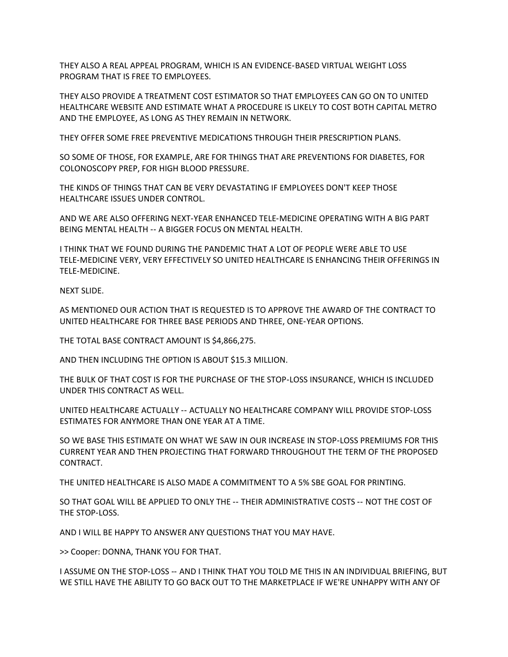THEY ALSO A REAL APPEAL PROGRAM, WHICH IS AN EVIDENCE‑BASED VIRTUAL WEIGHT LOSS PROGRAM THAT IS FREE TO EMPLOYEES.

THEY ALSO PROVIDE A TREATMENT COST ESTIMATOR SO THAT EMPLOYEES CAN GO ON TO UNITED HEALTHCARE WEBSITE AND ESTIMATE WHAT A PROCEDURE IS LIKELY TO COST BOTH CAPITAL METRO AND THE EMPLOYEE, AS LONG AS THEY REMAIN IN NETWORK.

THEY OFFER SOME FREE PREVENTIVE MEDICATIONS THROUGH THEIR PRESCRIPTION PLANS.

SO SOME OF THOSE, FOR EXAMPLE, ARE FOR THINGS THAT ARE PREVENTIONS FOR DIABETES, FOR COLONOSCOPY PREP, FOR HIGH BLOOD PRESSURE.

THE KINDS OF THINGS THAT CAN BE VERY DEVASTATING IF EMPLOYEES DON'T KEEP THOSE HEALTHCARE ISSUES UNDER CONTROL.

AND WE ARE ALSO OFFERING NEXT‑YEAR ENHANCED TELE‑MEDICINE OPERATING WITH A BIG PART BEING MENTAL HEALTH -- A BIGGER FOCUS ON MENTAL HEALTH.

I THINK THAT WE FOUND DURING THE PANDEMIC THAT A LOT OF PEOPLE WERE ABLE TO USE TELE‑MEDICINE VERY, VERY EFFECTIVELY SO UNITED HEALTHCARE IS ENHANCING THEIR OFFERINGS IN TELE‑MEDICINE.

NEXT SLIDE.

AS MENTIONED OUR ACTION THAT IS REQUESTED IS TO APPROVE THE AWARD OF THE CONTRACT TO UNITED HEALTHCARE FOR THREE BASE PERIODS AND THREE, ONE‑YEAR OPTIONS.

THE TOTAL BASE CONTRACT AMOUNT IS \$4,866,275.

AND THEN INCLUDING THE OPTION IS ABOUT \$15.3 MILLION.

THE BULK OF THAT COST IS FOR THE PURCHASE OF THE STOP‑LOSS INSURANCE, WHICH IS INCLUDED UNDER THIS CONTRACT AS WELL.

UNITED HEALTHCARE ACTUALLY ‑‑ ACTUALLY NO HEALTHCARE COMPANY WILL PROVIDE STOP‑LOSS ESTIMATES FOR ANYMORE THAN ONE YEAR AT A TIME.

SO WE BASE THIS ESTIMATE ON WHAT WE SAW IN OUR INCREASE IN STOP‑LOSS PREMIUMS FOR THIS CURRENT YEAR AND THEN PROJECTING THAT FORWARD THROUGHOUT THE TERM OF THE PROPOSED CONTRACT.

THE UNITED HEALTHCARE IS ALSO MADE A COMMITMENT TO A 5% SBE GOAL FOR PRINTING.

SO THAT GOAL WILL BE APPLIED TO ONLY THE ‑‑ THEIR ADMINISTRATIVE COSTS ‑‑ NOT THE COST OF THE STOP-LOSS.

AND I WILL BE HAPPY TO ANSWER ANY QUESTIONS THAT YOU MAY HAVE.

>> Cooper: DONNA, THANK YOU FOR THAT.

I ASSUME ON THE STOP‑LOSS ‑‑ AND I THINK THAT YOU TOLD ME THIS IN AN INDIVIDUAL BRIEFING, BUT WE STILL HAVE THE ABILITY TO GO BACK OUT TO THE MARKETPLACE IF WE'RE UNHAPPY WITH ANY OF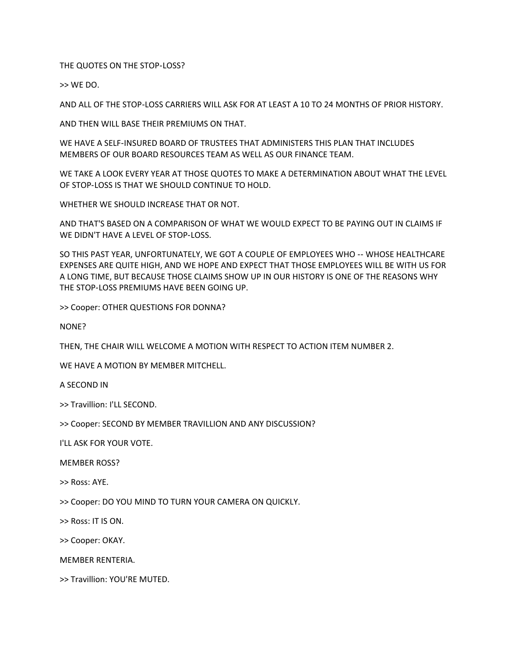THE QUOTES ON THE STOP-LOSS?

>> WE DO.

AND ALL OF THE STOP‑LOSS CARRIERS WILL ASK FOR AT LEAST A 10 TO 24 MONTHS OF PRIOR HISTORY.

AND THEN WILL BASE THEIR PREMIUMS ON THAT.

WE HAVE A SELF‑INSURED BOARD OF TRUSTEES THAT ADMINISTERS THIS PLAN THAT INCLUDES MEMBERS OF OUR BOARD RESOURCES TEAM AS WELL AS OUR FINANCE TEAM.

WE TAKE A LOOK EVERY YEAR AT THOSE QUOTES TO MAKE A DETERMINATION ABOUT WHAT THE LEVEL OF STOP‑LOSS IS THAT WE SHOULD CONTINUE TO HOLD.

WHETHER WE SHOULD INCREASE THAT OR NOT.

AND THAT'S BASED ON A COMPARISON OF WHAT WE WOULD EXPECT TO BE PAYING OUT IN CLAIMS IF WE DIDN'T HAVE A LEVEL OF STOP-LOSS.

SO THIS PAST YEAR, UNFORTUNATELY, WE GOT A COUPLE OF EMPLOYEES WHO -- WHOSE HEALTHCARE EXPENSES ARE QUITE HIGH, AND WE HOPE AND EXPECT THAT THOSE EMPLOYEES WILL BE WITH US FOR A LONG TIME, BUT BECAUSE THOSE CLAIMS SHOW UP IN OUR HISTORY IS ONE OF THE REASONS WHY THE STOP-LOSS PREMIUMS HAVE BEEN GOING UP.

>> Cooper: OTHER QUESTIONS FOR DONNA?

NONE?

THEN, THE CHAIR WILL WELCOME A MOTION WITH RESPECT TO ACTION ITEM NUMBER 2.

WE HAVE A MOTION BY MEMBER MITCHELL.

A SECOND IN

>> Travillion: I'LL SECOND.

>> Cooper: SECOND BY MEMBER TRAVILLION AND ANY DISCUSSION?

I'LL ASK FOR YOUR VOTE.

MEMBER ROSS?

>> Ross: AYE.

>> Cooper: DO YOU MIND TO TURN YOUR CAMERA ON QUICKLY.

>> Ross: IT IS ON.

>> Cooper: OKAY.

MEMBER RENTERIA.

>> Travillion: YOU'RE MUTED.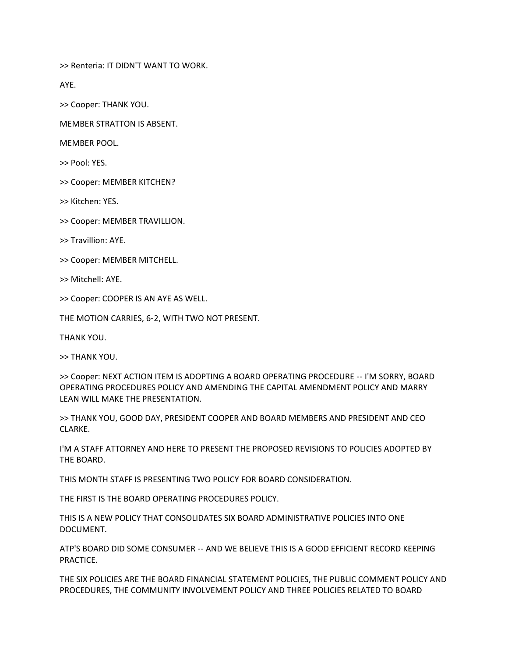>> Renteria: IT DIDN'T WANT TO WORK.

AYE.

>> Cooper: THANK YOU.

MEMBER STRATTON IS ABSENT.

MEMBER POOL.

>> Pool: YES.

>> Cooper: MEMBER KITCHEN?

>> Kitchen: YES.

>> Cooper: MEMBER TRAVILLION.

>> Travillion: AYE.

>> Cooper: MEMBER MITCHELL.

>> Mitchell: AYE.

>> Cooper: COOPER IS AN AYE AS WELL.

THE MOTION CARRIES, 6‑2, WITH TWO NOT PRESENT.

THANK YOU.

>> THANK YOU.

>> Cooper: NEXT ACTION ITEM IS ADOPTING A BOARD OPERATING PROCEDURE ‑‑ I'M SORRY, BOARD OPERATING PROCEDURES POLICY AND AMENDING THE CAPITAL AMENDMENT POLICY AND MARRY LEAN WILL MAKE THE PRESENTATION.

>> THANK YOU, GOOD DAY, PRESIDENT COOPER AND BOARD MEMBERS AND PRESIDENT AND CEO CLARKE.

I'M A STAFF ATTORNEY AND HERE TO PRESENT THE PROPOSED REVISIONS TO POLICIES ADOPTED BY THE BOARD.

THIS MONTH STAFF IS PRESENTING TWO POLICY FOR BOARD CONSIDERATION.

THE FIRST IS THE BOARD OPERATING PROCEDURES POLICY.

THIS IS A NEW POLICY THAT CONSOLIDATES SIX BOARD ADMINISTRATIVE POLICIES INTO ONE DOCUMENT.

ATP'S BOARD DID SOME CONSUMER ‑‑ AND WE BELIEVE THIS IS A GOOD EFFICIENT RECORD KEEPING PRACTICE.

THE SIX POLICIES ARE THE BOARD FINANCIAL STATEMENT POLICIES, THE PUBLIC COMMENT POLICY AND PROCEDURES, THE COMMUNITY INVOLVEMENT POLICY AND THREE POLICIES RELATED TO BOARD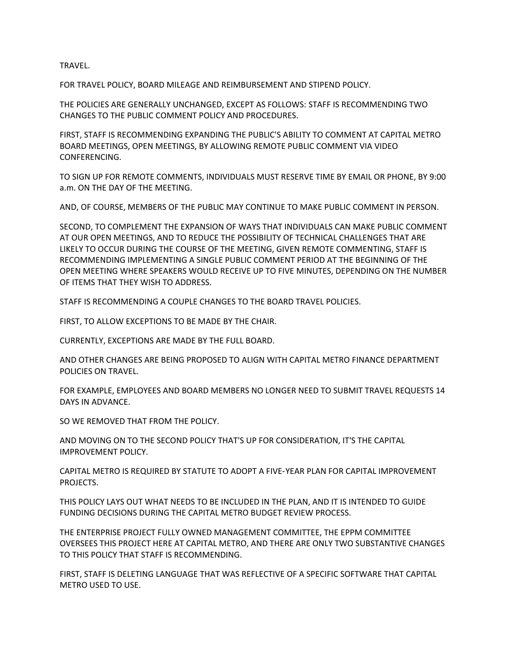TRAVEL.

FOR TRAVEL POLICY, BOARD MILEAGE AND REIMBURSEMENT AND STIPEND POLICY.

THE POLICIES ARE GENERALLY UNCHANGED, EXCEPT AS FOLLOWS: STAFF IS RECOMMENDING TWO CHANGES TO THE PUBLIC COMMENT POLICY AND PROCEDURES.

FIRST, STAFF IS RECOMMENDING EXPANDING THE PUBLIC'S ABILITY TO COMMENT AT CAPITAL METRO BOARD MEETINGS, OPEN MEETINGS, BY ALLOWING REMOTE PUBLIC COMMENT VIA VIDEO CONFERENCING.

TO SIGN UP FOR REMOTE COMMENTS, INDIVIDUALS MUST RESERVE TIME BY EMAIL OR PHONE, BY 9:00 a.m. ON THE DAY OF THE MEETING.

AND, OF COURSE, MEMBERS OF THE PUBLIC MAY CONTINUE TO MAKE PUBLIC COMMENT IN PERSON.

SECOND, TO COMPLEMENT THE EXPANSION OF WAYS THAT INDIVIDUALS CAN MAKE PUBLIC COMMENT AT OUR OPEN MEETINGS, AND TO REDUCE THE POSSIBILITY OF TECHNICAL CHALLENGES THAT ARE LIKELY TO OCCUR DURING THE COURSE OF THE MEETING, GIVEN REMOTE COMMENTING, STAFF IS RECOMMENDING IMPLEMENTING A SINGLE PUBLIC COMMENT PERIOD AT THE BEGINNING OF THE OPEN MEETING WHERE SPEAKERS WOULD RECEIVE UP TO FIVE MINUTES, DEPENDING ON THE NUMBER OF ITEMS THAT THEY WISH TO ADDRESS.

STAFF IS RECOMMENDING A COUPLE CHANGES TO THE BOARD TRAVEL POLICIES.

FIRST, TO ALLOW EXCEPTIONS TO BE MADE BY THE CHAIR.

CURRENTLY, EXCEPTIONS ARE MADE BY THE FULL BOARD.

AND OTHER CHANGES ARE BEING PROPOSED TO ALIGN WITH CAPITAL METRO FINANCE DEPARTMENT POLICIES ON TRAVEL.

FOR EXAMPLE, EMPLOYEES AND BOARD MEMBERS NO LONGER NEED TO SUBMIT TRAVEL REQUESTS 14 DAYS IN ADVANCE.

SO WE REMOVED THAT FROM THE POLICY.

AND MOVING ON TO THE SECOND POLICY THAT'S UP FOR CONSIDERATION, IT'S THE CAPITAL IMPROVEMENT POLICY.

CAPITAL METRO IS REQUIRED BY STATUTE TO ADOPT A FIVE‑YEAR PLAN FOR CAPITAL IMPROVEMENT PROJECTS.

THIS POLICY LAYS OUT WHAT NEEDS TO BE INCLUDED IN THE PLAN, AND IT IS INTENDED TO GUIDE FUNDING DECISIONS DURING THE CAPITAL METRO BUDGET REVIEW PROCESS.

THE ENTERPRISE PROJECT FULLY OWNED MANAGEMENT COMMITTEE, THE EPPM COMMITTEE OVERSEES THIS PROJECT HERE AT CAPITAL METRO, AND THERE ARE ONLY TWO SUBSTANTIVE CHANGES TO THIS POLICY THAT STAFF IS RECOMMENDING.

FIRST, STAFF IS DELETING LANGUAGE THAT WAS REFLECTIVE OF A SPECIFIC SOFTWARE THAT CAPITAL METRO USED TO USE.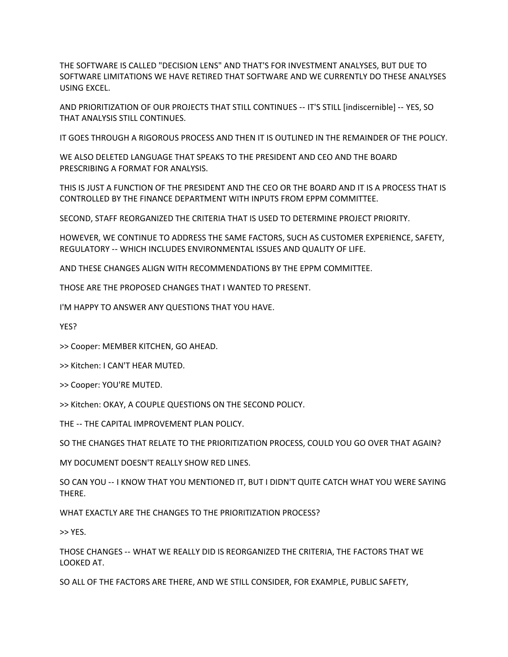THE SOFTWARE IS CALLED "DECISION LENS" AND THAT'S FOR INVESTMENT ANALYSES, BUT DUE TO SOFTWARE LIMITATIONS WE HAVE RETIRED THAT SOFTWARE AND WE CURRENTLY DO THESE ANALYSES USING EXCEL.

AND PRIORITIZATION OF OUR PROJECTS THAT STILL CONTINUES ‑‑ IT'S STILL [indiscernible] ‑‑ YES, SO THAT ANALYSIS STILL CONTINUES.

IT GOES THROUGH A RIGOROUS PROCESS AND THEN IT IS OUTLINED IN THE REMAINDER OF THE POLICY.

WE ALSO DELETED LANGUAGE THAT SPEAKS TO THE PRESIDENT AND CEO AND THE BOARD PRESCRIBING A FORMAT FOR ANALYSIS.

THIS IS JUST A FUNCTION OF THE PRESIDENT AND THE CEO OR THE BOARD AND IT IS A PROCESS THAT IS CONTROLLED BY THE FINANCE DEPARTMENT WITH INPUTS FROM EPPM COMMITTEE.

SECOND, STAFF REORGANIZED THE CRITERIA THAT IS USED TO DETERMINE PROJECT PRIORITY.

HOWEVER, WE CONTINUE TO ADDRESS THE SAME FACTORS, SUCH AS CUSTOMER EXPERIENCE, SAFETY, REGULATORY ‑‑ WHICH INCLUDES ENVIRONMENTAL ISSUES AND QUALITY OF LIFE.

AND THESE CHANGES ALIGN WITH RECOMMENDATIONS BY THE EPPM COMMITTEE.

THOSE ARE THE PROPOSED CHANGES THAT I WANTED TO PRESENT.

I'M HAPPY TO ANSWER ANY QUESTIONS THAT YOU HAVE.

YES?

>> Cooper: MEMBER KITCHEN, GO AHEAD.

>> Kitchen: I CAN'T HEAR MUTED.

>> Cooper: YOU'RE MUTED.

>> Kitchen: OKAY, A COUPLE QUESTIONS ON THE SECOND POLICY.

THE -- THE CAPITAL IMPROVEMENT PLAN POLICY.

SO THE CHANGES THAT RELATE TO THE PRIORITIZATION PROCESS, COULD YOU GO OVER THAT AGAIN?

MY DOCUMENT DOESN'T REALLY SHOW RED LINES.

SO CAN YOU ‑‑ I KNOW THAT YOU MENTIONED IT, BUT I DIDN'T QUITE CATCH WHAT YOU WERE SAYING THERE.

WHAT EXACTLY ARE THE CHANGES TO THE PRIORITIZATION PROCESS?

>> YES.

THOSE CHANGES ‑‑ WHAT WE REALLY DID IS REORGANIZED THE CRITERIA, THE FACTORS THAT WE LOOKED AT.

SO ALL OF THE FACTORS ARE THERE, AND WE STILL CONSIDER, FOR EXAMPLE, PUBLIC SAFETY,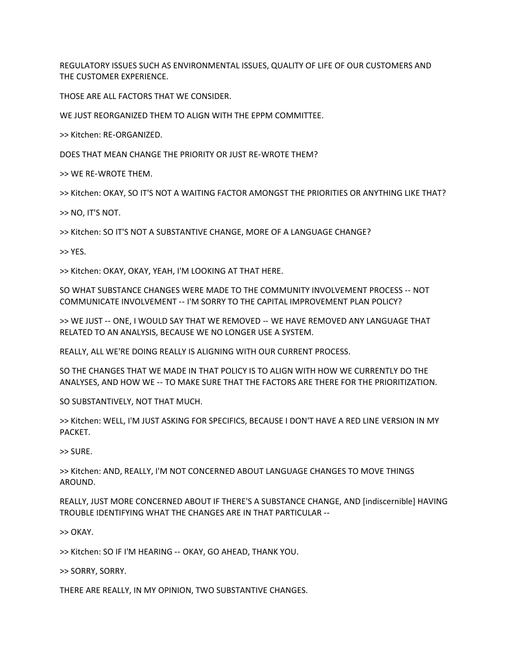REGULATORY ISSUES SUCH AS ENVIRONMENTAL ISSUES, QUALITY OF LIFE OF OUR CUSTOMERS AND THE CUSTOMER EXPERIENCE.

THOSE ARE ALL FACTORS THAT WE CONSIDER.

WE JUST REORGANIZED THEM TO ALIGN WITH THE EPPM COMMITTEE.

>> Kitchen: RE‑ORGANIZED.

DOES THAT MEAN CHANGE THE PRIORITY OR JUST RE‑WROTE THEM?

>> WE RE‑WROTE THEM.

>> Kitchen: OKAY, SO IT'S NOT A WAITING FACTOR AMONGST THE PRIORITIES OR ANYTHING LIKE THAT?

>> NO, IT'S NOT.

>> Kitchen: SO IT'S NOT A SUBSTANTIVE CHANGE, MORE OF A LANGUAGE CHANGE?

>> YES.

>> Kitchen: OKAY, OKAY, YEAH, I'M LOOKING AT THAT HERE.

SO WHAT SUBSTANCE CHANGES WERE MADE TO THE COMMUNITY INVOLVEMENT PROCESS ‑‑ NOT COMMUNICATE INVOLVEMENT ‑‑ I'M SORRY TO THE CAPITAL IMPROVEMENT PLAN POLICY?

>> WE JUST ‑‑ ONE, I WOULD SAY THAT WE REMOVED ‑‑ WE HAVE REMOVED ANY LANGUAGE THAT RELATED TO AN ANALYSIS, BECAUSE WE NO LONGER USE A SYSTEM.

REALLY, ALL WE'RE DOING REALLY IS ALIGNING WITH OUR CURRENT PROCESS.

SO THE CHANGES THAT WE MADE IN THAT POLICY IS TO ALIGN WITH HOW WE CURRENTLY DO THE ANALYSES, AND HOW WE ‑‑ TO MAKE SURE THAT THE FACTORS ARE THERE FOR THE PRIORITIZATION.

SO SUBSTANTIVELY, NOT THAT MUCH.

>> Kitchen: WELL, I'M JUST ASKING FOR SPECIFICS, BECAUSE I DON'T HAVE A RED LINE VERSION IN MY PACKET.

>> SURE.

>> Kitchen: AND, REALLY, I'M NOT CONCERNED ABOUT LANGUAGE CHANGES TO MOVE THINGS AROUND.

REALLY, JUST MORE CONCERNED ABOUT IF THERE'S A SUBSTANCE CHANGE, AND [indiscernible] HAVING TROUBLE IDENTIFYING WHAT THE CHANGES ARE IN THAT PARTICULAR ‑‑

>> OKAY.

>> Kitchen: SO IF I'M HEARING ‑‑ OKAY, GO AHEAD, THANK YOU.

>> SORRY, SORRY.

THERE ARE REALLY, IN MY OPINION, TWO SUBSTANTIVE CHANGES.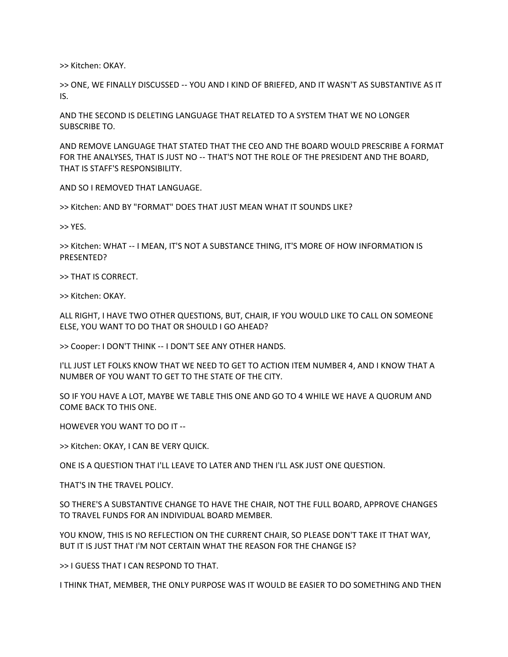>> Kitchen: OKAY.

>> ONE, WE FINALLY DISCUSSED ‑‑ YOU AND I KIND OF BRIEFED, AND IT WASN'T AS SUBSTANTIVE AS IT IS.

AND THE SECOND IS DELETING LANGUAGE THAT RELATED TO A SYSTEM THAT WE NO LONGER SUBSCRIBE TO.

AND REMOVE LANGUAGE THAT STATED THAT THE CEO AND THE BOARD WOULD PRESCRIBE A FORMAT FOR THE ANALYSES, THAT IS JUST NO -- THAT'S NOT THE ROLE OF THE PRESIDENT AND THE BOARD, THAT IS STAFF'S RESPONSIBILITY.

AND SO I REMOVED THAT LANGUAGE.

>> Kitchen: AND BY "FORMAT" DOES THAT JUST MEAN WHAT IT SOUNDS LIKE?

>> YES.

>> Kitchen: WHAT ‑‑ I MEAN, IT'S NOT A SUBSTANCE THING, IT'S MORE OF HOW INFORMATION IS PRESENTED?

>> THAT IS CORRECT.

>> Kitchen: OKAY.

ALL RIGHT, I HAVE TWO OTHER QUESTIONS, BUT, CHAIR, IF YOU WOULD LIKE TO CALL ON SOMEONE ELSE, YOU WANT TO DO THAT OR SHOULD I GO AHEAD?

>> Cooper: I DON'T THINK ‑‑ I DON'T SEE ANY OTHER HANDS.

I'LL JUST LET FOLKS KNOW THAT WE NEED TO GET TO ACTION ITEM NUMBER 4, AND I KNOW THAT A NUMBER OF YOU WANT TO GET TO THE STATE OF THE CITY.

SO IF YOU HAVE A LOT, MAYBE WE TABLE THIS ONE AND GO TO 4 WHILE WE HAVE A QUORUM AND COME BACK TO THIS ONE.

HOWEVER YOU WANT TO DO IT --

>> Kitchen: OKAY, I CAN BE VERY QUICK.

ONE IS A QUESTION THAT I'LL LEAVE TO LATER AND THEN I'LL ASK JUST ONE QUESTION.

THAT'S IN THE TRAVEL POLICY.

SO THERE'S A SUBSTANTIVE CHANGE TO HAVE THE CHAIR, NOT THE FULL BOARD, APPROVE CHANGES TO TRAVEL FUNDS FOR AN INDIVIDUAL BOARD MEMBER.

YOU KNOW, THIS IS NO REFLECTION ON THE CURRENT CHAIR, SO PLEASE DON'T TAKE IT THAT WAY, BUT IT IS JUST THAT I'M NOT CERTAIN WHAT THE REASON FOR THE CHANGE IS?

>> I GUESS THAT I CAN RESPOND TO THAT.

I THINK THAT, MEMBER, THE ONLY PURPOSE WAS IT WOULD BE EASIER TO DO SOMETHING AND THEN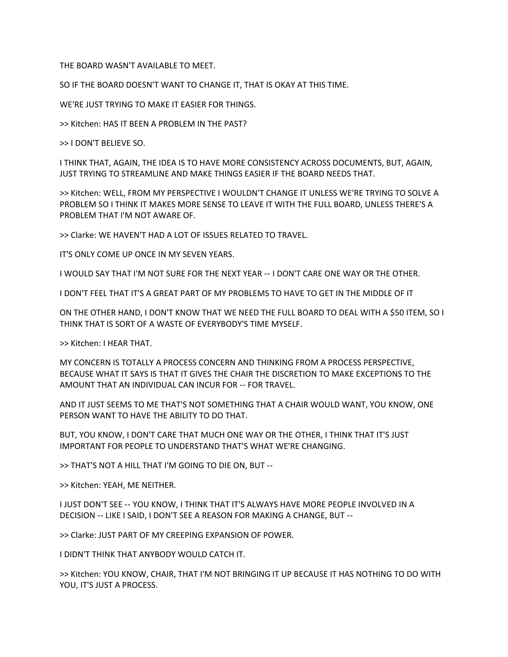THE BOARD WASN'T AVAILABLE TO MEET.

SO IF THE BOARD DOESN'T WANT TO CHANGE IT, THAT IS OKAY AT THIS TIME.

WE'RE JUST TRYING TO MAKE IT EASIER FOR THINGS.

>> Kitchen: HAS IT BEEN A PROBLEM IN THE PAST?

>> I DON'T BELIEVE SO.

I THINK THAT, AGAIN, THE IDEA IS TO HAVE MORE CONSISTENCY ACROSS DOCUMENTS, BUT, AGAIN, JUST TRYING TO STREAMLINE AND MAKE THINGS EASIER IF THE BOARD NEEDS THAT.

>> Kitchen: WELL, FROM MY PERSPECTIVE I WOULDN'T CHANGE IT UNLESS WE'RE TRYING TO SOLVE A PROBLEM SO I THINK IT MAKES MORE SENSE TO LEAVE IT WITH THE FULL BOARD, UNLESS THERE'S A PROBLEM THAT I'M NOT AWARE OF.

>> Clarke: WE HAVEN'T HAD A LOT OF ISSUES RELATED TO TRAVEL.

IT'S ONLY COME UP ONCE IN MY SEVEN YEARS.

I WOULD SAY THAT I'M NOT SURE FOR THE NEXT YEAR ‑‑ I DON'T CARE ONE WAY OR THE OTHER.

I DON'T FEEL THAT IT'S A GREAT PART OF MY PROBLEMS TO HAVE TO GET IN THE MIDDLE OF IT

ON THE OTHER HAND, I DON'T KNOW THAT WE NEED THE FULL BOARD TO DEAL WITH A \$50 ITEM, SO I THINK THAT IS SORT OF A WASTE OF EVERYBODY'S TIME MYSELF.

>> Kitchen: I HEAR THAT.

MY CONCERN IS TOTALLY A PROCESS CONCERN AND THINKING FROM A PROCESS PERSPECTIVE, BECAUSE WHAT IT SAYS IS THAT IT GIVES THE CHAIR THE DISCRETION TO MAKE EXCEPTIONS TO THE AMOUNT THAT AN INDIVIDUAL CAN INCUR FOR -- FOR TRAVEL.

AND IT JUST SEEMS TO ME THAT'S NOT SOMETHING THAT A CHAIR WOULD WANT, YOU KNOW, ONE PERSON WANT TO HAVE THE ABILITY TO DO THAT.

BUT, YOU KNOW, I DON'T CARE THAT MUCH ONE WAY OR THE OTHER, I THINK THAT IT'S JUST IMPORTANT FOR PEOPLE TO UNDERSTAND THAT'S WHAT WE'RE CHANGING.

>> THAT'S NOT A HILL THAT I'M GOING TO DIE ON, BUT --

>> Kitchen: YEAH, ME NEITHER.

I JUST DON'T SEE ‑‑ YOU KNOW, I THINK THAT IT'S ALWAYS HAVE MORE PEOPLE INVOLVED IN A DECISION -- LIKE I SAID, I DON'T SEE A REASON FOR MAKING A CHANGE, BUT --

>> Clarke: JUST PART OF MY CREEPING EXPANSION OF POWER.

I DIDN'T THINK THAT ANYBODY WOULD CATCH IT.

>> Kitchen: YOU KNOW, CHAIR, THAT I'M NOT BRINGING IT UP BECAUSE IT HAS NOTHING TO DO WITH YOU, IT'S JUST A PROCESS.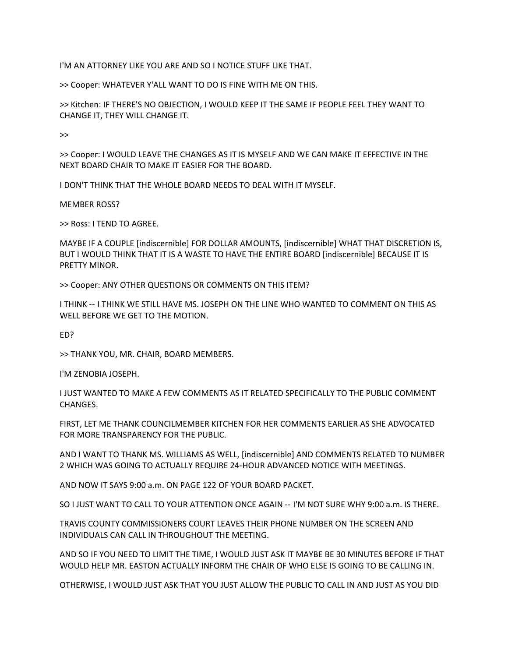I'M AN ATTORNEY LIKE YOU ARE AND SO I NOTICE STUFF LIKE THAT.

>> Cooper: WHATEVER Y'ALL WANT TO DO IS FINE WITH ME ON THIS.

>> Kitchen: IF THERE'S NO OBJECTION, I WOULD KEEP IT THE SAME IF PEOPLE FEEL THEY WANT TO CHANGE IT, THEY WILL CHANGE IT.

>>

>> Cooper: I WOULD LEAVE THE CHANGES AS IT IS MYSELF AND WE CAN MAKE IT EFFECTIVE IN THE NEXT BOARD CHAIR TO MAKE IT EASIER FOR THE BOARD.

I DON'T THINK THAT THE WHOLE BOARD NEEDS TO DEAL WITH IT MYSELF.

MEMBER ROSS?

>> Ross: I TEND TO AGREE.

MAYBE IF A COUPLE [indiscernible] FOR DOLLAR AMOUNTS, [indiscernible] WHAT THAT DISCRETION IS, BUT I WOULD THINK THAT IT IS A WASTE TO HAVE THE ENTIRE BOARD [indiscernible] BECAUSE IT IS PRETTY MINOR.

>> Cooper: ANY OTHER QUESTIONS OR COMMENTS ON THIS ITEM?

I THINK ‑‑ I THINK WE STILL HAVE MS. JOSEPH ON THE LINE WHO WANTED TO COMMENT ON THIS AS WELL BEFORE WE GET TO THE MOTION.

ED?

>> THANK YOU, MR. CHAIR, BOARD MEMBERS.

I'M ZENOBIA JOSEPH.

I JUST WANTED TO MAKE A FEW COMMENTS AS IT RELATED SPECIFICALLY TO THE PUBLIC COMMENT CHANGES.

FIRST, LET ME THANK COUNCILMEMBER KITCHEN FOR HER COMMENTS EARLIER AS SHE ADVOCATED FOR MORE TRANSPARENCY FOR THE PUBLIC.

AND I WANT TO THANK MS. WILLIAMS AS WELL, [indiscernible] AND COMMENTS RELATED TO NUMBER 2 WHICH WAS GOING TO ACTUALLY REQUIRE 24‑HOUR ADVANCED NOTICE WITH MEETINGS.

AND NOW IT SAYS 9:00 a.m. ON PAGE 122 OF YOUR BOARD PACKET.

SO I JUST WANT TO CALL TO YOUR ATTENTION ONCE AGAIN ‑‑ I'M NOT SURE WHY 9:00 a.m. IS THERE.

TRAVIS COUNTY COMMISSIONERS COURT LEAVES THEIR PHONE NUMBER ON THE SCREEN AND INDIVIDUALS CAN CALL IN THROUGHOUT THE MEETING.

AND SO IF YOU NEED TO LIMIT THE TIME, I WOULD JUST ASK IT MAYBE BE 30 MINUTES BEFORE IF THAT WOULD HELP MR. EASTON ACTUALLY INFORM THE CHAIR OF WHO ELSE IS GOING TO BE CALLING IN.

OTHERWISE, I WOULD JUST ASK THAT YOU JUST ALLOW THE PUBLIC TO CALL IN AND JUST AS YOU DID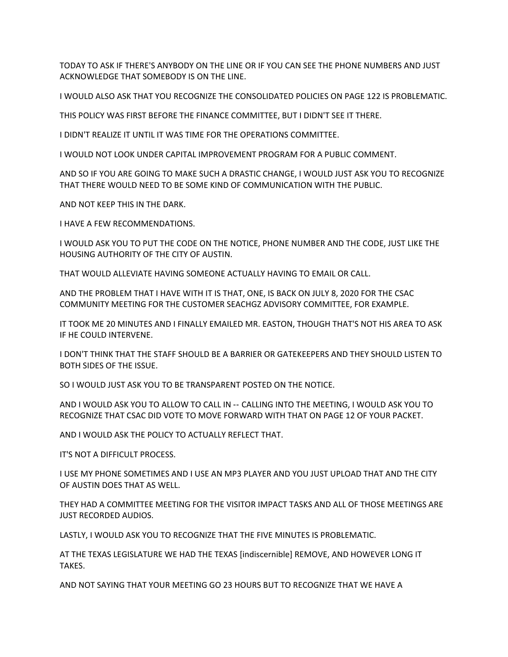TODAY TO ASK IF THERE'S ANYBODY ON THE LINE OR IF YOU CAN SEE THE PHONE NUMBERS AND JUST ACKNOWLEDGE THAT SOMEBODY IS ON THE LINE.

I WOULD ALSO ASK THAT YOU RECOGNIZE THE CONSOLIDATED POLICIES ON PAGE 122 IS PROBLEMATIC.

THIS POLICY WAS FIRST BEFORE THE FINANCE COMMITTEE, BUT I DIDN'T SEE IT THERE.

I DIDN'T REALIZE IT UNTIL IT WAS TIME FOR THE OPERATIONS COMMITTEE.

I WOULD NOT LOOK UNDER CAPITAL IMPROVEMENT PROGRAM FOR A PUBLIC COMMENT.

AND SO IF YOU ARE GOING TO MAKE SUCH A DRASTIC CHANGE, I WOULD JUST ASK YOU TO RECOGNIZE THAT THERE WOULD NEED TO BE SOME KIND OF COMMUNICATION WITH THE PUBLIC.

AND NOT KEEP THIS IN THE DARK.

I HAVE A FEW RECOMMENDATIONS.

I WOULD ASK YOU TO PUT THE CODE ON THE NOTICE, PHONE NUMBER AND THE CODE, JUST LIKE THE HOUSING AUTHORITY OF THE CITY OF AUSTIN.

THAT WOULD ALLEVIATE HAVING SOMEONE ACTUALLY HAVING TO EMAIL OR CALL.

AND THE PROBLEM THAT I HAVE WITH IT IS THAT, ONE, IS BACK ON JULY 8, 2020 FOR THE CSAC COMMUNITY MEETING FOR THE CUSTOMER SEACHGZ ADVISORY COMMITTEE, FOR EXAMPLE.

IT TOOK ME 20 MINUTES AND I FINALLY EMAILED MR. EASTON, THOUGH THAT'S NOT HIS AREA TO ASK IF HE COULD INTERVENE.

I DON'T THINK THAT THE STAFF SHOULD BE A BARRIER OR GATEKEEPERS AND THEY SHOULD LISTEN TO BOTH SIDES OF THE ISSUE.

SO I WOULD JUST ASK YOU TO BE TRANSPARENT POSTED ON THE NOTICE.

AND I WOULD ASK YOU TO ALLOW TO CALL IN ‑‑ CALLING INTO THE MEETING, I WOULD ASK YOU TO RECOGNIZE THAT CSAC DID VOTE TO MOVE FORWARD WITH THAT ON PAGE 12 OF YOUR PACKET.

AND I WOULD ASK THE POLICY TO ACTUALLY REFLECT THAT.

IT'S NOT A DIFFICULT PROCESS.

I USE MY PHONE SOMETIMES AND I USE AN MP3 PLAYER AND YOU JUST UPLOAD THAT AND THE CITY OF AUSTIN DOES THAT AS WELL.

THEY HAD A COMMITTEE MEETING FOR THE VISITOR IMPACT TASKS AND ALL OF THOSE MEETINGS ARE JUST RECORDED AUDIOS.

LASTLY, I WOULD ASK YOU TO RECOGNIZE THAT THE FIVE MINUTES IS PROBLEMATIC.

AT THE TEXAS LEGISLATURE WE HAD THE TEXAS [indiscernible] REMOVE, AND HOWEVER LONG IT TAKES.

AND NOT SAYING THAT YOUR MEETING GO 23 HOURS BUT TO RECOGNIZE THAT WE HAVE A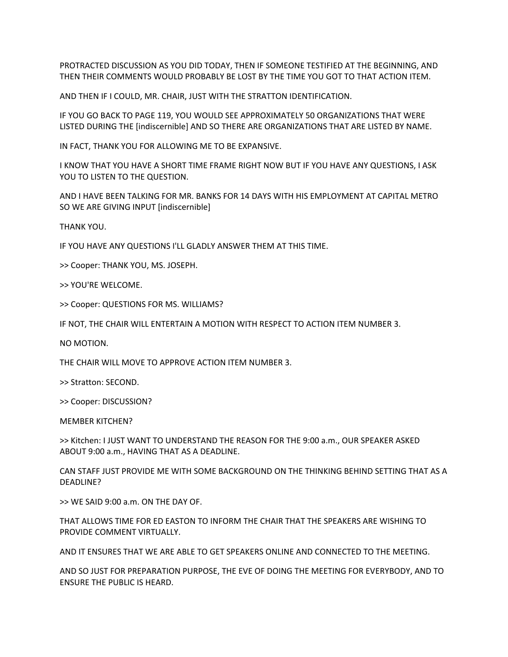PROTRACTED DISCUSSION AS YOU DID TODAY, THEN IF SOMEONE TESTIFIED AT THE BEGINNING, AND THEN THEIR COMMENTS WOULD PROBABLY BE LOST BY THE TIME YOU GOT TO THAT ACTION ITEM.

AND THEN IF I COULD, MR. CHAIR, JUST WITH THE STRATTON IDENTIFICATION.

IF YOU GO BACK TO PAGE 119, YOU WOULD SEE APPROXIMATELY 50 ORGANIZATIONS THAT WERE LISTED DURING THE [indiscernible] AND SO THERE ARE ORGANIZATIONS THAT ARE LISTED BY NAME.

IN FACT, THANK YOU FOR ALLOWING ME TO BE EXPANSIVE.

I KNOW THAT YOU HAVE A SHORT TIME FRAME RIGHT NOW BUT IF YOU HAVE ANY QUESTIONS, I ASK YOU TO LISTEN TO THE QUESTION.

AND I HAVE BEEN TALKING FOR MR. BANKS FOR 14 DAYS WITH HIS EMPLOYMENT AT CAPITAL METRO SO WE ARE GIVING INPUT [indiscernible]

THANK YOU.

IF YOU HAVE ANY QUESTIONS I'LL GLADLY ANSWER THEM AT THIS TIME.

>> Cooper: THANK YOU, MS. JOSEPH.

>> YOU'RE WELCOME.

>> Cooper: QUESTIONS FOR MS. WILLIAMS?

IF NOT, THE CHAIR WILL ENTERTAIN A MOTION WITH RESPECT TO ACTION ITEM NUMBER 3.

NO MOTION.

THE CHAIR WILL MOVE TO APPROVE ACTION ITEM NUMBER 3.

>> Stratton: SECOND.

>> Cooper: DISCUSSION?

MEMBER KITCHEN?

>> Kitchen: I JUST WANT TO UNDERSTAND THE REASON FOR THE 9:00 a.m., OUR SPEAKER ASKED ABOUT 9:00 a.m., HAVING THAT AS A DEADLINE.

CAN STAFF JUST PROVIDE ME WITH SOME BACKGROUND ON THE THINKING BEHIND SETTING THAT AS A DEADLINE?

>> WE SAID 9:00 a.m. ON THE DAY OF.

THAT ALLOWS TIME FOR ED EASTON TO INFORM THE CHAIR THAT THE SPEAKERS ARE WISHING TO PROVIDE COMMENT VIRTUALLY.

AND IT ENSURES THAT WE ARE ABLE TO GET SPEAKERS ONLINE AND CONNECTED TO THE MEETING.

AND SO JUST FOR PREPARATION PURPOSE, THE EVE OF DOING THE MEETING FOR EVERYBODY, AND TO ENSURE THE PUBLIC IS HEARD.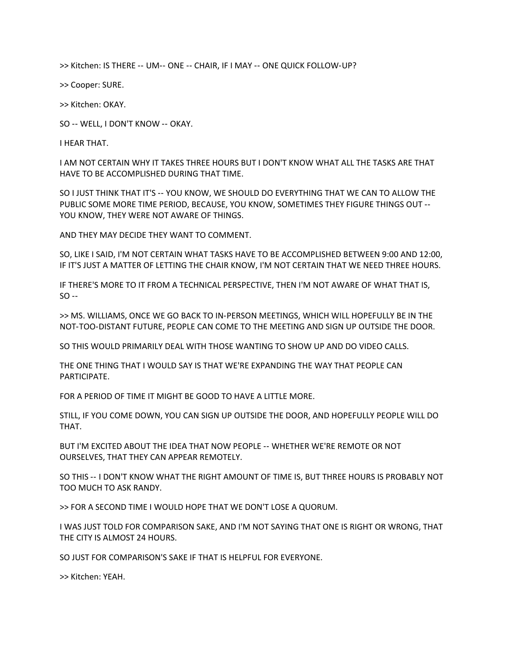>> Kitchen: IS THERE ‑‑ UM‑‑ ONE ‑‑ CHAIR, IF I MAY ‑‑ ONE QUICK FOLLOW‑UP?

>> Cooper: SURE.

>> Kitchen: OKAY.

SO ‑‑ WELL, I DON'T KNOW ‑‑ OKAY.

I HEAR THAT.

I AM NOT CERTAIN WHY IT TAKES THREE HOURS BUT I DON'T KNOW WHAT ALL THE TASKS ARE THAT HAVE TO BE ACCOMPLISHED DURING THAT TIME.

SO I JUST THINK THAT IT'S ‑‑ YOU KNOW, WE SHOULD DO EVERYTHING THAT WE CAN TO ALLOW THE PUBLIC SOME MORE TIME PERIOD, BECAUSE, YOU KNOW, SOMETIMES THEY FIGURE THINGS OUT --YOU KNOW, THEY WERE NOT AWARE OF THINGS.

AND THEY MAY DECIDE THEY WANT TO COMMENT.

SO, LIKE I SAID, I'M NOT CERTAIN WHAT TASKS HAVE TO BE ACCOMPLISHED BETWEEN 9:00 AND 12:00, IF IT'S JUST A MATTER OF LETTING THE CHAIR KNOW, I'M NOT CERTAIN THAT WE NEED THREE HOURS.

IF THERE'S MORE TO IT FROM A TECHNICAL PERSPECTIVE, THEN I'M NOT AWARE OF WHAT THAT IS,  $SO -$ 

>> MS. WILLIAMS, ONCE WE GO BACK TO IN‑PERSON MEETINGS, WHICH WILL HOPEFULLY BE IN THE NOT‑TOO‑DISTANT FUTURE, PEOPLE CAN COME TO THE MEETING AND SIGN UP OUTSIDE THE DOOR.

SO THIS WOULD PRIMARILY DEAL WITH THOSE WANTING TO SHOW UP AND DO VIDEO CALLS.

THE ONE THING THAT I WOULD SAY IS THAT WE'RE EXPANDING THE WAY THAT PEOPLE CAN PARTICIPATE.

FOR A PERIOD OF TIME IT MIGHT BE GOOD TO HAVE A LITTLE MORE.

STILL, IF YOU COME DOWN, YOU CAN SIGN UP OUTSIDE THE DOOR, AND HOPEFULLY PEOPLE WILL DO THAT.

BUT I'M EXCITED ABOUT THE IDEA THAT NOW PEOPLE ‑‑ WHETHER WE'RE REMOTE OR NOT OURSELVES, THAT THEY CAN APPEAR REMOTELY.

SO THIS ‑‑ I DON'T KNOW WHAT THE RIGHT AMOUNT OF TIME IS, BUT THREE HOURS IS PROBABLY NOT TOO MUCH TO ASK RANDY.

>> FOR A SECOND TIME I WOULD HOPE THAT WE DON'T LOSE A QUORUM.

I WAS JUST TOLD FOR COMPARISON SAKE, AND I'M NOT SAYING THAT ONE IS RIGHT OR WRONG, THAT THE CITY IS ALMOST 24 HOURS.

SO JUST FOR COMPARISON'S SAKE IF THAT IS HELPFUL FOR EVERYONE.

>> Kitchen: YEAH.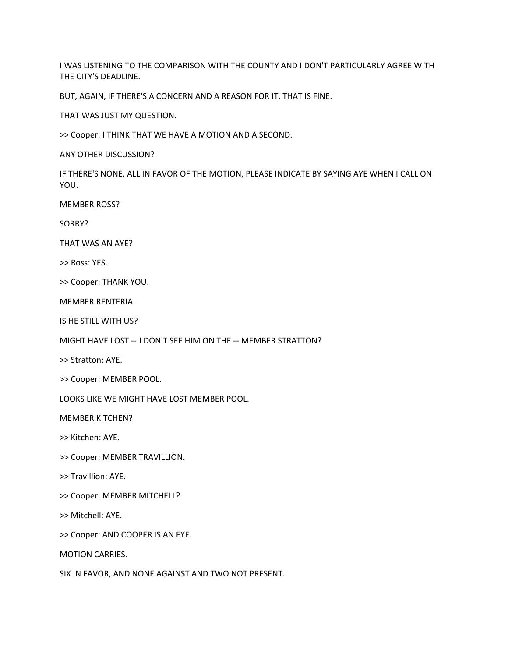I WAS LISTENING TO THE COMPARISON WITH THE COUNTY AND I DON'T PARTICULARLY AGREE WITH THE CITY'S DEADLINE.

BUT, AGAIN, IF THERE'S A CONCERN AND A REASON FOR IT, THAT IS FINE.

THAT WAS JUST MY QUESTION.

>> Cooper: I THINK THAT WE HAVE A MOTION AND A SECOND.

ANY OTHER DISCUSSION?

IF THERE'S NONE, ALL IN FAVOR OF THE MOTION, PLEASE INDICATE BY SAYING AYE WHEN I CALL ON YOU.

MEMBER ROSS?

SORRY?

THAT WAS AN AYE?

>> Ross: YES.

>> Cooper: THANK YOU.

MEMBER RENTERIA.

IS HE STILL WITH US?

MIGHT HAVE LOST ‑‑ I DON'T SEE HIM ON THE ‑‑ MEMBER STRATTON?

>> Stratton: AYE.

>> Cooper: MEMBER POOL.

LOOKS LIKE WE MIGHT HAVE LOST MEMBER POOL.

MEMBER KITCHEN?

>> Kitchen: AYE.

- >> Cooper: MEMBER TRAVILLION.
- >> Travillion: AYE.
- >> Cooper: MEMBER MITCHELL?
- >> Mitchell: AYE.

>> Cooper: AND COOPER IS AN EYE.

MOTION CARRIES.

SIX IN FAVOR, AND NONE AGAINST AND TWO NOT PRESENT.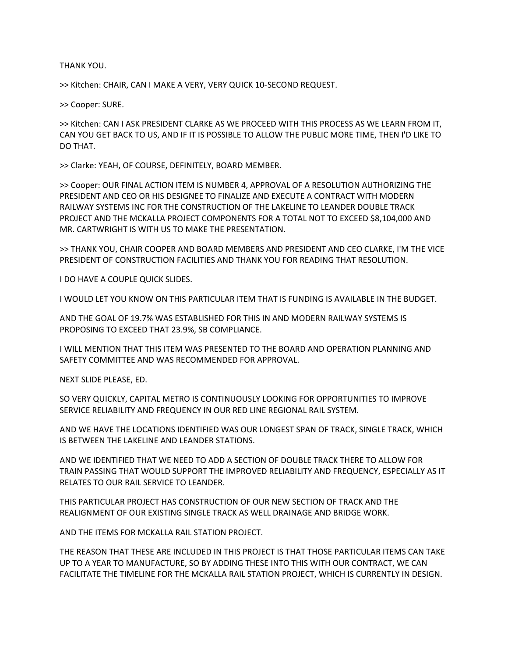THANK YOU.

>> Kitchen: CHAIR, CAN I MAKE A VERY, VERY QUICK 10‑SECOND REQUEST.

>> Cooper: SURE.

>> Kitchen: CAN I ASK PRESIDENT CLARKE AS WE PROCEED WITH THIS PROCESS AS WE LEARN FROM IT, CAN YOU GET BACK TO US, AND IF IT IS POSSIBLE TO ALLOW THE PUBLIC MORE TIME, THEN I'D LIKE TO DO THAT.

>> Clarke: YEAH, OF COURSE, DEFINITELY, BOARD MEMBER.

>> Cooper: OUR FINAL ACTION ITEM IS NUMBER 4, APPROVAL OF A RESOLUTION AUTHORIZING THE PRESIDENT AND CEO OR HIS DESIGNEE TO FINALIZE AND EXECUTE A CONTRACT WITH MODERN RAILWAY SYSTEMS INC FOR THE CONSTRUCTION OF THE LAKELINE TO LEANDER DOUBLE TRACK PROJECT AND THE MCKALLA PROJECT COMPONENTS FOR A TOTAL NOT TO EXCEED \$8,104,000 AND MR. CARTWRIGHT IS WITH US TO MAKE THE PRESENTATION.

>> THANK YOU, CHAIR COOPER AND BOARD MEMBERS AND PRESIDENT AND CEO CLARKE, I'M THE VICE PRESIDENT OF CONSTRUCTION FACILITIES AND THANK YOU FOR READING THAT RESOLUTION.

I DO HAVE A COUPLE QUICK SLIDES.

I WOULD LET YOU KNOW ON THIS PARTICULAR ITEM THAT IS FUNDING IS AVAILABLE IN THE BUDGET.

AND THE GOAL OF 19.7% WAS ESTABLISHED FOR THIS IN AND MODERN RAILWAY SYSTEMS IS PROPOSING TO EXCEED THAT 23.9%, SB COMPLIANCE.

I WILL MENTION THAT THIS ITEM WAS PRESENTED TO THE BOARD AND OPERATION PLANNING AND SAFETY COMMITTEE AND WAS RECOMMENDED FOR APPROVAL.

NEXT SLIDE PLEASE, ED.

SO VERY QUICKLY, CAPITAL METRO IS CONTINUOUSLY LOOKING FOR OPPORTUNITIES TO IMPROVE SERVICE RELIABILITY AND FREQUENCY IN OUR RED LINE REGIONAL RAIL SYSTEM.

AND WE HAVE THE LOCATIONS IDENTIFIED WAS OUR LONGEST SPAN OF TRACK, SINGLE TRACK, WHICH IS BETWEEN THE LAKELINE AND LEANDER STATIONS.

AND WE IDENTIFIED THAT WE NEED TO ADD A SECTION OF DOUBLE TRACK THERE TO ALLOW FOR TRAIN PASSING THAT WOULD SUPPORT THE IMPROVED RELIABILITY AND FREQUENCY, ESPECIALLY AS IT RELATES TO OUR RAIL SERVICE TO LEANDER.

THIS PARTICULAR PROJECT HAS CONSTRUCTION OF OUR NEW SECTION OF TRACK AND THE REALIGNMENT OF OUR EXISTING SINGLE TRACK AS WELL DRAINAGE AND BRIDGE WORK.

AND THE ITEMS FOR MCKALLA RAIL STATION PROJECT.

THE REASON THAT THESE ARE INCLUDED IN THIS PROJECT IS THAT THOSE PARTICULAR ITEMS CAN TAKE UP TO A YEAR TO MANUFACTURE, SO BY ADDING THESE INTO THIS WITH OUR CONTRACT, WE CAN FACILITATE THE TIMELINE FOR THE MCKALLA RAIL STATION PROJECT, WHICH IS CURRENTLY IN DESIGN.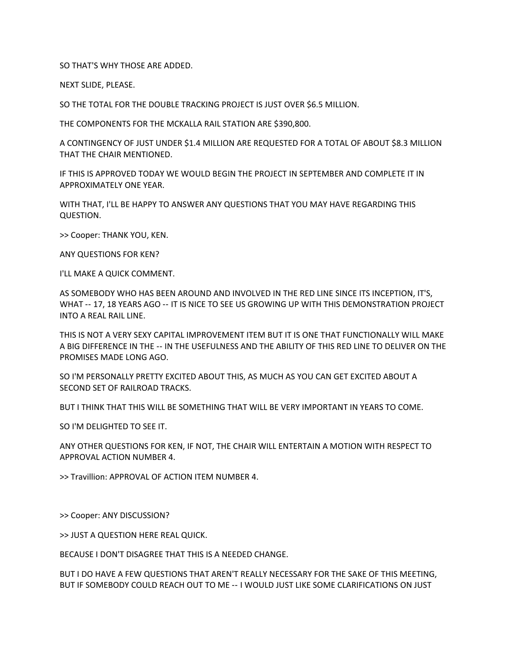SO THAT'S WHY THOSE ARE ADDED.

NEXT SLIDE, PLEASE.

SO THE TOTAL FOR THE DOUBLE TRACKING PROJECT IS JUST OVER \$6.5 MILLION.

THE COMPONENTS FOR THE MCKALLA RAIL STATION ARE \$390,800.

A CONTINGENCY OF JUST UNDER \$1.4 MILLION ARE REQUESTED FOR A TOTAL OF ABOUT \$8.3 MILLION THAT THE CHAIR MENTIONED.

IF THIS IS APPROVED TODAY WE WOULD BEGIN THE PROJECT IN SEPTEMBER AND COMPLETE IT IN APPROXIMATELY ONE YEAR.

WITH THAT, I'LL BE HAPPY TO ANSWER ANY QUESTIONS THAT YOU MAY HAVE REGARDING THIS QUESTION.

>> Cooper: THANK YOU, KEN.

ANY QUESTIONS FOR KEN?

I'LL MAKE A QUICK COMMENT.

AS SOMEBODY WHO HAS BEEN AROUND AND INVOLVED IN THE RED LINE SINCE ITS INCEPTION, IT'S, WHAT -- 17, 18 YEARS AGO -- IT IS NICE TO SEE US GROWING UP WITH THIS DEMONSTRATION PROJECT INTO A REAL RAIL LINE.

THIS IS NOT A VERY SEXY CAPITAL IMPROVEMENT ITEM BUT IT IS ONE THAT FUNCTIONALLY WILL MAKE A BIG DIFFERENCE IN THE ‑‑ IN THE USEFULNESS AND THE ABILITY OF THIS RED LINE TO DELIVER ON THE PROMISES MADE LONG AGO.

SO I'M PERSONALLY PRETTY EXCITED ABOUT THIS, AS MUCH AS YOU CAN GET EXCITED ABOUT A SECOND SET OF RAILROAD TRACKS.

BUT I THINK THAT THIS WILL BE SOMETHING THAT WILL BE VERY IMPORTANT IN YEARS TO COME.

SO I'M DELIGHTED TO SEE IT.

ANY OTHER QUESTIONS FOR KEN, IF NOT, THE CHAIR WILL ENTERTAIN A MOTION WITH RESPECT TO APPROVAL ACTION NUMBER 4.

>> Travillion: APPROVAL OF ACTION ITEM NUMBER 4.

>> Cooper: ANY DISCUSSION?

>> JUST A QUESTION HERE REAL QUICK.

BECAUSE I DON'T DISAGREE THAT THIS IS A NEEDED CHANGE.

BUT I DO HAVE A FEW QUESTIONS THAT AREN'T REALLY NECESSARY FOR THE SAKE OF THIS MEETING, BUT IF SOMEBODY COULD REACH OUT TO ME -- I WOULD JUST LIKE SOME CLARIFICATIONS ON JUST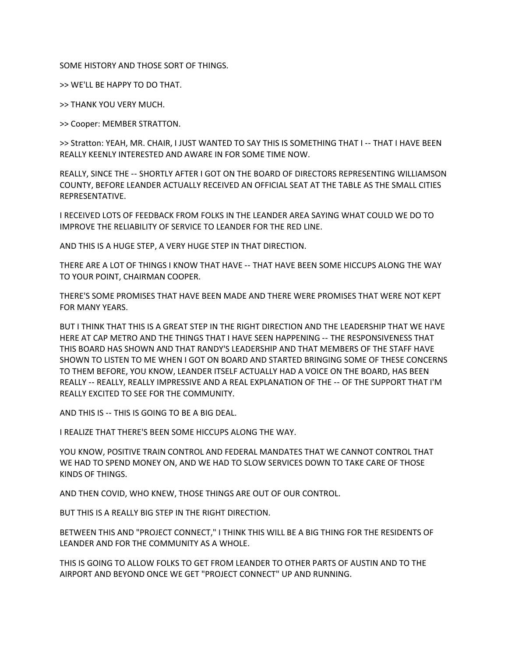SOME HISTORY AND THOSE SORT OF THINGS.

>> WE'LL BE HAPPY TO DO THAT.

>> THANK YOU VERY MUCH.

>> Cooper: MEMBER STRATTON.

>> Stratton: YEAH, MR. CHAIR, I JUST WANTED TO SAY THIS IS SOMETHING THAT I -- THAT I HAVE BEEN REALLY KEENLY INTERESTED AND AWARE IN FOR SOME TIME NOW.

REALLY, SINCE THE ‑‑ SHORTLY AFTER I GOT ON THE BOARD OF DIRECTORS REPRESENTING WILLIAMSON COUNTY, BEFORE LEANDER ACTUALLY RECEIVED AN OFFICIAL SEAT AT THE TABLE AS THE SMALL CITIES REPRESENTATIVE.

I RECEIVED LOTS OF FEEDBACK FROM FOLKS IN THE LEANDER AREA SAYING WHAT COULD WE DO TO IMPROVE THE RELIABILITY OF SERVICE TO LEANDER FOR THE RED LINE.

AND THIS IS A HUGE STEP, A VERY HUGE STEP IN THAT DIRECTION.

THERE ARE A LOT OF THINGS I KNOW THAT HAVE -- THAT HAVE BEEN SOME HICCUPS ALONG THE WAY TO YOUR POINT, CHAIRMAN COOPER.

THERE'S SOME PROMISES THAT HAVE BEEN MADE AND THERE WERE PROMISES THAT WERE NOT KEPT FOR MANY YEARS.

BUT I THINK THAT THIS IS A GREAT STEP IN THE RIGHT DIRECTION AND THE LEADERSHIP THAT WE HAVE HERE AT CAP METRO AND THE THINGS THAT I HAVE SEEN HAPPENING -- THE RESPONSIVENESS THAT THIS BOARD HAS SHOWN AND THAT RANDY'S LEADERSHIP AND THAT MEMBERS OF THE STAFF HAVE SHOWN TO LISTEN TO ME WHEN I GOT ON BOARD AND STARTED BRINGING SOME OF THESE CONCERNS TO THEM BEFORE, YOU KNOW, LEANDER ITSELF ACTUALLY HAD A VOICE ON THE BOARD, HAS BEEN REALLY -- REALLY, REALLY IMPRESSIVE AND A REAL EXPLANATION OF THE -- OF THE SUPPORT THAT I'M REALLY EXCITED TO SEE FOR THE COMMUNITY.

AND THIS IS ‑‑ THIS IS GOING TO BE A BIG DEAL.

I REALIZE THAT THERE'S BEEN SOME HICCUPS ALONG THE WAY.

YOU KNOW, POSITIVE TRAIN CONTROL AND FEDERAL MANDATES THAT WE CANNOT CONTROL THAT WE HAD TO SPEND MONEY ON, AND WE HAD TO SLOW SERVICES DOWN TO TAKE CARE OF THOSE KINDS OF THINGS.

AND THEN COVID, WHO KNEW, THOSE THINGS ARE OUT OF OUR CONTROL.

BUT THIS IS A REALLY BIG STEP IN THE RIGHT DIRECTION.

BETWEEN THIS AND "PROJECT CONNECT," I THINK THIS WILL BE A BIG THING FOR THE RESIDENTS OF LEANDER AND FOR THE COMMUNITY AS A WHOLE.

THIS IS GOING TO ALLOW FOLKS TO GET FROM LEANDER TO OTHER PARTS OF AUSTIN AND TO THE AIRPORT AND BEYOND ONCE WE GET "PROJECT CONNECT" UP AND RUNNING.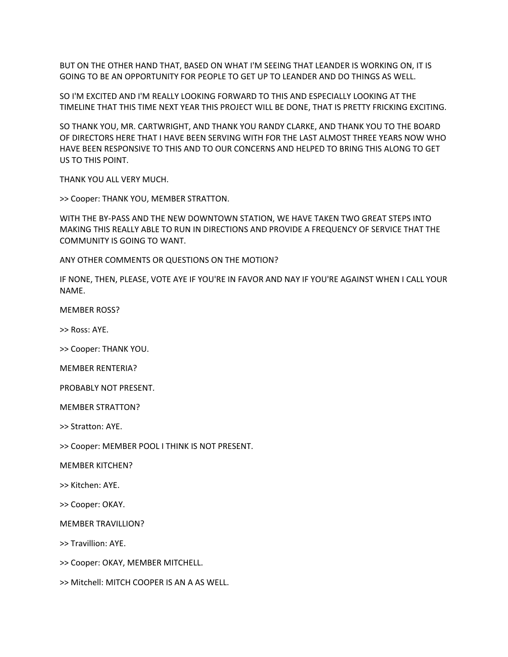BUT ON THE OTHER HAND THAT, BASED ON WHAT I'M SEEING THAT LEANDER IS WORKING ON, IT IS GOING TO BE AN OPPORTUNITY FOR PEOPLE TO GET UP TO LEANDER AND DO THINGS AS WELL.

SO I'M EXCITED AND I'M REALLY LOOKING FORWARD TO THIS AND ESPECIALLY LOOKING AT THE TIMELINE THAT THIS TIME NEXT YEAR THIS PROJECT WILL BE DONE, THAT IS PRETTY FRICKING EXCITING.

SO THANK YOU, MR. CARTWRIGHT, AND THANK YOU RANDY CLARKE, AND THANK YOU TO THE BOARD OF DIRECTORS HERE THAT I HAVE BEEN SERVING WITH FOR THE LAST ALMOST THREE YEARS NOW WHO HAVE BEEN RESPONSIVE TO THIS AND TO OUR CONCERNS AND HELPED TO BRING THIS ALONG TO GET US TO THIS POINT.

THANK YOU ALL VERY MUCH.

>> Cooper: THANK YOU, MEMBER STRATTON.

WITH THE BY‑PASS AND THE NEW DOWNTOWN STATION, WE HAVE TAKEN TWO GREAT STEPS INTO MAKING THIS REALLY ABLE TO RUN IN DIRECTIONS AND PROVIDE A FREQUENCY OF SERVICE THAT THE COMMUNITY IS GOING TO WANT.

ANY OTHER COMMENTS OR QUESTIONS ON THE MOTION?

IF NONE, THEN, PLEASE, VOTE AYE IF YOU'RE IN FAVOR AND NAY IF YOU'RE AGAINST WHEN I CALL YOUR NAME.

MEMBER ROSS?

>> Ross: AYE.

>> Cooper: THANK YOU.

MEMBER RENTERIA?

PROBABLY NOT PRESENT.

MEMBER STRATTON?

>> Stratton: AYE.

>> Cooper: MEMBER POOL I THINK IS NOT PRESENT.

MEMBER KITCHEN?

>> Kitchen: AYE.

>> Cooper: OKAY.

MEMBER TRAVILLION?

>> Travillion: AYE.

>> Cooper: OKAY, MEMBER MITCHELL.

>> Mitchell: MITCH COOPER IS AN A AS WELL.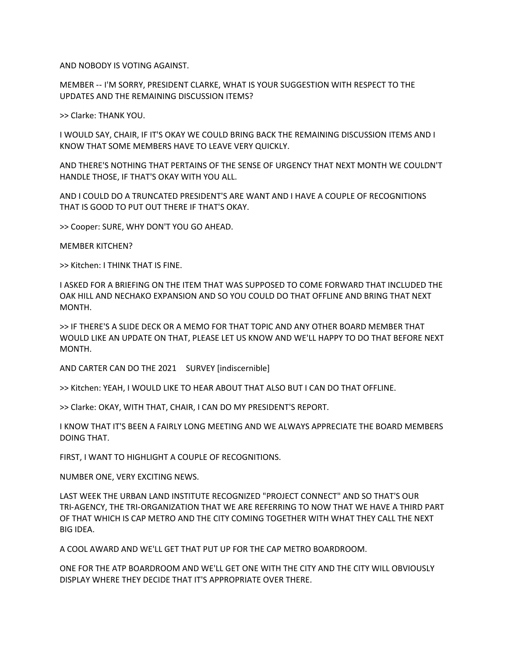AND NOBODY IS VOTING AGAINST.

MEMBER ‑‑ I'M SORRY, PRESIDENT CLARKE, WHAT IS YOUR SUGGESTION WITH RESPECT TO THE UPDATES AND THE REMAINING DISCUSSION ITEMS?

>> Clarke: THANK YOU.

I WOULD SAY, CHAIR, IF IT'S OKAY WE COULD BRING BACK THE REMAINING DISCUSSION ITEMS AND I KNOW THAT SOME MEMBERS HAVE TO LEAVE VERY QUICKLY.

AND THERE'S NOTHING THAT PERTAINS OF THE SENSE OF URGENCY THAT NEXT MONTH WE COULDN'T HANDLE THOSE, IF THAT'S OKAY WITH YOU ALL.

AND I COULD DO A TRUNCATED PRESIDENT'S ARE WANT AND I HAVE A COUPLE OF RECOGNITIONS THAT IS GOOD TO PUT OUT THERE IF THAT'S OKAY.

>> Cooper: SURE, WHY DON'T YOU GO AHEAD.

MEMBER KITCHEN?

>> Kitchen: I THINK THAT IS FINE.

I ASKED FOR A BRIEFING ON THE ITEM THAT WAS SUPPOSED TO COME FORWARD THAT INCLUDED THE OAK HILL AND NECHAKO EXPANSION AND SO YOU COULD DO THAT OFFLINE AND BRING THAT NEXT MONTH.

>> IF THERE'S A SLIDE DECK OR A MEMO FOR THAT TOPIC AND ANY OTHER BOARD MEMBER THAT WOULD LIKE AN UPDATE ON THAT, PLEASE LET US KNOW AND WE'LL HAPPY TO DO THAT BEFORE NEXT MONTH.

AND CARTER CAN DO THE 2021 SURVEY [indiscernible]

>> Kitchen: YEAH, I WOULD LIKE TO HEAR ABOUT THAT ALSO BUT I CAN DO THAT OFFLINE.

>> Clarke: OKAY, WITH THAT, CHAIR, I CAN DO MY PRESIDENT'S REPORT.

I KNOW THAT IT'S BEEN A FAIRLY LONG MEETING AND WE ALWAYS APPRECIATE THE BOARD MEMBERS DOING THAT.

FIRST, I WANT TO HIGHLIGHT A COUPLE OF RECOGNITIONS.

NUMBER ONE, VERY EXCITING NEWS.

LAST WEEK THE URBAN LAND INSTITUTE RECOGNIZED "PROJECT CONNECT" AND SO THAT'S OUR TRI‑AGENCY, THE TRI‑ORGANIZATION THAT WE ARE REFERRING TO NOW THAT WE HAVE A THIRD PART OF THAT WHICH IS CAP METRO AND THE CITY COMING TOGETHER WITH WHAT THEY CALL THE NEXT BIG IDEA.

A COOL AWARD AND WE'LL GET THAT PUT UP FOR THE CAP METRO BOARDROOM.

ONE FOR THE ATP BOARDROOM AND WE'LL GET ONE WITH THE CITY AND THE CITY WILL OBVIOUSLY DISPLAY WHERE THEY DECIDE THAT IT'S APPROPRIATE OVER THERE.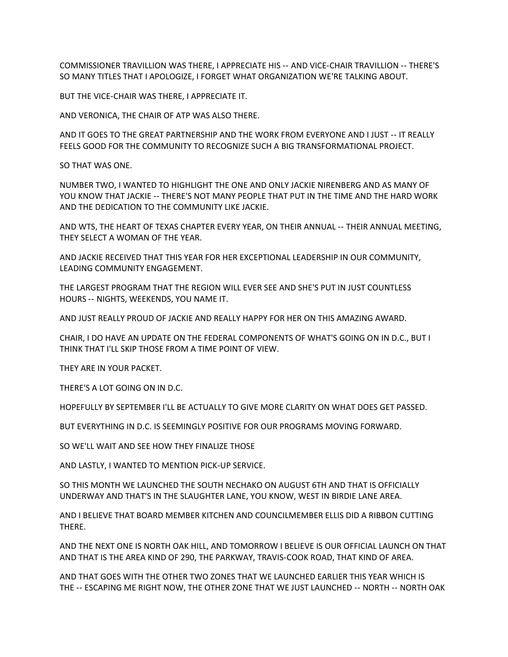COMMISSIONER TRAVILLION WAS THERE, I APPRECIATE HIS ‑‑ AND VICE‑CHAIR TRAVILLION ‑‑ THERE'S SO MANY TITLES THAT I APOLOGIZE, I FORGET WHAT ORGANIZATION WE'RE TALKING ABOUT.

BUT THE VICE‑CHAIR WAS THERE, I APPRECIATE IT.

AND VERONICA, THE CHAIR OF ATP WAS ALSO THERE.

AND IT GOES TO THE GREAT PARTNERSHIP AND THE WORK FROM EVERYONE AND I JUST ‑‑ IT REALLY FEELS GOOD FOR THE COMMUNITY TO RECOGNIZE SUCH A BIG TRANSFORMATIONAL PROJECT.

SO THAT WAS ONE.

NUMBER TWO, I WANTED TO HIGHLIGHT THE ONE AND ONLY JACKIE NIRENBERG AND AS MANY OF YOU KNOW THAT JACKIE -- THERE'S NOT MANY PEOPLE THAT PUT IN THE TIME AND THE HARD WORK AND THE DEDICATION TO THE COMMUNITY LIKE JACKIE.

AND WTS, THE HEART OF TEXAS CHAPTER EVERY YEAR, ON THEIR ANNUAL -- THEIR ANNUAL MEETING, THEY SELECT A WOMAN OF THE YEAR.

AND JACKIE RECEIVED THAT THIS YEAR FOR HER EXCEPTIONAL LEADERSHIP IN OUR COMMUNITY, LEADING COMMUNITY ENGAGEMENT.

THE LARGEST PROGRAM THAT THE REGION WILL EVER SEE AND SHE'S PUT IN JUST COUNTLESS HOURS ‑‑ NIGHTS, WEEKENDS, YOU NAME IT.

AND JUST REALLY PROUD OF JACKIE AND REALLY HAPPY FOR HER ON THIS AMAZING AWARD.

CHAIR, I DO HAVE AN UPDATE ON THE FEDERAL COMPONENTS OF WHAT'S GOING ON IN D.C., BUT I THINK THAT I'LL SKIP THOSE FROM A TIME POINT OF VIEW.

THEY ARE IN YOUR PACKET.

THERE'S A LOT GOING ON IN D.C.

HOPEFULLY BY SEPTEMBER I'LL BE ACTUALLY TO GIVE MORE CLARITY ON WHAT DOES GET PASSED.

BUT EVERYTHING IN D.C. IS SEEMINGLY POSITIVE FOR OUR PROGRAMS MOVING FORWARD.

SO WE'LL WAIT AND SEE HOW THEY FINALIZE THOSE

AND LASTLY, I WANTED TO MENTION PICK‑UP SERVICE.

SO THIS MONTH WE LAUNCHED THE SOUTH NECHAKO ON AUGUST 6TH AND THAT IS OFFICIALLY UNDERWAY AND THAT'S IN THE SLAUGHTER LANE, YOU KNOW, WEST IN BIRDIE LANE AREA.

AND I BELIEVE THAT BOARD MEMBER KITCHEN AND COUNCILMEMBER ELLIS DID A RIBBON CUTTING THERE.

AND THE NEXT ONE IS NORTH OAK HILL, AND TOMORROW I BELIEVE IS OUR OFFICIAL LAUNCH ON THAT AND THAT IS THE AREA KIND OF 290, THE PARKWAY, TRAVIS‑COOK ROAD, THAT KIND OF AREA.

AND THAT GOES WITH THE OTHER TWO ZONES THAT WE LAUNCHED EARLIER THIS YEAR WHICH IS THE -- ESCAPING ME RIGHT NOW, THE OTHER ZONE THAT WE JUST LAUNCHED -- NORTH -- NORTH OAK